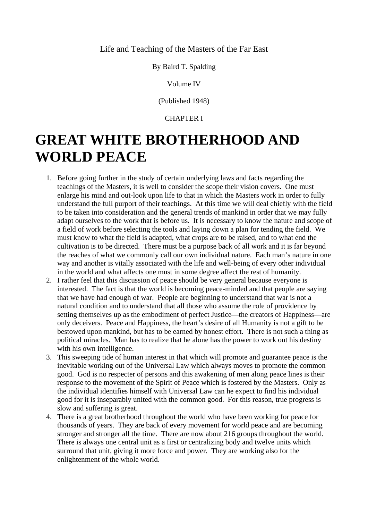### Life and Teaching of the Masters of the Far East

### By Baird T. Spalding

#### Volume IV

(Published 1948)

#### CHAPTER I

# **GREAT WHITE BROTHERHOOD AND WORLD PEACE**

- 1. Before going further in the study of certain underlying laws and facts regarding the teachings of the Masters, it is well to consider the scope their vision covers. One must enlarge his mind and out-look upon life to that in which the Masters work in order to fully understand the full purport of their teachings. At this time we will deal chiefly with the field to be taken into consideration and the general trends of mankind in order that we may fully adapt ourselves to the work that is before us. It is necessary to know the nature and scope of a field of work before selecting the tools and laying down a plan for tending the field. We must know to what the field is adapted, what crops are to be raised, and to what end the cultivation is to be directed. There must be a purpose back of all work and it is far beyond the reaches of what we commonly call our own individual nature. Each man's nature in one way and another is vitally associated with the life and well-being of every other individual in the world and what affects one must in some degree affect the rest of humanity.
- 2. I rather feel that this discussion of peace should be very general because everyone is interested. The fact is that the world is becoming peace-minded and that people are saying that we have had enough of war. People are beginning to understand that war is not a natural condition and to understand that all those who assume the role of providence by setting themselves up as the embodiment of perfect Justice—the creators of Happiness—are only deceivers. Peace and Happiness, the heart's desire of all Humanity is not a gift to be bestowed upon mankind, but has to be earned by honest effort. There is not such a thing as political miracles. Man has to realize that he alone has the power to work out his destiny with his own intelligence.
- 3. This sweeping tide of human interest in that which will promote and guarantee peace is the inevitable working out of the Universal Law which always moves to promote the common good. God is no respecter of persons and this awakening of men along peace lines is their response to the movement of the Spirit of Peace which is fostered by the Masters. Only as the individual identifies himself with Universal Law can he expect to find his individual good for it is inseparably united with the common good. For this reason, true progress is slow and suffering is great.
- 4. There is a great brotherhood throughout the world who have been working for peace for thousands of years. They are back of every movement for world peace and are becoming stronger and stronger all the time. There are now about 216 groups throughout the world. There is always one central unit as a first or centralizing body and twelve units which surround that unit, giving it more force and power. They are working also for the enlightenment of the whole world.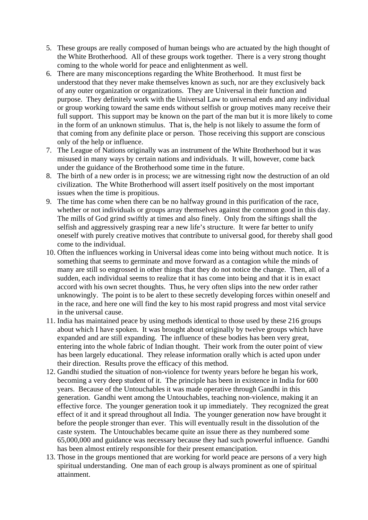- 5. These groups are really composed of human beings who are actuated by the high thought of the White Brotherhood. All of these groups work together. There is a very strong thought coming to the whole world for peace and enlightenment as well.
- 6. There are many misconceptions regarding the White Brotherhood. It must first be understood that they never make themselves known as such, nor are they exclusively back of any outer organization or organizations. They are Universal in their function and purpose. They definitely work with the Universal Law to universal ends and any individual or group working toward the same ends without selfish or group motives many receive their full support. This support may be known on the part of the man but it is more likely to come in the form of an unknown stimulus. That is, the help is not likely to assume the form of that coming from any definite place or person. Those receiving this support are conscious only of the help or influence.
- 7. The League of Nations originally was an instrument of the White Brotherhood but it was misused in many ways by certain nations and individuals. It will, however, come back under the guidance of the Brotherhood some time in the future.
- 8. The birth of a new order is in process; we are witnessing right now the destruction of an old civilization. The White Brotherhood will assert itself positively on the most important issues when the time is propitious.
- 9. The time has come when there can be no halfway ground in this purification of the race, whether or not individuals or groups array themselves against the common good in this day. The mills of God grind swiftly at times and also finely. Only from the siftings shall the selfish and aggressively grasping rear a new life's structure. It were far better to unify oneself with purely creative motives that contribute to universal good, for thereby shall good come to the individual.
- 10. Often the influences working in Universal ideas come into being without much notice. It is something that seems to germinate and move forward as a contagion while the minds of many are still so engrossed in other things that they do not notice the change. Then, all of a sudden, each individual seems to realize that it has come into being and that it is in exact accord with his own secret thoughts. Thus, he very often slips into the new order rather unknowingly. The point is to be alert to these secretly developing forces within oneself and in the race, and here one will find the key to his most rapid progress and most vital service in the universal cause.
- 11. India has maintained peace by using methods identical to those used by these 216 groups about which I have spoken. It was brought about originally by twelve groups which have expanded and are still expanding. The influence of these bodies has been very great, entering into the whole fabric of Indian thought. Their work from the outer point of view has been largely educational. They release information orally which is acted upon under their direction. Results prove the efficacy of this method.
- 12. Gandhi studied the situation of non-violence for twenty years before he began his work, becoming a very deep student of it. The principle has been in existence in India for 600 years. Because of the Untouchables it was made operative through Gandhi in this generation. Gandhi went among the Untouchables, teaching non-violence, making it an effective force. The younger generation took it up immediately. They recognized the great effect of it and it spread throughout all India. The younger generation now have brought it before the people stronger than ever. This will eventually result in the dissolution of the caste system. The Untouchables became quite an issue there as they numbered some 65,000,000 and guidance was necessary because they had such powerful influence. Gandhi has been almost entirely responsible for their present emancipation.
- 13. Those in the groups mentioned that are working for world peace are persons of a very high spiritual understanding. One man of each group is always prominent as one of spiritual attainment.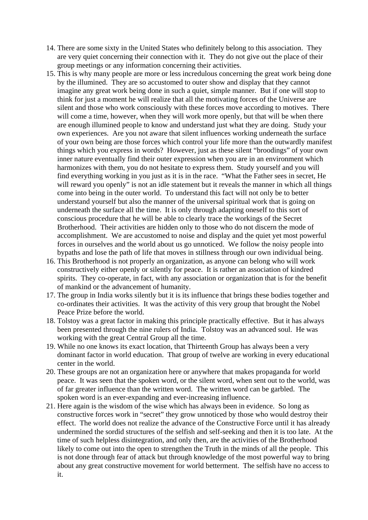- 14. There are some sixty in the United States who definitely belong to this association. They are very quiet concerning their connection with it. They do not give out the place of their group meetings or any information concerning their activities.
- 15. This is why many people are more or less incredulous concerning the great work being done by the illumined. They are so accustomed to outer show and display that they cannot imagine any great work being done in such a quiet, simple manner. But if one will stop to think for just a moment he will realize that all the motivating forces of the Universe are silent and those who work consciously with these forces move according to motives. There will come a time, however, when they will work more openly, but that will be when there are enough illumined people to know and understand just what they are doing. Study your own experiences. Are you not aware that silent influences working underneath the surface of your own being are those forces which control your life more than the outwardly manifest things which you express in words? However, just as these silent "broodings" of your own inner nature eventually find their outer expression when you are in an environment which harmonizes with them, you do not hesitate to express them. Study yourself and you will find everything working in you just as it is in the race. "What the Father sees in secret, He will reward you openly" is not an idle statement but it reveals the manner in which all things come into being in the outer world. To understand this fact will not only be to better understand yourself but also the manner of the universal spiritual work that is going on underneath the surface all the time. It is only through adapting oneself to this sort of conscious procedure that he will be able to clearly trace the workings of the Secret Brotherhood. Their activities are hidden only to those who do not discern the mode of accomplishment. We are accustomed to noise and display and the quiet yet most powerful forces in ourselves and the world about us go unnoticed. We follow the noisy people into bypaths and lose the path of life that moves in stillness through our own individual being.
- 16. This Brotherhood is not properly an organization, as anyone can belong who will work constructively either openly or silently for peace. It is rather an association of kindred spirits. They co-operate, in fact, with any association or organization that is for the benefit of mankind or the advancement of humanity.
- 17. The group in India works silently but it is its influence that brings these bodies together and co-ordinates their activities. It was the activity of this very group that brought the Nobel Peace Prize before the world.
- 18. Tolstoy was a great factor in making this principle practically effective. But it has always been presented through the nine rulers of India. Tolstoy was an advanced soul. He was working with the great Central Group all the time.
- 19. While no one knows its exact location, that Thirteenth Group has always been a very dominant factor in world education. That group of twelve are working in every educational center in the world.
- 20. These groups are not an organization here or anywhere that makes propaganda for world peace. It was seen that the spoken word, or the silent word, when sent out to the world, was of far greater influence than the written word. The written word can be garbled. The spoken word is an ever-expanding and ever-increasing influence.
- 21. Here again is the wisdom of the wise which has always been in evidence. So long as constructive forces work in "secret" they grow unnoticed by those who would destroy their effect. The world does not realize the advance of the Constructive Force until it has already undermined the sordid structures of the selfish and self-seeking and then it is too late. At the time of such helpless disintegration, and only then, are the activities of the Brotherhood likely to come out into the open to strengthen the Truth in the minds of all the people. This is not done through fear of attack but through knowledge of the most powerful way to bring about any great constructive movement for world betterment. The selfish have no access to it.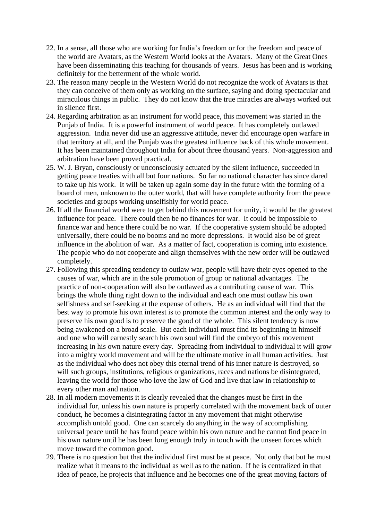- 22. In a sense, all those who are working for India's freedom or for the freedom and peace of the world are Avatars, as the Western World looks at the Avatars. Many of the Great Ones have been disseminating this teaching for thousands of years. Jesus has been and is working definitely for the betterment of the whole world.
- 23. The reason many people in the Western World do not recognize the work of Avatars is that they can conceive of them only as working on the surface, saying and doing spectacular and miraculous things in public. They do not know that the true miracles are always worked out in silence first.
- 24. Regarding arbitration as an instrument for world peace, this movement was started in the Punjab of India. It is a powerful instrument of world peace. It has completely outlawed aggression. India never did use an aggressive attitude, never did encourage open warfare in that territory at all, and the Punjab was the greatest influence back of this whole movement. It has been maintained throughout India for about three thousand years. Non-aggression and arbitration have been proved practical.
- 25. W. J. Bryan, consciously or unconsciously actuated by the silent influence, succeeded in getting peace treaties with all but four nations. So far no national character has since dared to take up his work. It will be taken up again some day in the future with the forming of a board of men, unknown to the outer world, that will have complete authority from the peace societies and groups working unselfishly for world peace.
- 26. If all the financial world were to get behind this movement for unity, it would be the greatest influence for peace. There could then be no finances for war. It could be impossible to finance war and hence there could be no war. If the cooperative system should be adopted universally, there could be no booms and no more depressions. It would also be of great influence in the abolition of war. As a matter of fact, cooperation is coming into existence. The people who do not cooperate and align themselves with the new order will be outlawed completely.
- 27. Following this spreading tendency to outlaw war, people will have their eyes opened to the causes of war, which are in the sole promotion of group or national advantages. The practice of non-cooperation will also be outlawed as a contributing cause of war. This brings the whole thing right down to the individual and each one must outlaw his own selfishness and self-seeking at the expense of others. He as an individual will find that the best way to promote his own interest is to promote the common interest and the only way to preserve his own good is to preserve the good of the whole. This silent tendency is now being awakened on a broad scale. But each individual must find its beginning in himself and one who will earnestly search his own soul will find the embryo of this movement increasing in his own nature every day. Spreading from individual to individual it will grow into a mighty world movement and will be the ultimate motive in all human activities. Just as the individual who does not obey this eternal trend of his inner nature is destroyed, so will such groups, institutions, religious organizations, races and nations be disintegrated, leaving the world for those who love the law of God and live that law in relationship to every other man and nation.
- 28. In all modern movements it is clearly revealed that the changes must be first in the individual for, unless his own nature is properly correlated with the movement back of outer conduct, he becomes a disintegrating factor in any movement that might otherwise accomplish untold good. One can scarcely do anything in the way of accomplishing universal peace until he has found peace within his own nature and he cannot find peace in his own nature until he has been long enough truly in touch with the unseen forces which move toward the common good.
- 29. There is no question but that the individual first must be at peace. Not only that but he must realize what it means to the individual as well as to the nation. If he is centralized in that idea of peace, he projects that influence and he becomes one of the great moving factors of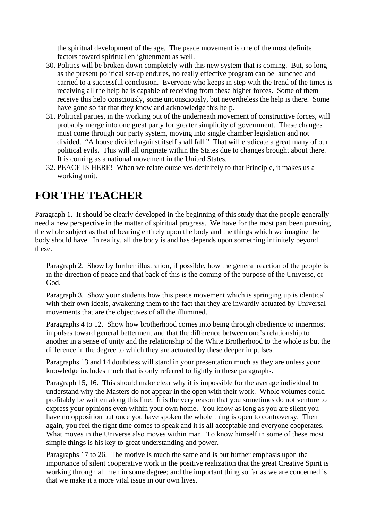the spiritual development of the age. The peace movement is one of the most definite factors toward spiritual enlightenment as well.

- 30. Politics will be broken down completely with this new system that is coming. But, so long as the present political set-up endures, no really effective program can be launched and carried to a successful conclusion. Everyone who keeps in step with the trend of the times is receiving all the help he is capable of receiving from these higher forces. Some of them receive this help consciously, some unconsciously, but nevertheless the help is there. Some have gone so far that they know and acknowledge this help.
- 31. Political parties, in the working out of the underneath movement of constructive forces, will probably merge into one great party for greater simplicity of government. These changes must come through our party system, moving into single chamber legislation and not divided. "A house divided against itself shall fall." That will eradicate a great many of our political evils. This will all originate within the States due to changes brought about there. It is coming as a national movement in the United States.
- 32. PEACE IS HERE! When we relate ourselves definitely to that Principle, it makes us a working unit.

# **FOR THE TEACHER**

Paragraph 1. It should be clearly developed in the beginning of this study that the people generally need a new perspective in the matter of spiritual progress. We have for the most part been pursuing the whole subject as that of bearing entirely upon the body and the things which we imagine the body should have. In reality, all the body is and has depends upon something infinitely beyond these.

Paragraph 2. Show by further illustration, if possible, how the general reaction of the people is in the direction of peace and that back of this is the coming of the purpose of the Universe, or God.

Paragraph 3. Show your students how this peace movement which is springing up is identical with their own ideals, awakening them to the fact that they are inwardly actuated by Universal movements that are the objectives of all the illumined.

Paragraphs 4 to 12. Show how brotherhood comes into being through obedience to innermost impulses toward general betterment and that the difference between one's relationship to another in a sense of unity and the relationship of the White Brotherhood to the whole is but the difference in the degree to which they are actuated by these deeper impulses.

Paragraphs 13 and 14 doubtless will stand in your presentation much as they are unless your knowledge includes much that is only referred to lightly in these paragraphs.

Paragraph 15, 16. This should make clear why it is impossible for the average individual to understand why the Masters do not appear in the open with their work. Whole volumes could profitably be written along this line. It is the very reason that you sometimes do not venture to express your opinions even within your own home. You know as long as you are silent you have no opposition but once you have spoken the whole thing is open to controversy. Then again, you feel the right time comes to speak and it is all acceptable and everyone cooperates. What moves in the Universe also moves within man. To know himself in some of these most simple things is his key to great understanding and power.

Paragraphs 17 to 26. The motive is much the same and is but further emphasis upon the importance of silent cooperative work in the positive realization that the great Creative Spirit is working through all men in some degree; and the important thing so far as we are concerned is that we make it a more vital issue in our own lives.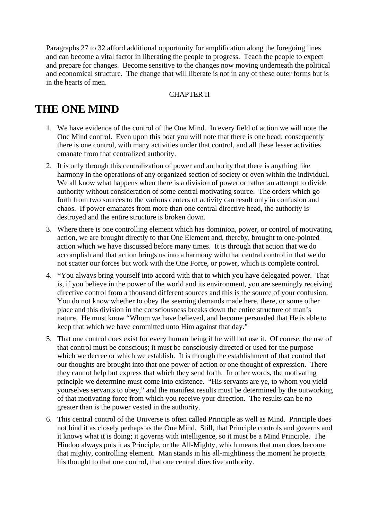Paragraphs 27 to 32 afford additional opportunity for amplification along the foregoing lines and can become a vital factor in liberating the people to progress. Teach the people to expect and prepare for changes. Become sensitive to the changes now moving underneath the political and economical structure. The change that will liberate is not in any of these outer forms but is in the hearts of men.

### CHAPTER II

### **THE ONE MIND**

- 1. We have evidence of the control of the One Mind. In every field of action we will note the One Mind control. Even upon this boat you will note that there is one head; consequently there is one control, with many activities under that control, and all these lesser activities emanate from that centralized authority.
- 2. It is only through this centralization of power and authority that there is anything like harmony in the operations of any organized section of society or even within the individual. We all know what happens when there is a division of power or rather an attempt to divide authority without consideration of some central motivating source. The orders which go forth from two sources to the various centers of activity can result only in confusion and chaos. If power emanates from more than one central directive head, the authority is destroyed and the entire structure is broken down.
- 3. Where there is one controlling element which has dominion, power, or control of motivating action, we are brought directly to that One Element and, thereby, brought to one-pointed action which we have discussed before many times. It is through that action that we do accomplish and that action brings us into a harmony with that central control in that we do not scatter our forces but work with the One Force, or power, which is complete control.
- 4. \*You always bring yourself into accord with that to which you have delegated power. That is, if you believe in the power of the world and its environment, you are seemingly receiving directive control from a thousand different sources and this is the source of your confusion. You do not know whether to obey the seeming demands made here, there, or some other place and this division in the consciousness breaks down the entire structure of man's nature. He must know "Whom we have believed, and become persuaded that He is able to keep that which we have committed unto Him against that day."
- 5. That one control does exist for every human being if he will but use it. Of course, the use of that control must be conscious; it must be consciously directed or used for the purpose which we decree or which we establish. It is through the establishment of that control that our thoughts are brought into that one power of action or one thought of expression. There they cannot help but express that which they send forth. In other words, the motivating principle we determine must come into existence. "His servants are ye, to whom you yield yourselves servants to obey," and the manifest results must be determined by the outworking of that motivating force from which you receive your direction. The results can be no greater than is the power vested in the authority.
- 6. This central control of the Universe is often called Principle as well as Mind. Principle does not bind it as closely perhaps as the One Mind. Still, that Principle controls and governs and it knows what it is doing; it governs with intelligence, so it must be a Mind Principle. The Hindoo always puts it as Principle, or the All-Mighty, which means that man does become that mighty, controlling element. Man stands in his all-mightiness the moment he projects his thought to that one control, that one central directive authority.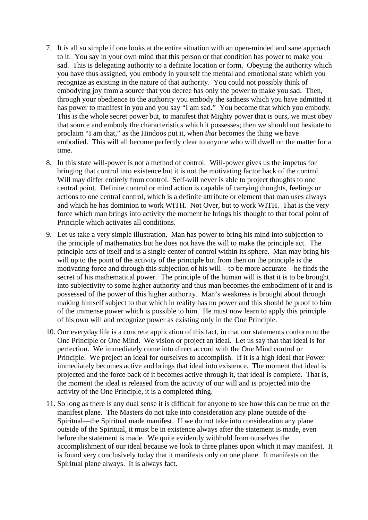- 7. It is all so simple if one looks at the entire situation with an open-minded and sane approach to it. You say in your own mind that this person or that condition has power to make you sad. This is delegating authority to a definite location or form. Obeying the authority which you have thus assigned, you embody in yourself the mental and emotional state which you recognize as existing in the nature of that authority. You could not possibly think of embodying joy from a source that you decree has only the power to make you sad. Then, through your obedience to the authority you embody the sadness which you have admitted it has power to manifest in you and you say "I am sad." You become that which you embody. This is the whole secret power but, to manifest that Mighty power that is ours, we must obey that source and embody the characteristics which it possesses; then we should not hesitate to proclaim "I am that," as the Hindoos put it, when *that* becomes the thing we have embodied. This will all become perfectly clear to anyone who will dwell on the matter for a time.
- 8. In this state will-power is not a method of control. Will-power gives us the impetus for bringing that control into existence but it is not the motivating factor back of the control. Will may differ entirely from control. Self-will never is able to project thoughts to one central point. Definite control or mind action is capable of carrying thoughts, feelings or actions to one central control, which is a definite attribute or element that man uses always and which he has dominion to work WITH. Not Over, but to work WITH. That is the very force which man brings into activity the moment he brings his thought to that focal point of Principle which activates all conditions.
- 9. Let us take a very simple illustration. Man has power to bring his mind into subjection to the principle of mathematics but he does not have the will to make the principle act. The principle acts of itself and is a single center of control within its sphere. Man may bring his will up to the point of the activity of the principle but from then on the principle is the motivating force and through this subjection of his will—to be more accurate—he finds the secret of his mathematical power. The principle of the human will is that it is to be brought into subjectivity to some higher authority and thus man becomes the embodiment of it and is possessed of the power of this higher authority. Man's weakness is brought about through making himself subject to that which in reality has no power and this should be proof to him of the immense power which is possible to him. He must now learn to apply this principle of his own will and recognize power as existing only in the One Principle.
- 10. Our everyday life is a concrete application of this fact, in that our statements conform to the One Principle or One Mind. We vision or project an ideal. Let us say that that ideal is for perfection. We immediately come into direct accord with the One Mind control or Principle. We project an ideal for ourselves to accomplish. If it is a high ideal that Power immediately becomes active and brings that ideal into existence. The moment that ideal is projected and the force back of it becomes active through it, that ideal is complete. That is, the moment the ideal is released from the activity of our will and is projected into the activity of the One Principle, it is a completed thing.
- 11. So long as there is any dual sense it is difficult for anyone to see how this can be true on the manifest plane. The Masters do not take into consideration any plane outside of the Spiritual—the Spiritual made manifest. If we do not take into consideration any plane outside of the Spiritual, it must be in existence always after the statement is made, even before the statement is made. We quite evidently withhold from ourselves the accomplishment of our ideal because we look to three planes upon which it may manifest. It is found very conclusively today that it manifests only on one plane. It manifests on the Spiritual plane always. It is always fact.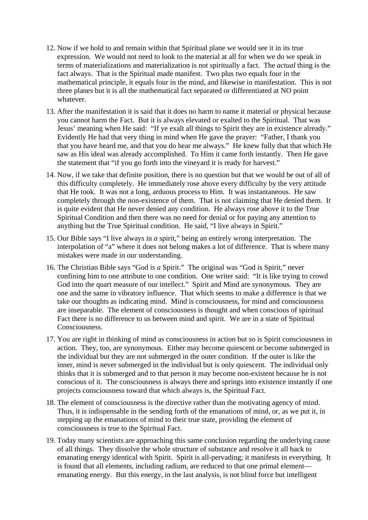- 12. Now if we hold to and remain within that Spiritual plane we would see it in its true expression. We would not need to look to the material at all for when we do we speak in terms of materializations and materialization is not spiritually a fact. The *actual* thing is the fact always. That is the Spiritual made manifest. Two plus two equals four in the mathematical principle, it equals four in the mind, and likewise in manifestation. This is not three planes but it is all the mathematical fact separated or differentiated at NO point whatever.
- 13. After the manifestation it is said that it does no harm to name it material or physical because you cannot harm the Fact. But it is always elevated or exalted to the Spiritual. That was Jesus' meaning when He said: "If ye exalt all things to Spirit they are in existence already." Evidently He had that very thing in mind when He gave the prayer: "Father, I thank you that you have heard me, and that you do hear me always." He knew fully that that which He saw as His ideal was already accomplished. To Him it came forth instantly. Then He gave the statement that "if you go forth into the vineyard it is ready for harvest."
- 14. Now, if we take that definite position, there is no question but that we would be out of all of this difficulty completely. He immediately rose above every difficulty by the very attitude that He took. It was not a long, arduous process to Him. It was instantaneous. He saw completely through the non-existence of them. That is not claiming that He denied them. It is quite evident that He never denied any condition. He always rose above it to the True Spiritual Condition and then there was no need for denial or for paying any attention to anything but the True Spiritual condition. He said, "I live always in Spirit."
- 15. Our Bible says "I live always in *a* spirit," being an entirely wrong interpretation. The interpolation of "a" where it does not belong makes a lot of difference. That is where many mistakes were made in our understanding.
- 16. The Christian Bible says "God is *a* Spirit." The original was "God is Spirit," never confining him to one attribute to one condition. One writer said: "It is like trying to crowd God into the quart measure of our intellect." Spirit and Mind are synonymous. They are one and the same in vibratory influence. That which seems to make a difference is that we take our thoughts as indicating mind. Mind is consciousness, for mind and consciousness are inseparable. The element of consciousness is thought and when conscious of spiritual Fact there is no difference to us between mind and spirit. We are in a state of Spiritual Consciousness.
- 17. You are right in thinking of mind as consciousness in action but so is Spirit consciousness in action. They, too, are synonymous. Either may become quiescent or become submerged in the individual but they are not submerged in the outer condition. If the outer is like the inner, mind is never submerged in the individual but is only quiescent. The individual only thinks that it is submerged and to that person it may become non-existent because he is not conscious of it. The consciousness is always there and springs into existence instantly if one projects consciousness toward that which always is, the Spiritual Fact.
- 18. The element of consciousness is the directive rather than the motivating agency of mind. Thus, it is indispensable in the sending forth of the emanations of mind, or, as we put it, in stepping up the emanations of mind to their true state, providing the element of consciousness is true to the Spiritual Fact.
- 19. Today many scientists are approaching this same conclusion regarding the underlying cause of all things. They dissolve the whole structure of substance and resolve it all back to emanating energy identical with Spirit. Spirit is all-pervading; it manifests in everything. It is found that all elements, including radium, are reduced to that one primal element emanating energy. But this energy, in the last analysis, is not blind force but intelligent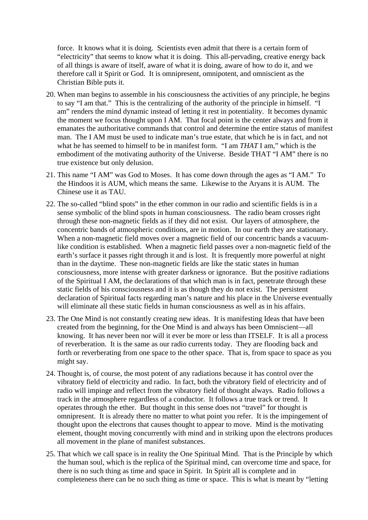force. It knows what it is doing. Scientists even admit that there is a certain form of "electricity" that seems to know what it is doing. This all-pervading, creative energy back of all things is aware of itself, aware of what it is doing, aware of how to do it, and we therefore call it Spirit or God. It is omnipresent, omnipotent, and omniscient as the Christian Bible puts it.

- 20. When man begins to assemble in his consciousness the activities of any principle, he begins to say "I am that." This is the centralizing of the authority of the principle in himself. "I am" renders the mind dynamic instead of letting it rest in potentiality. It becomes dynamic the moment we focus thought upon I AM. That focal point is the center always and from it emanates the authoritative commands that control and determine the entire status of manifest man. The I AM must be used to indicate man's true estate, that which he is in fact, and not what he has seemed to himself to be in manifest form. "I am *THAT* I am," which is the embodiment of the motivating authority of the Universe. Beside THAT "I AM" there is no true existence but only delusion.
- 21. This name "I AM" was God to Moses. It has come down through the ages as "I AM." To the Hindoos it is AUM, which means the same. Likewise to the Aryans it is AUM. The Chinese use it as TAU.
- 22. The so-called "blind spots" in the ether common in our radio and scientific fields is in a sense symbolic of the blind spots in human consciousness. The radio beam crosses right through these non-magnetic fields as if they did not exist. Our layers of atmosphere, the concentric bands of atmospheric conditions, are in motion. In our earth they are stationary. When a non-magnetic field moves over a magnetic field of our concentric bands a vacuumlike condition is established. When a magnetic field passes over a non-magnetic field of the earth's surface it passes right through it and is lost. It is frequently more powerful at night than in the daytime. These non-magnetic fields are like the static states in human consciousness, more intense with greater darkness or ignorance. But the positive radiations of the Spiritual I AM, the declarations of that which man is in fact, penetrate through these static fields of his consciousness and it is as though they do not exist. The persistent declaration of Spiritual facts regarding man's nature and his place in the Universe eventually will eliminate all these static fields in human consciousness as well as in his affairs.
- 23. The One Mind is not constantly creating new ideas. It is manifesting Ideas that have been created from the beginning, for the One Mind is and always has been Omniscient—all knowing. It has never been nor will it ever be more or less than ITSELF. It is all a process of reverberation. It is the same as our radio currents today. They are flooding back and forth or reverberating from one space to the other space. That is, from space to space as you might say.
- 24. Thought is, of course, the most potent of any radiations because it has control over the vibratory field of electricity and radio. In fact, both the vibratory field of electricity and of radio will impinge and reflect from the vibratory field of thought always. Radio follows a track in the atmosphere regardless of a conductor. It follows a true track or trend. It operates through the ether. But thought in this sense does not "travel" for thought is omnipresent. It is already there no matter to what point you refer. It is the impingement of thought upon the electrons that causes thought to appear to move. Mind is the motivating element, thought moving concurrently with mind and in striking upon the electrons produces all movement in the plane of manifest substances.
- 25. That which we call space is in reality the One Spiritual Mind. That is the Principle by which the human soul, which is the replica of the Spiritual mind, can overcome time and space, for there is no such thing as time and space in Spirit. In Spirit all is complete and in completeness there can be no such thing as time or space. This is what is meant by "letting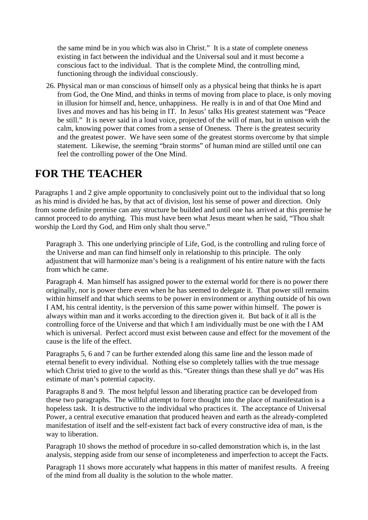the same mind be in you which was also in Christ." It is a state of complete oneness existing in fact between the individual and the Universal soul and it must become a conscious fact to the individual. That is the complete Mind, the controlling mind, functioning through the individual consciously.

26. Physical man or man conscious of himself only as a physical being that thinks he is apart from God, the One Mind, and thinks in terms of moving from place to place, is only moving in illusion for himself and, hence, unhappiness. He really is in and of that One Mind and lives and moves and has his being in IT. In Jesus' talks His greatest statement was "Peace be still." It is never said in a loud voice, projected of the will of man, but in unison with the calm, knowing power that comes from a sense of Oneness. There is the greatest security and the greatest power. We have seen some of the greatest storms overcome by that simple statement. Likewise, the seeming "brain storms" of human mind are stilled until one can feel the controlling power of the One Mind.

### **FOR THE TEACHER**

Paragraphs 1 and 2 give ample opportunity to conclusively point out to the individual that so long as his mind is divided he has, by that act of division, lost his sense of power and direction. Only from some definite premise can any structure be builded and until one has arrived at this premise he cannot proceed to do anything. This must have been what Jesus meant when he said, "Thou shalt worship the Lord thy God, and Him only shalt thou serve."

Paragraph 3. This one underlying principle of Life, God, is the controlling and ruling force of the Universe and man can find himself only in relationship to this principle. The only adjustment that will harmonize man's being is a realignment of his entire nature with the facts from which he came.

Paragraph 4. Man himself has assigned power to the external world for there is no power there originally, nor is power there even when he has seemed to delegate it. That power still remains within himself and that which seems to be power in environment or anything outside of his own I AM, his central identity, is the perversion of this same power within himself. The power is always within man and it works according to the direction given it. But back of it all is the controlling force of the Universe and that which I am individually must be one with the I AM which is universal. Perfect accord must exist between cause and effect for the movement of the cause is the life of the effect.

Paragraphs 5, 6 and 7 can be further extended along this same line and the lesson made of eternal benefit to every individual. Nothing else so completely tallies with the true message which Christ tried to give to the world as this. "Greater things than these shall ye do" was His estimate of man's potential capacity.

Paragraphs 8 and 9. The most helpful lesson and liberating practice can be developed from these two paragraphs. The willful attempt to force thought into the place of manifestation is a hopeless task. It is destructive to the individual who practices it. The acceptance of Universal Power, a central executive emanation that produced heaven and earth as the already-completed manifestation of itself and the self-existent fact back of every constructive idea of man, is the way to liberation.

Paragraph 10 shows the method of procedure in so-called demonstration which is, in the last analysis, stepping aside from our sense of incompleteness and imperfection to accept the Facts.

Paragraph 11 shows more accurately what happens in this matter of manifest results. A freeing of the mind from all duality is the solution to the whole matter.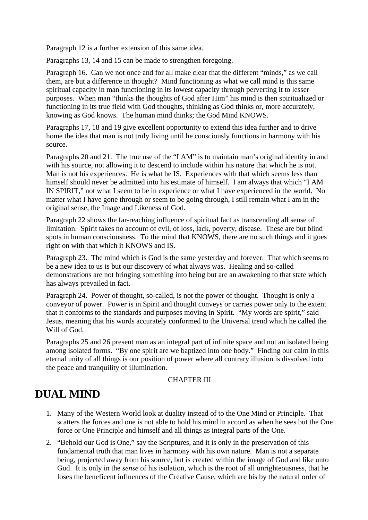Paragraph 12 is a further extension of this same idea.

Paragraphs 13, 14 and 15 can be made to strengthen foregoing.

Paragraph 16. Can we not once and for all make clear that the different "minds," as we call them, are but a difference in thought? Mind functioning as what we call mind is this same spiritual capacity in man functioning in its lowest capacity through perverting it to lesser purposes. When man "thinks the thoughts of God after Him" his mind is then spiritualized or functioning in its true field with God thoughts, thinking as God thinks or, more accurately, knowing as God knows. The human mind thinks; the God Mind KNOWS.

Paragraphs 17, 18 and 19 give excellent opportunity to extend this idea further and to drive home the idea that man is not truly living until he consciously functions in harmony with his source.

Paragraphs 20 and 21. The true use of the "I AM" is to maintain man's original identity in and with his source, not allowing it to descend to include within his nature that which he is not. Man is not his experiences. He is what he IS. Experiences with that which seems less than himself should never be admitted into his estimate of himself. I am always that which "I AM IN SPIRIT," not what I seem to be in experience or what I have experienced in the world. No matter what I have gone through or seem to be going through, I still remain what I am in the original sense, the Image and Likeness of God.

Paragraph 22 shows the far-reaching influence of spiritual fact as transcending all sense of limitation. Spirit takes no account of evil, of loss, lack, poverty, disease. These are but blind spots in human consciousness. To the mind that KNOWS, there are no such things and it goes right on with that which it KNOWS and IS.

Paragraph 23. The mind which is God is the same yesterday and forever. That which seems to be a new idea to us is but our discovery of what always was. Healing and so-called demonstrations are not bringing something into being but are an awakening to that state which has always prevailed in fact.

Paragraph 24. Power of thought, so-called, is not the power of thought. Thought is only a conveyor of power. Power is in Spirit and thought conveys or carries power only to the extent that it conforms to the standards and purposes moving in Spirit. "My words are spirit," said Jesus, meaning that his words accurately conformed to the Universal trend which he called the Will of God.

Paragraphs 25 and 26 present man as an integral part of infinite space and not an isolated being among isolated forms. "By one spirit are we baptized into one body." Finding our calm in this eternal unity of all things is our position of power where all contrary illusion is dissolved into the peace and tranquility of illumination.

#### CHAPTER III

### **DUAL MIND**

- 1. Many of the Western World look at duality instead of to the One Mind or Principle. That scatters the forces and one is not able to hold his mind in accord as when he sees but the One force or One Principle and himself and all things as integral parts of the One.
- 2. "Behold our God is One," say the Scriptures, and it is only in the preservation of this fundamental truth that man lives in harmony with his own nature. Man is not a separate being, projected away from his source, but is created within the image of God and like unto God. It is only in the *sense* of his isolation, which is the root of all unrighteousness, that he loses the beneficent influences of the Creative Cause, which are his by the natural order of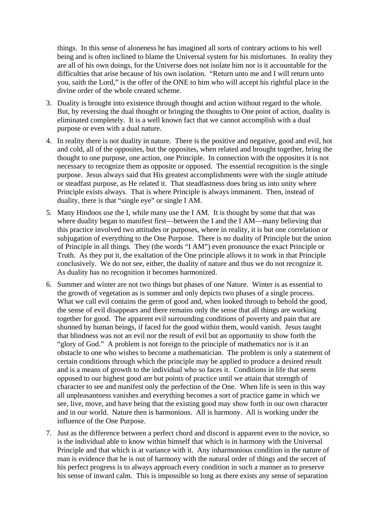things. In this sense of aloneness he has imagined all sorts of contrary actions to his well being and is often inclined to blame the Universal system for his misfortunes. In reality they are all of his own doings, for the Universe does not isolate him nor is it accountable for the difficulties that arise because of his own isolation. "Return unto me and I will return unto you, saith the Lord," is the offer of the ONE to him who will accept his rightful place in the divine order of the whole created scheme.

- 3. Duality is brought into existence through thought and action without regard to the whole. But, by reversing the dual thought or bringing the thoughts to One point of action, duality is eliminated completely. It is a well known fact that we cannot accomplish with a dual purpose or even with a dual nature.
- 4. In reality there is not duality in nature. There is the positive and negative, good and evil, hot and cold, all of the opposites, but the opposites, when related and brought together, bring the thought to one purpose, one action, one Principle. In connection with the opposites it is not necessary to recognize them as opposite or opposed. The essential recognition is the single purpose. Jesus always said that His greatest accomplishments were with the single attitude or steadfast purpose, as He related it. That steadfastness does bring us into unity where Principle exists always. That is where Principle is always immanent. Then, instead of duality, there is that "single eye" or single I AM.
- 5. Many Hindoos use the I, while many use the I AM. It is thought by some that that was where duality began to manifest first—between the I and the I AM—many believing that this practice involved two attitudes or purposes, where in reality, it is but one correlation or subjugation of everything to the One Purpose. There is no duality of Principle but the union of Principle in all things. They (the words "I AM") even pronounce the exact Principle or Truth. As they put it, the exaltation of the One principle allows it to work in that Principle conclusively. We do not see, either, the duality of nature and thus we do not recognize it. As duality has no recognition it becomes harmonized.
- 6. Summer and winter are not two things but phases of one Nature. Winter is as essential to the growth of vegetation as is summer and only depicts two phases of a single process. What we call evil contains the germ of good and, when looked through to behold the good, the sense of evil disappears and there remains only the sense that all things are working together for good. The apparent evil surrounding conditions of poverty and pain that are shunned by human beings, if faced for the good within them, would vanish. Jesus taught that blindness was not an evil nor the result of evil but an opportunity to show forth the "glory of God." A problem is not foreign to the principle of mathematics nor is it an obstacle to one who wishes to become a mathematician. The problem is only a statement of certain conditions through which the principle may be applied to produce a desired result and is a means of growth to the individual who so faces it. Conditions in life that seem opposed to our highest good are but points of practice until we attain that strength of character to see and manifest only the perfection of the One. When life is seen in this way all unpleasantness vanishes and everything becomes a sort of practice game in which we see, live, move, and have being that the existing good may show forth in our own character and in our world. Nature then is harmonious. All is harmony. All is working under the influence of the One Purpose.
- 7. Just as the difference between a perfect chord and discord is apparent even to the novice, so is the individual able to know within himself that which is in harmony with the Universal Principle and that which is at variance with it. Any inharmonious condition in the nature of man is evidence that he is out of harmony with the natural order of things and the secret of his perfect progress is to always approach every condition in such a manner as to preserve his sense of inward calm. This is impossible so long as there exists any sense of separation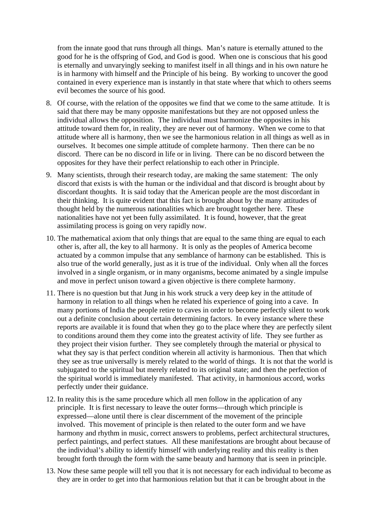from the innate good that runs through all things. Man's nature is eternally attuned to the good for he is the offspring of God, and God is good. When one is conscious that his good is eternally and unvaryingly seeking to manifest itself in all things and in his own nature he is in harmony with himself and the Principle of his being. By working to uncover the good contained in every experience man is instantly in that state where that which to others seems evil becomes the source of his good.

- 8. Of course, with the relation of the opposites we find that we come to the same attitude. It is said that there may be many opposite manifestations but they are not opposed unless the individual allows the opposition. The individual must harmonize the opposites in his attitude toward them for, in reality, they are never out of harmony. When we come to that attitude where all is harmony, then we see the harmonious relation in all things as well as in ourselves. It becomes one simple attitude of complete harmony. Then there can be no discord. There can be no discord in life or in living. There can be no discord between the opposites for they have their perfect relationship to each other in Principle.
- 9. Many scientists, through their research today, are making the same statement: The only discord that exists is with the human or the individual and that discord is brought about by discordant thoughts. It is said today that the American people are the most discordant in their thinking. It is quite evident that this fact is brought about by the many attitudes of thought held by the numerous nationalities which are brought together here. These nationalities have not yet been fully assimilated. It is found, however, that the great assimilating process is going on very rapidly now.
- 10. The mathematical axiom that only things that are equal to the same thing are equal to each other is, after all, the key to all harmony. It is only as the peoples of America become actuated by a common impulse that any semblance of harmony can be established. This is also true of the world generally, just as it is true of the individual. Only when all the forces involved in a single organism, or in many organisms, become animated by a single impulse and move in perfect unison toward a given objective is there complete harmony.
- 11. There is no question but that Jung in his work struck a very deep key in the attitude of harmony in relation to all things when he related his experience of going into a cave. In many portions of India the people retire to caves in order to become perfectly silent to work out a definite conclusion about certain determining factors. In every instance where these reports are available it is found that when they go to the place where they are perfectly silent to conditions around them they come into the greatest activity of life. They see further as they project their vision further. They see completely through the material or physical to what they say is that perfect condition wherein all activity is harmonious. Then that which they see as true universally is merely related to the world of things. It is not that the world is subjugated to the spiritual but merely related to its original state; and then the perfection of the spiritual world is immediately manifested. That activity, in harmonious accord, works perfectly under their guidance.
- 12. In reality this is the same procedure which all men follow in the application of any principle. It is first necessary to leave the outer forms—through which principle is expressed—alone until there is clear discernment of the movement of the principle involved. This movement of principle is then related to the outer form and we have harmony and rhythm in music, correct answers to problems, perfect architectural structures, perfect paintings, and perfect statues. All these manifestations are brought about because of the individual's ability to identify himself with underlying reality and this reality is then brought forth through the form with the same beauty and harmony that is seen in principle.
- 13. Now these same people will tell you that it is not necessary for each individual to become as they are in order to get into that harmonious relation but that it can be brought about in the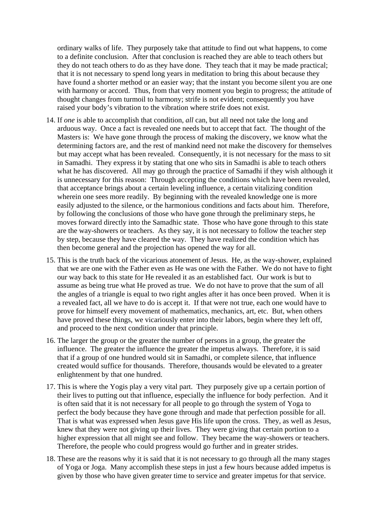ordinary walks of life. They purposely take that attitude to find out what happens, to come to a definite conclusion. After that conclusion is reached they are able to teach others but they do not teach others to do as they have done. They teach that it may be made practical; that it is not necessary to spend long years in meditation to bring this about because they have found a shorter method or an easier way; that the instant you become silent you are one with harmony or accord. Thus, from that very moment you begin to progress; the attitude of thought changes from turmoil to harmony; strife is not evident; consequently you have raised your body's vibration to the vibration where strife does not exist.

- 14. If *one* is able to accomplish that condition, *all* can, but all need not take the long and arduous way. Once a fact is revealed one needs but to accept that fact. The thought of the Masters is: We have gone through the process of making the discovery, we know what the determining factors are, and the rest of mankind need not make the discovery for themselves but may accept what has been revealed. Consequently, it is not necessary for the mass to sit in Samadhi. They express it by stating that one who sits in Samadhi is able to teach others what he has discovered. All may go through the practice of Samadhi if they wish although it is unnecessary for this reason: Through accepting the conditions which have been revealed, that acceptance brings about a certain leveling influence, a certain vitalizing condition wherein one sees more readily. By beginning with the revealed knowledge one is more easily adjusted to the silence, or the harmonious conditions and facts about him. Therefore, by following the conclusions of those who have gone through the preliminary steps, he moves forward directly into the Samadhic state. Those who have gone through to this state are the way-showers or teachers. As they say, it is not necessary to follow the teacher step by step, because they have cleared the way. They have realized the condition which has then become general and the projection has opened the way for all.
- 15. This is the truth back of the vicarious atonement of Jesus. He, as the way-shower, explained that we are one with the Father even as He was one with the Father. We do not have to fight our way back to this state for He revealed it as an established fact. Our work is but to assume as being true what He proved as true. We do not have to prove that the sum of all the angles of a triangle is equal to two right angles after it has once been proved. When it is a revealed fact, all we have to do is accept it. If that were not true, each one would have to prove for himself every movement of mathematics, mechanics, art, etc. But, when others have proved these things, we vicariously enter into their labors, begin where they left off, and proceed to the next condition under that principle.
- 16. The larger the group or the greater the number of persons in a group, the greater the influence. The greater the influence the greater the impetus always. Therefore, it is said that if a group of one hundred would sit in Samadhi, or complete silence, that influence created would suffice for thousands. Therefore, thousands would be elevated to a greater enlightenment by that one hundred.
- 17. This is where the Yogis play a very vital part. They purposely give up a certain portion of their lives to putting out that influence, especially the influence for body perfection. And it is often said that it is not necessary for all people to go through the system of Yoga to perfect the body because they have gone through and made that perfection possible for all. That is what was expressed when Jesus gave His life upon the cross. They, as well as Jesus, knew that they were not giving up their lives. They were giving that certain portion to a higher expression that all might see and follow. They became the way-showers or teachers. Therefore, the people who could progress would go further and in greater strides.
- 18. These are the reasons why it is said that it is not necessary to go through all the many stages of Yoga or Joga. Many accomplish these steps in just a few hours because added impetus is given by those who have given greater time to service and greater impetus for that service.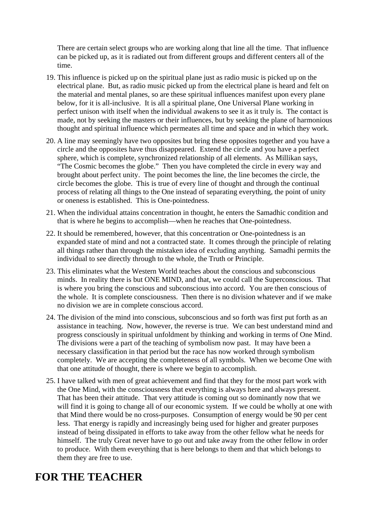There are certain select groups who are working along that line all the time. That influence can be picked up, as it is radiated out from different groups and different centers all of the time.

- 19. This influence is picked up on the spiritual plane just as radio music is picked up on the electrical plane. But, as radio music picked up from the electrical plane is heard and felt on the material and mental planes, so are these spiritual influences manifest upon every plane below, for it is all-inclusive. It is all a spiritual plane, One Universal Plane working in perfect unison with itself when the individual awakens to see it as it truly is. The contact is made, not by seeking the masters or their influences, but by seeking the plane of harmonious thought and spiritual influence which permeates all time and space and in which they work.
- 20. A line may seemingly have two opposites but bring these opposites together and you have a circle and the opposites have thus disappeared. Extend the circle and you have a perfect sphere, which is complete, synchronized relationship of all elements. As Millikan says, "The Cosmic becomes the globe." Then you have completed the circle in every way and brought about perfect unity. The point becomes the line, the line becomes the circle, the circle becomes the globe. This is true of every line of thought and through the continual process of relating all things to the One instead of separating everything, the point of unity or oneness is established. This is One-pointedness.
- 21. When the individual attains concentration in thought, he enters the Samadhic condition and that is where he begins to accomplish—when he reaches that One-pointedness.
- 22. It should be remembered, however, that this concentration or One-pointedness is an expanded state of mind and not a contracted state. It comes through the principle of relating all things rather than through the mistaken idea of excluding anything. Samadhi permits the individual to see directly through to the whole, the Truth or Principle.
- 23. This eliminates what the Western World teaches about the conscious and subconscious minds. In reality there is but ONE MIND, and that, we could call the Superconscious. That is where you bring the conscious and subconscious into accord. You are then conscious of the whole. It is complete consciousness. Then there is no division whatever and if we make no division we are in complete conscious accord.
- 24. The division of the mind into conscious, subconscious and so forth was first put forth as an assistance in teaching. Now, however, the reverse is true. We can best understand mind and progress consciously in spiritual unfoldment by thinking and working in terms of One Mind. The divisions were a part of the teaching of symbolism now past. It may have been a necessary classification in that period but the race has now worked through symbolism completely. We are accepting the completeness of all symbols. When we become One with that one attitude of thought, there is where we begin to accomplish.
- 25. I have talked with men of great achievement and find that they for the most part work with the One Mind, with the consciousness that everything is always here and always present. That has been their attitude. That very attitude is coming out so dominantly now that we will find it is going to change all of our economic system. If we could be wholly at one with that Mind there would be no cross-purposes. Consumption of energy would be 90 per cent less. That energy is rapidly and increasingly being used for higher and greater purposes instead of being dissipated in efforts to take away from the other fellow what he needs for himself. The truly Great never have to go out and take away from the other fellow in order to produce. With them everything that is here belongs to them and that which belongs to them they are free to use.

### **FOR THE TEACHER**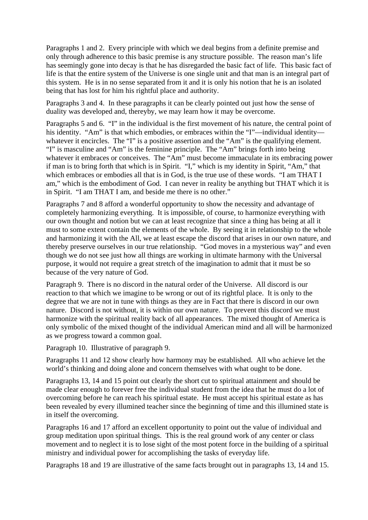Paragraphs 1 and 2. Every principle with which we deal begins from a definite premise and only through adherence to this basic premise is any structure possible. The reason man's life has seemingly gone into decay is that he has disregarded the basic fact of life. This basic fact of life is that the entire system of the Universe is one single unit and that man is an integral part of this system. He is in no sense separated from it and it is only his notion that he is an isolated being that has lost for him his rightful place and authority.

Paragraphs 3 and 4. In these paragraphs it can be clearly pointed out just how the sense of duality was developed and, thereyby, we may learn how it may be overcome.

Paragraphs 5 and 6. "I" in the individual is the first movement of his nature, the central point of his identity. "Am" is that which embodies, or embraces within the "I"—individual identity whatever it encircles. The "I" is a positive assertion and the "Am" is the qualifying element. "I" is masculine and "Am" is the feminine principle. The "Am" brings forth into being whatever it embraces or conceives. The "Am" must become immaculate in its embracing power if man is to bring forth that which is in Spirit. "I," which is my identity in Spirit, "Am," that which embraces or embodies all that is in God, is the true use of these words. "I am THAT I am," which is the embodiment of God. I can never in reality be anything but THAT which it is in Spirit. "I am THAT I am, and beside me there is no other."

Paragraphs 7 and 8 afford a wonderful opportunity to show the necessity and advantage of completely harmonizing everything. It is impossible, of course, to harmonize everything with our own thought and notion but we can at least recognize that since a thing has being at all it must to some extent contain the elements of the whole. By seeing it in relationship to the whole and harmonizing it with the All, we at least escape the discord that arises in our own nature, and thereby preserve ourselves in our true relationship. "God moves in a mysterious way" and even though we do not see just how all things are working in ultimate harmony with the Universal purpose, it would not require a great stretch of the imagination to admit that it must be so because of the very nature of God.

Paragraph 9. There is no discord in the natural order of the Universe. All discord is our reaction to that which we imagine to be wrong or out of its rightful place. It is only to the degree that we are not in tune with things as they are in Fact that there is discord in our own nature. Discord is not without, it is within our own nature. To prevent this discord we must harmonize with the spiritual reality back of all appearances. The mixed thought of America is only symbolic of the mixed thought of the individual American mind and all will be harmonized as we progress toward a common goal.

Paragraph 10. Illustrative of paragraph 9.

Paragraphs 11 and 12 show clearly how harmony may be established. All who achieve let the world's thinking and doing alone and concern themselves with what ought to be done.

Paragraphs 13, 14 and 15 point out clearly the short cut to spiritual attainment and should be made clear enough to forever free the individual student from the idea that he must do a lot of overcoming before he can reach his spiritual estate. He must accept his spiritual estate as has been revealed by every illumined teacher since the beginning of time and this illumined state is in itself the overcoming.

Paragraphs 16 and 17 afford an excellent opportunity to point out the value of individual and group meditation upon spiritual things. This is the real ground work of any center or class movement and to neglect it is to lose sight of the most potent force in the building of a spiritual ministry and individual power for accomplishing the tasks of everyday life.

Paragraphs 18 and 19 are illustrative of the same facts brought out in paragraphs 13, 14 and 15.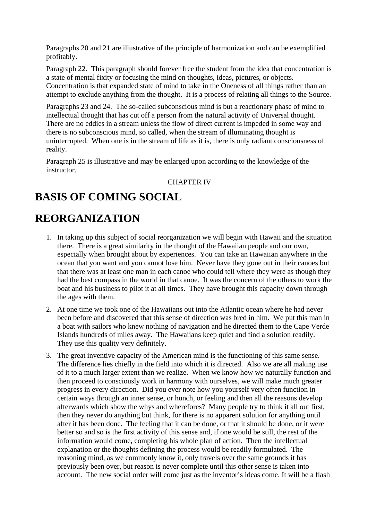Paragraphs 20 and 21 are illustrative of the principle of harmonization and can be exemplified profitably.

Paragraph 22. This paragraph should forever free the student from the idea that concentration is a state of mental fixity or focusing the mind on thoughts, ideas, pictures, or objects. Concentration is that expanded state of mind to take in the Oneness of all things rather than an attempt to exclude anything from the thought. It is a process of relating all things to the Source.

Paragraphs 23 and 24. The so-called subconscious mind is but a reactionary phase of mind to intellectual thought that has cut off a person from the natural activity of Universal thought. There are no eddies in a stream unless the flow of direct current is impeded in some way and there is no subconscious mind, so called, when the stream of illuminating thought is uninterrupted. When one is in the stream of life as it is, there is only radiant consciousness of reality.

Paragraph 25 is illustrative and may be enlarged upon according to the knowledge of the instructor.

### CHAPTER IV

# **BASIS OF COMING SOCIAL**

# **REORGANIZATION**

- 1. In taking up this subject of social reorganization we will begin with Hawaii and the situation there. There is a great similarity in the thought of the Hawaiian people and our own, especially when brought about by experiences. You can take an Hawaiian anywhere in the ocean that you want and you cannot lose him. Never have they gone out in their canoes but that there was at least one man in each canoe who could tell where they were as though they had the best compass in the world in that canoe. It was the concern of the others to work the boat and his business to pilot it at all times. They have brought this capacity down through the ages with them.
- 2. At one time we took one of the Hawaiians out into the Atlantic ocean where he had never been before and discovered that this sense of direction was bred in him. We put this man in a boat with sailors who knew nothing of navigation and he directed them to the Cape Verde Islands hundreds of miles away. The Hawaiians keep quiet and find a solution readily. They use this quality very definitely.
- 3. The great inventive capacity of the American mind is the functioning of this same sense. The difference lies chiefly in the field into which it is directed. Also we are all making use of it to a much larger extent than we realize. When we know how we naturally function and then proceed to consciously work in harmony with ourselves, we will make much greater progress in every direction. Did you ever note how you yourself very often function in certain ways through an inner sense, or hunch, or feeling and then all the reasons develop afterwards which show the whys and wherefores? Many people try to think it all out first, then they never do anything but think, for there is no apparent solution for anything until after it has been done. The feeling that it can be done, or that it should be done, or it were better so and so is the first activity of this sense and, if one would be still, the rest of the information would come, completing his whole plan of action. Then the intellectual explanation or the thoughts defining the process would be readily formulated. The reasoning mind, as we commonly know it, only travels over the same grounds it has previously been over, but reason is never complete until this other sense is taken into account. The new social order will come just as the inventor's ideas come. It will be a flash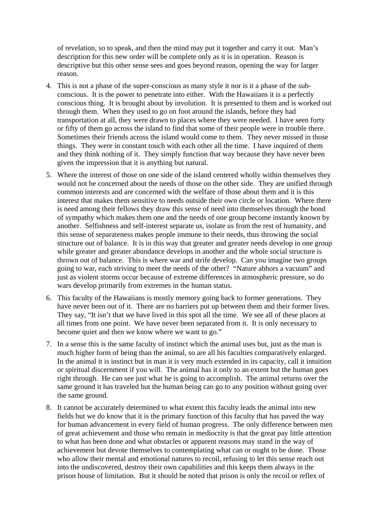of revelation, so to speak, and then the mind may put it together and carry it out. Man's description for this new order will be complete only as it is in operation. Reason is descriptive but this other sense sees and goes beyond reason, opening the way for larger reason.

- 4. This is not a phase of the super-conscious as many style it nor is it a phase of the subconscious. It is the power to penetrate into either. With the Hawaiians it is a perfectly conscious thing. It is brought about by involution. It is presented to them and is worked out through them. When they used to go on foot around the islands, before they had transportation at all, they were drawn to places where they were needed. I have seen forty or fifty of them go across the island to find that some of their people were in trouble there. Sometimes their friends across the island would come to them. They never missed in those things. They were in constant touch with each other all the time. I have inquired of them and they think nothing of it. They simply function that way because they have never been given the impression that it is anything but natural.
- 5. Where the interest of those on one side of the island centered wholly within themselves they would not be concerned about the needs of those on the other side. They are unified through common interests and are concerned with the welfare of those about them and it is this interest that makes them sensitive to needs outside their own circle or location. Where there is need among their fellows they draw this sense of need into themselves through the bond of sympathy which makes them one and the needs of one group become instantly known by another. Selfishness and self-interest separate us, isolate us from the rest of humanity, and this sense of separateness makes people immune to their needs, thus throwing the social structure out of balance. It is in this way that greater and greater needs develop in one group while greater and greater abundance develops in another and the whole social structure is thrown out of balance. This is where war and strife develop. Can you imagine two groups going to war, each striving to meet the needs of the other? "Nature abhors a vacuum" and just as violent storms occur because of extreme differences in atmospheric pressure, so do wars develop primarily from extremes in the human status.
- 6. This faculty of the Hawaiians is mostly memory going back to former generations. They have never been out of it. There are no barriers put up between them and their former lives. They say, "It isn't that we have lived in this spot all the time. We see all of these places at all times from one point. We have never been separated from it. It is only necessary to become quiet and then we know where we want to go."
- 7. In a sense this is the same faculty of instinct which the animal uses but, just as the man is much higher form of being than the animal, so are all his faculties comparatively enlarged. In the animal it is instinct but in man it is very much extended in its capacity, call it intuition or spiritual discernment if you will. The animal has it only to an extent but the human goes right through. He can see just what he is going to accomplish. The animal returns over the same ground it has traveled but the human being can go to any position without going over the same ground.
- 8. It cannot be accurately determined to what extent this faculty leads the animal into new fields but we do know that it is the primary function of this faculty that has paved the way for human advancement in every field of human progress. The only difference between men of great achievement and those who remain in mediocrity is that the great pay little attention to what has been done and what obstacles or apparent reasons may stand in the way of achievement but devote themselves to contemplating what can or ought to be done. Those who allow their mental and emotional natures to recoil, refusing to let this sense reach out into the undiscovered, destroy their own capabilities and this keeps them always in the prison house of limitation. But it should be noted that prison is only the recoil or reflex of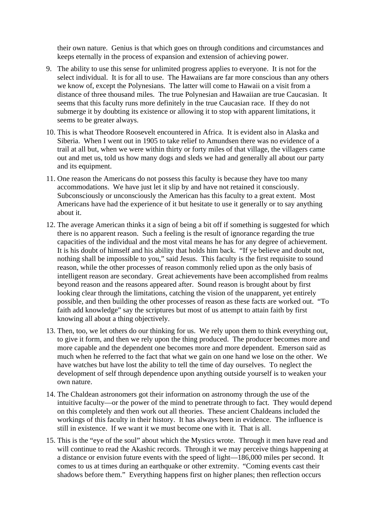their own nature. Genius is that which goes on through conditions and circumstances and keeps eternally in the process of expansion and extension of achieving power.

- 9. The ability to use this sense for unlimited progress applies to everyone. It is not for the select individual. It is for all to use. The Hawaiians are far more conscious than any others we know of, except the Polynesians. The latter will come to Hawaii on a visit from a distance of three thousand miles. The true Polynesian and Hawaiian are true Caucasian. It seems that this faculty runs more definitely in the true Caucasian race. If they do not submerge it by doubting its existence or allowing it to stop with apparent limitations, it seems to be greater always.
- 10. This is what Theodore Roosevelt encountered in Africa. It is evident also in Alaska and Siberia. When I went out in 1905 to take relief to Amundsen there was no evidence of a trail at all but, when we were within thirty or forty miles of that village, the villagers came out and met us, told us how many dogs and sleds we had and generally all about our party and its equipment.
- 11. One reason the Americans do not possess this faculty is because they have too many accommodations. We have just let it slip by and have not retained it consciously. Subconsciously or unconsciously the American has this faculty to a great extent. Most Americans have had the experience of it but hesitate to use it generally or to say anything about it.
- 12. The average American thinks it a sign of being a bit off if something is suggested for which there is no apparent reason. Such a feeling is the result of ignorance regarding the true capacities of the individual and the most vital means he has for any degree of achievement. It is his doubt of himself and his ability that holds him back. "If ye believe and doubt not, nothing shall be impossible to you," said Jesus. This faculty is the first requisite to sound reason, while the other processes of reason commonly relied upon as the only basis of intelligent reason are secondary. Great achievements have been accomplished from realms beyond reason and the reasons appeared after. Sound reason is brought about by first looking clear through the limitations, catching the vision of the unapparent, yet entirely possible, and then building the other processes of reason as these facts are worked out. "To faith add knowledge" say the scriptures but most of us attempt to attain faith by first knowing all about a thing objectively.
- 13. Then, too, we let others do our thinking for us. We rely upon them to think everything out, to give it form, and then we rely upon the thing produced. The producer becomes more and more capable and the dependent one becomes more and more dependent. Emerson said as much when he referred to the fact that what we gain on one hand we lose on the other. We have watches but have lost the ability to tell the time of day ourselves. To neglect the development of self through dependence upon anything outside yourself is to weaken your own nature.
- 14. The Chaldean astronomers got their information on astronomy through the use of the intuitive faculty—or the power of the mind to penetrate through to fact. They would depend on this completely and then work out all theories. These ancient Chaldeans included the workings of this faculty in their history. It has always been in evidence. The influence is still in existence. If we want it we must become one with it. That is all.
- 15. This is the "eye of the soul" about which the Mystics wrote. Through it men have read and will continue to read the Akashic records. Through it we may perceive things happening at a distance or envision future events with the speed of light—186,000 miles per second. It comes to us at times during an earthquake or other extremity. "Coming events cast their shadows before them." Everything happens first on higher planes; then reflection occurs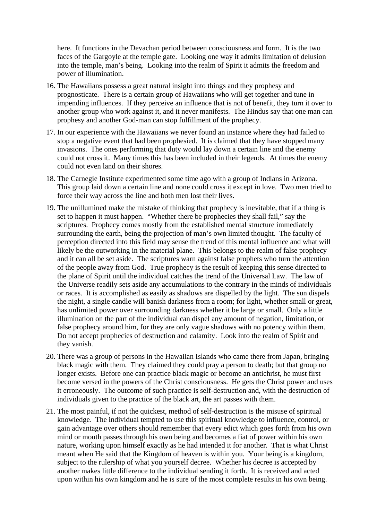here. It functions in the Devachan period between consciousness and form. It is the two faces of the Gargoyle at the temple gate. Looking one way it admits limitation of delusion into the temple, man's being. Looking into the realm of Spirit it admits the freedom and power of illumination.

- 16. The Hawaiians possess a great natural insight into things and they prophesy and prognosticate. There is a certain group of Hawaiians who will get together and tune in impending influences. If they perceive an influence that is not of benefit, they turn it over to another group who work against it, and it never manifests. The Hindus say that one man can prophesy and another God-man can stop fulfillment of the prophecy.
- 17. In our experience with the Hawaiians we never found an instance where they had failed to stop a negative event that had been prophesied. It is claimed that they have stopped many invasions. The ones performing that duty would lay down a certain line and the enemy could not cross it. Many times this has been included in their legends. At times the enemy could not even land on their shores.
- 18. The Carnegie Institute experimented some time ago with a group of Indians in Arizona. This group laid down a certain line and none could cross it except in love. Two men tried to force their way across the line and both men lost their lives.
- 19. The unillumined make the mistake of thinking that prophecy is inevitable, that if a thing is set to happen it must happen. "Whether there be prophecies they shall fail," say the scriptures. Prophecy comes mostly from the established mental structure immediately surrounding the earth, being the projection of man's own limited thought. The faculty of perception directed into this field may sense the trend of this mental influence and what will likely be the outworking in the material plane. This belongs to the realm of false prophecy and it can all be set aside. The scriptures warn against false prophets who turn the attention of the people away from God. True prophecy is the result of keeping this sense directed to the plane of Spirit until the individual catches the trend of the Universal Law. The law of the Universe readily sets aside any accumulations to the contrary in the minds of individuals or races. It is accomplished as easily as shadows are dispelled by the light. The sun dispels the night, a single candle will banish darkness from a room; for light, whether small or great, has unlimited power over surrounding darkness whether it be large or small. Only a little illumination on the part of the individual can dispel any amount of negation, limitation, or false prophecy around him, for they are only vague shadows with no potency within them. Do not accept prophecies of destruction and calamity. Look into the realm of Spirit and they vanish.
- 20. There was a group of persons in the Hawaiian Islands who came there from Japan, bringing black magic with them. They claimed they could pray a person to death; but that group no longer exists. Before one can practice black magic or become an antichrist, he must first become versed in the powers of the Christ consciousness. He gets the Christ power and uses it erroneously. The outcome of such practice is self-destruction and, with the destruction of individuals given to the practice of the black art, the art passes with them.
- 21. The most painful, if not the quickest, method of self-destruction is the misuse of spiritual knowledge. The individual tempted to use this spiritual knowledge to influence, control, or gain advantage over others should remember that every edict which goes forth from his own mind or mouth passes through his own being and becomes a fiat of power within his own nature, working upon himself exactly as he had intended it for another. That is what Christ meant when He said that the Kingdom of heaven is within you. Your being is a kingdom, subject to the rulership of what you yourself decree. Whether his decree is accepted by another makes little difference to the individual sending it forth. It is received and acted upon within his own kingdom and he is sure of the most complete results in his own being.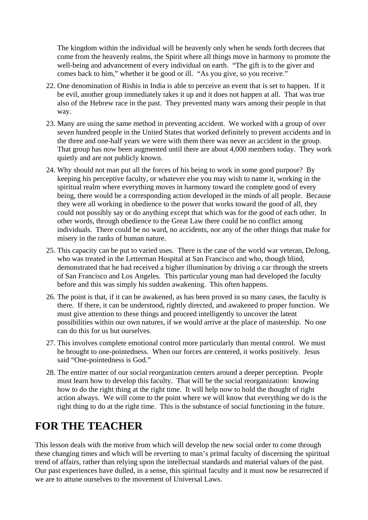The kingdom within the individual will be heavenly only when he sends forth decrees that come from the heavenly realms, the Spirit where all things move in harmony to promote the well-being and advancement of every individual on earth. "The gift is to the giver and comes back to him," whether it be good or ill. "As you give, so you receive."

- 22. One denomination of Rishis in India is able to perceive an event that is set to happen. If it be evil, another group immediately takes it up and it does not happen at all. That was true also of the Hebrew race in the past. They prevented many wars among their people in that way.
- 23. Many are using the same method in preventing accident. We worked with a group of over seven hundred people in the United States that worked definitely to prevent accidents and in the three and one-half years we were with them there was never an accident in the group. That group has now been augmented until there are about 4,000 members today. They work quietly and are not publicly known.
- 24. Why should not man put all the forces of his being to work in some good purpose? By keeping his perceptive faculty, or whatever else you may wish to name it, working in the spiritual realm where everything moves in harmony toward the complete good of every being, there would be a corresponding action developed in the minds of all people. Because they were all working in obedience to the power that works toward the good of all, they could not possibly say or do anything except that which was for the good of each other. In other words, through obedience to the Great Law there could be no conflict among individuals. There could be no ward, no accidents, nor any of the other things that make for misery in the ranks of human nature.
- 25. This capacity can be put to varied uses. There is the case of the world war veteran, DeJong, who was treated in the Letterman Hospital at San Francisco and who, though blind, demonstrated that he had received a higher illumination by driving a car through the streets of San Francisco and Los Angeles. This particular young man had developed the faculty before and this was simply his sudden awakening. This often happens.
- 26. The point is that, if it can be awakened, as has been proved in so many cases, the faculty is there. If there, it can be understood, rightly directed, and awakened to proper function. We must give attention to these things and proceed intelligently to uncover the latent possibilities within our own natures, if we would arrive at the place of mastership. No one can do this for us but ourselves.
- 27. This involves complete emotional control more particularly than mental control. We must be brought to one-pointedness. When our forces are centered, it works positively. Jesus said "One-pointedness is God."
- 28. The entire matter of our social reorganization centers around a deeper perception. People must learn how to develop this faculty. That will be the social reorganization: knowing how to do the right thing at the right time. It will help now to hold the thought of right action always. We will come to the point where we will know that everything we do is the right thing to do at the right time. This is the substance of social functioning in the future.

# **FOR THE TEACHER**

This lesson deals with the motive from which will develop the new social order to come through these changing times and which will be reverting to man's primal faculty of discerning the spiritual trend of affairs, rather than relying upon the intellectual standards and material values of the past. Our past experiences have dulled, in a sense, this spiritual faculty and it must now be resurrected if we are to attune ourselves to the movement of Universal Laws.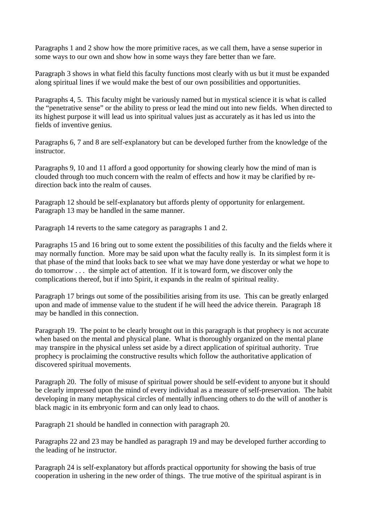Paragraphs 1 and 2 show how the more primitive races, as we call them, have a sense superior in some ways to our own and show how in some ways they fare better than we fare.

Paragraph 3 shows in what field this faculty functions most clearly with us but it must be expanded along spiritual lines if we would make the best of our own possibilities and opportunities.

Paragraphs 4, 5. This faculty might be variously named but in mystical science it is what is called the "penetrative sense" or the ability to press or lead the mind out into new fields. When directed to its highest purpose it will lead us into spiritual values just as accurately as it has led us into the fields of inventive genius.

Paragraphs 6, 7 and 8 are self-explanatory but can be developed further from the knowledge of the instructor.

Paragraphs 9, 10 and 11 afford a good opportunity for showing clearly how the mind of man is clouded through too much concern with the realm of effects and how it may be clarified by redirection back into the realm of causes.

Paragraph 12 should be self-explanatory but affords plenty of opportunity for enlargement. Paragraph 13 may be handled in the same manner.

Paragraph 14 reverts to the same category as paragraphs 1 and 2.

Paragraphs 15 and 16 bring out to some extent the possibilities of this faculty and the fields where it may normally function. More may be said upon what the faculty really is. In its simplest form it is that phase of the mind that looks back to see what we may have done yesterday or what we hope to do tomorrow . . . the simple act of attention. If it is toward form, we discover only the complications thereof, but if into Spirit, it expands in the realm of spiritual reality.

Paragraph 17 brings out some of the possibilities arising from its use. This can be greatly enlarged upon and made of immense value to the student if he will heed the advice therein. Paragraph 18 may be handled in this connection.

Paragraph 19. The point to be clearly brought out in this paragraph is that prophecy is not accurate when based on the mental and physical plane. What is thoroughly organized on the mental plane may transpire in the physical unless set aside by a direct application of spiritual authority. True prophecy is proclaiming the constructive results which follow the authoritative application of discovered spiritual movements.

Paragraph 20. The folly of misuse of spiritual power should be self-evident to anyone but it should be clearly impressed upon the mind of every individual as a measure of self-preservation. The habit developing in many metaphysical circles of mentally influencing others to do the will of another is black magic in its embryonic form and can only lead to chaos.

Paragraph 21 should be handled in connection with paragraph 20.

Paragraphs 22 and 23 may be handled as paragraph 19 and may be developed further according to the leading of he instructor.

Paragraph 24 is self-explanatory but affords practical opportunity for showing the basis of true cooperation in ushering in the new order of things. The true motive of the spiritual aspirant is in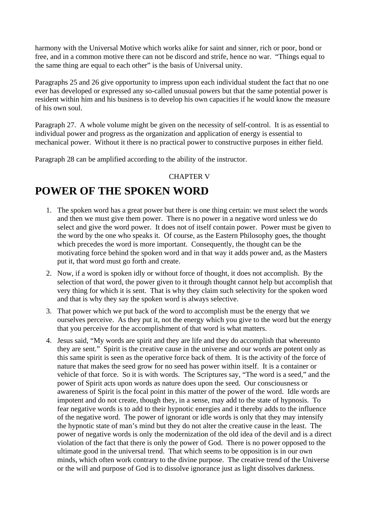harmony with the Universal Motive which works alike for saint and sinner, rich or poor, bond or free, and in a common motive there can not be discord and strife, hence no war. "Things equal to the same thing are equal to each other" is the basis of Universal unity.

Paragraphs 25 and 26 give opportunity to impress upon each individual student the fact that no one ever has developed or expressed any so-called unusual powers but that the same potential power is resident within him and his business is to develop his own capacities if he would know the measure of his own soul.

Paragraph 27. A whole volume might be given on the necessity of self-control. It is as essential to individual power and progress as the organization and application of energy is essential to mechanical power. Without it there is no practical power to constructive purposes in either field.

Paragraph 28 can be amplified according to the ability of the instructor.

### CHAPTER V

# **POWER OF THE SPOKEN WORD**

- 1. The spoken word has a great power but there is one thing certain: we must select the words and then we must give them power. There is no power in a negative word unless we do select and give the word power. It does not of itself contain power. Power must be given to the word by the one who speaks it. Of course, as the Eastern Philosophy goes, the thought which precedes the word is more important. Consequently, the thought can be the motivating force behind the spoken word and in that way it adds power and, as the Masters put it, that word must go forth and create.
- 2. Now, if a word is spoken idly or without force of thought, it does not accomplish. By the selection of that word, the power given to it through thought cannot help but accomplish that very thing for which it is sent. That is why they claim such selectivity for the spoken word and that is why they say the spoken word is always selective.
- 3. That power which we put back of the word to accomplish must be the energy that we ourselves perceive. As they put it, not the energy which you give to the word but the energy that you perceive for the accomplishment of that word is what matters.
- 4. Jesus said, "My words are spirit and they are life and they do accomplish that whereunto they are sent." Spirit is the creative cause in the universe and our words are potent only as this same spirit is seen as the operative force back of them. It is the activity of the force of nature that makes the seed grow for no seed has power within itself. It is a container or vehicle of that force. So it is with words. The Scriptures say, "The word is a seed," and the power of Spirit acts upon words as nature does upon the seed. Our consciousness or awareness of Spirit is the focal point in this matter of the power of the word. Idle words are impotent and do not create, though they, in a sense, may add to the state of hypnosis. To fear negative words is to add to their hypnotic energies and it thereby adds to the influence of the negative word. The power of ignorant or idle words is only that they may intensify the hypnotic state of man's mind but they do not alter the creative cause in the least. The power of negative words is only the modernization of the old idea of the devil and is a direct violation of the fact that there is only the power of God. There is no power opposed to the ultimate good in the universal trend. That which seems to be opposition is in our own minds, which often work contrary to the divine purpose. The creative trend of the Universe or the will and purpose of God is to dissolve ignorance just as light dissolves darkness.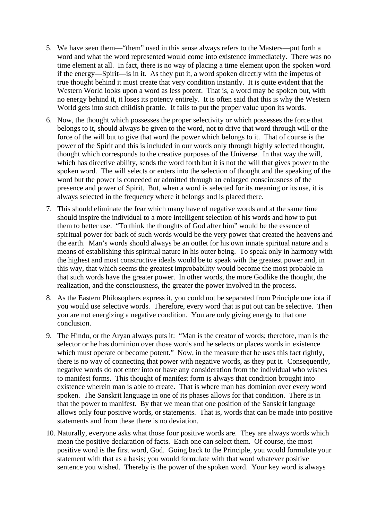- 5. We have seen them—"them" used in this sense always refers to the Masters—put forth a word and what the word represented would come into existence immediately. There was no time element at all. In fact, there is no way of placing a time element upon the spoken word if the energy—Spirit—is in it. As they put it, a word spoken directly with the impetus of true thought behind it must create that very condition instantly. It is quite evident that the Western World looks upon a word as less potent. That is, a word may be spoken but, with no energy behind it, it loses its potency entirely. It is often said that this is why the Western World gets into such childish prattle. It fails to put the proper value upon its words.
- 6. Now, the thought which possesses the proper selectivity or which possesses the force that belongs to it, should always be given to the word, not to drive that word through will or the force of the will but to give that word the power which belongs to it. That of course is the power of the Spirit and this is included in our words only through highly selected thought, thought which corresponds to the creative purposes of the Universe. In that way the will, which has directive ability, sends the word forth but it is not the will that gives power to the spoken word. The will selects or enters into the selection of thought and the speaking of the word but the power is conceded or admitted through an enlarged consciousness of the presence and power of Spirit. But, when a word is selected for its meaning or its use, it is always selected in the frequency where it belongs and is placed there.
- 7. This should eliminate the fear which many have of negative words and at the same time should inspire the individual to a more intelligent selection of his words and how to put them to better use. "To think the thoughts of God after him" would be the essence of spiritual power for back of such words would be the very power that created the heavens and the earth. Man's words should always be an outlet for his own innate spiritual nature and a means of establishing this spiritual nature in his outer being. To speak only in harmony with the highest and most constructive ideals would be to speak with the greatest power and, in this way, that which seems the greatest improbability would become the most probable in that such words have the greater power. In other words, the more Godlike the thought, the realization, and the consciousness, the greater the power involved in the process.
- 8. As the Eastern Philosophers express it, you could not be separated from Principle one iota if you would use selective words. Therefore, every word that is put out can be selective. Then you are not energizing a negative condition. You are only giving energy to that one conclusion.
- 9. The Hindu, or the Aryan always puts it: "Man is the creator of words; therefore, man is the selector or he has dominion over those words and he selects or places words in existence which must operate or become potent." Now, in the measure that he uses this fact rightly, there is no way of connecting that power with negative words, as they put it. Consequently, negative words do not enter into or have any consideration from the individual who wishes to manifest forms. This thought of manifest form is always that condition brought into existence wherein man is able to create. That is where man has dominion over every word spoken. The Sanskrit language in one of its phases allows for that condition. There is in that the power to manifest. By that we mean that one position of the Sanskrit language allows only four positive words, or statements. That is, words that can be made into positive statements and from these there is no deviation.
- 10. Naturally, everyone asks what those four positive words are. They are always words which mean the positive declaration of facts. Each one can select them. Of course, the most positive word is the first word, God. Going back to the Principle, you would formulate your statement with that as a basis; you would formulate with that word whatever positive sentence you wished. Thereby is the power of the spoken word. Your key word is always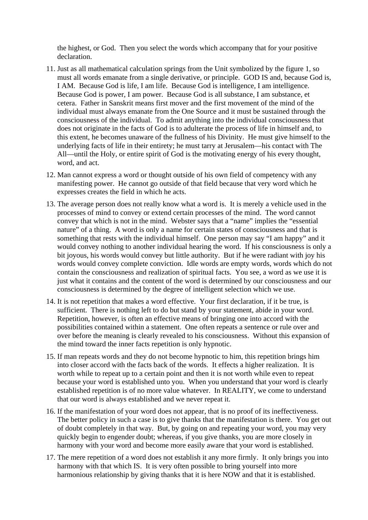the highest, or God. Then you select the words which accompany that for your positive declaration.

- 11. Just as all mathematical calculation springs from the Unit symbolized by the figure 1, so must all words emanate from a single derivative, or principle. GOD IS and, because God is, I AM. Because God is life, I am life. Because God is intelligence, I am intelligence. Because God is power, I am power. Because God is all substance, I am substance, et cetera. Father in Sanskrit means first mover and the first movement of the mind of the individual must always emanate from the One Source and it must be sustained through the consciousness of the individual. To admit anything into the individual consciousness that does not originate in the facts of God is to adulterate the process of life in himself and, to this extent, he becomes unaware of the fullness of his Divinity. He must give himself to the underlying facts of life in their entirety; he must tarry at Jerusalem—his contact with The All—until the Holy, or entire spirit of God is the motivating energy of his every thought, word, and act.
- 12. Man cannot express a word or thought outside of his own field of competency with any manifesting power. He cannot go outside of that field because that very word which he expresses creates the field in which he acts.
- 13. The average person does not really know what a word is. It is merely a vehicle used in the processes of mind to convey or extend certain processes of the mind. The word cannot convey that which is not in the mind. Webster says that a "name" implies the "essential nature" of a thing. A word is only a name for certain states of consciousness and that is something that rests with the individual himself. One person may say "I am happy" and it would convey nothing to another individual hearing the word. If his consciousness is only a bit joyous, his words would convey but little authority. But if he were radiant with joy his words would convey complete conviction. Idle words are empty words, words which do not contain the consciousness and realization of spiritual facts. You see, a word as we use it is just what it contains and the content of the word is determined by our consciousness and our consciousness is determined by the degree of intelligent selection which we use.
- 14. It is not repetition that makes a word effective. Your first declaration, if it be true, is sufficient. There is nothing left to do but stand by your statement, abide in your word. Repetition, however, is often an effective means of bringing one into accord with the possibilities contained within a statement. One often repeats a sentence or rule over and over before the meaning is clearly revealed to his consciousness. Without this expansion of the mind toward the inner facts repetition is only hypnotic.
- 15. If man repeats words and they do not become hypnotic to him, this repetition brings him into closer accord with the facts back of the words. It effects a higher realization. It is worth while to repeat up to a certain point and then it is not worth while even to repeat because your word is established unto you. When you understand that your word is clearly established repetition is of no more value whatever. In REALITY, we come to understand that our word is always established and we never repeat it.
- 16. If the manifestation of your word does not appear, that is no proof of its ineffectiveness. The better policy in such a case is to give thanks that the manifestation is there. You get out of doubt completely in that way. But, by going on and repeating your word, you may very quickly begin to engender doubt; whereas, if you give thanks, you are more closely in harmony with your word and become more easily aware that your word is established.
- 17. The mere repetition of a word does not establish it any more firmly. It only brings you into harmony with that which IS. It is very often possible to bring yourself into more harmonious relationship by giving thanks that it is here NOW and that it is established.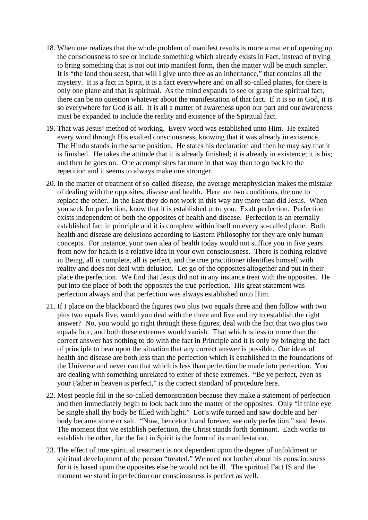- 18. When one realizes that the whole problem of manifest results is more a matter of opening up the consciousness to see or include something which already exists in Fact, instead of trying to bring something that is not out into manifest form, then the matter will be much simpler. It is "the land thou seest, that will I give unto thee as an inheritance," that contains all the mystery. It is a fact in Spirit, it is a fact everywhere and on all so-called planes, for there is only one plane and that is spiritual. As the mind expands to see or grasp the spiritual fact, there can be no question whatever about the manifestation of that fact. If it is so in God, it is so everywhere for God is all. It is all a matter of awareness upon our part and our awareness must be expanded to include the reality and existence of the Spiritual fact.
- 19. That was Jesus' method of working. Every word was established unto Him. He exalted every word through His exalted consciousness, knowing that it was already in existence. The Hindu stands in the same position. He states his declaration and then he may say that it is finished. He takes the attitude that it is already finished; it is already in existence; it is his; and then he goes on. One accomplishes far more in that way than to go back to the repetition and it seems to always make one stronger.
- 20. In the matter of treatment of so-called disease, the average metaphysician makes the mistake of dealing with the opposites, disease and health. Here are two conditions, the one to replace the other. In the East they do not work in this way any more than did Jesus. When you seek for perfection, know that it is established unto you. Exalt perfection. Perfection exists independent of both the opposites of health and disease. Perfection is an eternally established fact in principle and it is complete within itself on every so-called plane. Both health and disease are delusions according to Eastern Philosophy for they are only human concepts. For instance, your own idea of health today would not suffice you in five years from now for health is a relative idea in your own consciousness. There is nothing relative in Being, all is complete, all is perfect, and the true practitioner identifies himself with reality and does not deal with delusion. Let go of the opposites altogether and put in their place the perfection. We find that Jesus did not in any instance treat with the opposites. He put into the place of both the opposites the true perfection. His great statement was perfection always and that perfection was always established unto Him.
- 21. If I place on the blackboard the figures two plus two equals three and then follow with two plus two equals five, would you deal with the three and five and try to establish the right answer? No, you would go right through these figures, deal with the fact that two plus two equals four, and both these extremes would vanish. That which is less or more than the correct answer has nothing to do with the fact in Principle and it is only by bringing the fact of principle to bear upon the situation that any correct answer is possible. Our ideas of health and disease are both less than the perfection which is established in the foundations of the Universe and never can that which is less than perfection be made into perfection. You are dealing with something unrelated to either of these extremes. "Be ye perfect, even as your Father in heaven is perfect," is the correct standard of procedure here.
- 22. Most people fail in the so-called demonstration because they make a statement of perfection and then immediately begin to look back into the matter of the opposites. Only "if thine eye be single shall thy body be filled with light." Lot's wife turned and saw double and her body became stone or salt. "Now, henceforth and forever, see only perfection," said Jesus. The moment that we establish perfection, the Christ stands forth dominant. Each works to establish the other, for the fact in Spirit is the form of its manifestation.
- 23. The effect of true spiritual treatment is not dependent upon the degree of unfoldment or spiritual development of the person "treated." We need not bother about his consciousness for it is based upon the opposites else he would not be ill. The spiritual Fact IS and the moment we stand in perfection our consciousness is perfect as well.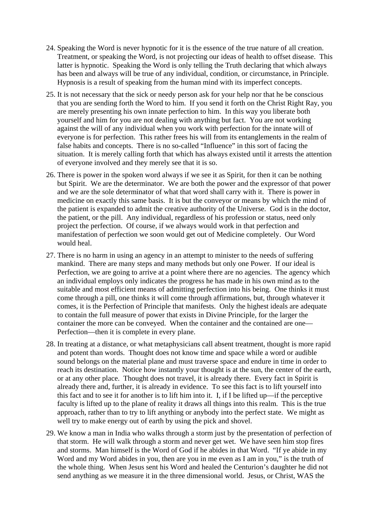- 24. Speaking the Word is never hypnotic for it is the essence of the true nature of all creation. Treatment, or speaking the Word, is not projecting our ideas of health to offset disease. This latter is hypnotic. Speaking the Word is only telling the Truth declaring that which always has been and always will be true of any individual, condition, or circumstance, in Principle. Hypnosis is a result of speaking from the human mind with its imperfect concepts.
- 25. It is not necessary that the sick or needy person ask for your help nor that he be conscious that you are sending forth the Word to him. If you send it forth on the Christ Right Ray, you are merely presenting his own innate perfection to him. In this way you liberate both yourself and him for you are not dealing with anything but fact. You are not working against the will of any individual when you work with perfection for the innate will of everyone is for perfection. This rather frees his will from its entanglements in the realm of false habits and concepts. There is no so-called "Influence" in this sort of facing the situation. It is merely calling forth that which has always existed until it arrests the attention of everyone involved and they merely see that it is so.
- 26. There is power in the spoken word always if we see it as Spirit, for then it can be nothing but Spirit. We are the determinator. We are both the power and the expressor of that power and we are the sole determinator of what that word shall carry with it. There is power in medicine on exactly this same basis. It is but the conveyor or means by which the mind of the patient is expanded to admit the creative authority of the Universe. God is in the doctor, the patient, or the pill. Any individual, regardless of his profession or status, need only project the perfection. Of course, if we always would work in that perfection and manifestation of perfection we soon would get out of Medicine completely. Our Word would heal.
- 27. There is no harm in using an agency in an attempt to minister to the needs of suffering mankind. There are many steps and many methods but only one Power. If our ideal is Perfection, we are going to arrive at a point where there are no agencies. The agency which an individual employs only indicates the progress he has made in his own mind as to the suitable and most efficient means of admitting perfection into his being. One thinks it must come through a pill, one thinks it will come through affirmations, but, through whatever it comes, it is the Perfection of Principle that manifests. Only the highest ideals are adequate to contain the full measure of power that exists in Divine Principle, for the larger the container the more can be conveyed. When the container and the contained are one— Perfection—then it is complete in every plane.
- 28. In treating at a distance, or what metaphysicians call absent treatment, thought is more rapid and potent than words. Thought does not know time and space while a word or audible sound belongs on the material plane and must traverse space and endure in time in order to reach its destination. Notice how instantly your thought is at the sun, the center of the earth, or at any other place. Thought does not travel, it is already there. Every fact in Spirit is already there and, further, it is already in evidence. To see this fact is to lift yourself into this fact and to see it for another is to lift him into it. I, if I be lifted up—if the perceptive faculty is lifted up to the plane of reality it draws all things into this realm. This is the true approach, rather than to try to lift anything or anybody into the perfect state. We might as well try to make energy out of earth by using the pick and shovel.
- 29. We know a man in India who walks through a storm just by the presentation of perfection of that storm. He will walk through a storm and never get wet. We have seen him stop fires and storms. Man himself is the Word of God if he abides in that Word. "If ye abide in my Word and my Word abides in you, then are you in me even as I am in you," is the truth of the whole thing. When Jesus sent his Word and healed the Centurion's daughter he did not send anything as we measure it in the three dimensional world. Jesus, or Christ, WAS the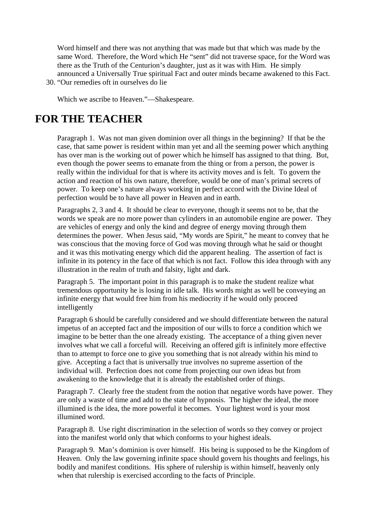Word himself and there was not anything that was made but that which was made by the same Word. Therefore, the Word which He "sent" did not traverse space, for the Word was there as the Truth of the Centurion's daughter, just as it was with Him. He simply announced a Universally True spiritual Fact and outer minds became awakened to this Fact.

30. "Our remedies oft in ourselves do lie

Which we ascribe to Heaven."—Shakespeare.

### **FOR THE TEACHER**

Paragraph 1. Was not man given dominion over all things in the beginning? If that be the case, that same power is resident within man yet and all the seeming power which anything has over man is the working out of power which he himself has assigned to that thing. But, even though the power seems to emanate from the thing or from a person, the power is really within the individual for that is where its activity moves and is felt. To govern the action and reaction of his own nature, therefore, would be one of man's primal secrets of power. To keep one's nature always working in perfect accord with the Divine Ideal of perfection would be to have all power in Heaven and in earth.

Paragraphs 2, 3 and 4. It should be clear to everyone, though it seems not to be, that the words we speak are no more power than cylinders in an automobile engine are power. They are vehicles of energy and only the kind and degree of energy moving through them determines the power. When Jesus said, "My words are Spirit," he meant to convey that he was conscious that the moving force of God was moving through what he said or thought and it was this motivating energy which did the apparent healing. The assertion of fact is infinite in its potency in the face of that which is not fact. Follow this idea through with any illustration in the realm of truth and falsity, light and dark.

Paragraph 5. The important point in this paragraph is to make the student realize what tremendous opportunity he is losing in idle talk. His words might as well be conveying an infinite energy that would free him from his mediocrity if he would only proceed intelligently

Paragraph 6 should be carefully considered and we should differentiate between the natural impetus of an accepted fact and the imposition of our wills to force a condition which we imagine to be better than the one already existing. The acceptance of a thing given never involves what we call a forceful will. Receiving an offered gift is infinitely more effective than to attempt to force one to give you something that is not already within his mind to give. Accepting a fact that is universally true involves no supreme assertion of the individual will. Perfection does not come from projecting our own ideas but from awakening to the knowledge that it is already the established order of things.

Paragraph 7. Clearly free the student from the notion that negative words have power. They are only a waste of time and add to the state of hypnosis. The higher the ideal, the more illumined is the idea, the more powerful it becomes. Your lightest word is your most illumined word.

Paragraph 8. Use right discrimination in the selection of words so they convey or project into the manifest world only that which conforms to your highest ideals.

Paragraph 9. Man's dominion is over himself. His being is supposed to be the Kingdom of Heaven. Only the law governing infinite space should govern his thoughts and feelings, his bodily and manifest conditions. His sphere of rulership is within himself, heavenly only when that rulership is exercised according to the facts of Principle.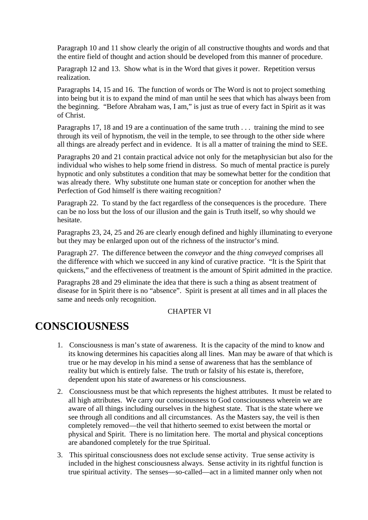Paragraph 10 and 11 show clearly the origin of all constructive thoughts and words and that the entire field of thought and action should be developed from this manner of procedure.

Paragraph 12 and 13. Show what is in the Word that gives it power. Repetition versus realization.

Paragraphs 14, 15 and 16. The function of words or The Word is not to project something into being but it is to expand the mind of man until he sees that which has always been from the beginning. "Before Abraham was, I am," is just as true of every fact in Spirit as it was of Christ.

Paragraphs 17, 18 and 19 are a continuation of the same truth . . . training the mind to see through its veil of hypnotism, the veil in the temple, to see through to the other side where all things are already perfect and in evidence. It is all a matter of training the mind to SEE.

Paragraphs 20 and 21 contain practical advice not only for the metaphysician but also for the individual who wishes to help some friend in distress. So much of mental practice is purely hypnotic and only substitutes a condition that may be somewhat better for the condition that was already there. Why substitute one human state or conception for another when the Perfection of God himself is there waiting recognition?

Paragraph 22. To stand by the fact regardless of the consequences is the procedure. There can be no loss but the loss of our illusion and the gain is Truth itself, so why should we hesitate.

Paragraphs 23, 24, 25 and 26 are clearly enough defined and highly illuminating to everyone but they may be enlarged upon out of the richness of the instructor's mind.

Paragraph 27. The difference between the *conveyor* and the *thing conveyed* comprises all the difference with which we succeed in any kind of curative practice. "It is the Spirit that quickens," and the effectiveness of treatment is the amount of Spirit admitted in the practice.

Paragraphs 28 and 29 eliminate the idea that there is such a thing as absent treatment of disease for in Spirit there is no "absence". Spirit is present at all times and in all places the same and needs only recognition.

#### CHAPTER VI

### **CONSCIOUSNESS**

- 1. Consciousness is man's state of awareness. It is the capacity of the mind to know and its knowing determines his capacities along all lines. Man may be aware of that which is true or he may develop in his mind a sense of awareness that has the semblance of reality but which is entirely false. The truth or falsity of his estate is, therefore, dependent upon his state of awareness or his consciousness.
- 2. Consciousness must be that which represents the highest attributes. It must be related to all high attributes. We carry our consciousness to God consciousness wherein we are aware of all things including ourselves in the highest state. That is the state where we see through all conditions and all circumstances. As the Masters say, the veil is then completely removed—the veil that hitherto seemed to exist between the mortal or physical and Spirit. There is no limitation here. The mortal and physical conceptions are abandoned completely for the true Spiritual.
- 3. This spiritual consciousness does not exclude sense activity. True sense activity is included in the highest consciousness always. Sense activity in its rightful function is true spiritual activity. The senses—so-called—act in a limited manner only when not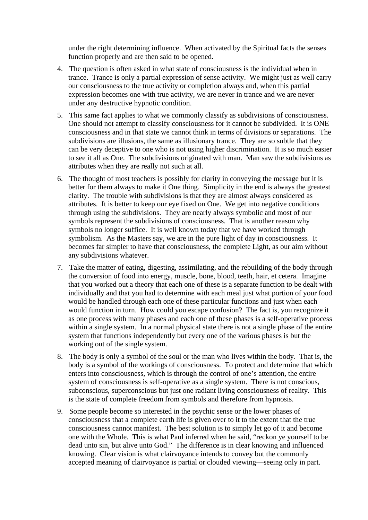under the right determining influence. When activated by the Spiritual facts the senses function properly and are then said to be opened.

- 4. The question is often asked in what state of consciousness is the individual when in trance. Trance is only a partial expression of sense activity. We might just as well carry our consciousness to the true activity or completion always and, when this partial expression becomes one with true activity, we are never in trance and we are never under any destructive hypnotic condition.
- 5. This same fact applies to what we commonly classify as subdivisions of consciousness. One should not attempt to classify consciousness for it cannot be subdivided. It is ONE consciousness and in that state we cannot think in terms of divisions or separations. The subdivisions are illusions, the same as illusionary trance. They are so subtle that they can be very deceptive to one who is not using higher discrimination. It is so much easier to see it all as One. The subdivisions originated with man. Man saw the subdivisions as attributes when they are really not such at all.
- 6. The thought of most teachers is possibly for clarity in conveying the message but it is better for them always to make it One thing. Simplicity in the end is always the greatest clarity. The trouble with subdivisions is that they are almost always considered as attributes. It is better to keep our eye fixed on One. We get into negative conditions through using the subdivisions. They are nearly always symbolic and most of our symbols represent the subdivisions of consciousness. That is another reason why symbols no longer suffice. It is well known today that we have worked through symbolism. As the Masters say, we are in the pure light of day in consciousness. It becomes far simpler to have that consciousness, the complete Light, as our aim without any subdivisions whatever.
- 7. Take the matter of eating, digesting, assimilating, and the rebuilding of the body through the conversion of food into energy, muscle, bone, blood, teeth, hair, et cetera. Imagine that you worked out a theory that each one of these is a separate function to be dealt with individually and that you had to determine with each meal just what portion of your food would be handled through each one of these particular functions and just when each would function in turn. How could you escape confusion? The fact is, you recognize it as one process with many phases and each one of these phases is a self-operative process within a single system. In a normal physical state there is not a single phase of the entire system that functions independently but every one of the various phases is but the working out of the single system.
- 8. The body is only a symbol of the soul or the man who lives within the body. That is, the body is a symbol of the workings of consciousness. To protect and determine that which enters into consciousness, which is through the control of one's attention, the entire system of consciousness is self-operative as a single system. There is not conscious, subconscious, superconscious but just one radiant living consciousness of reality. This is the state of complete freedom from symbols and therefore from hypnosis.
- 9. Some people become so interested in the psychic sense or the lower phases of consciousness that a complete earth life is given over to it to the extent that the true consciousness cannot manifest. The best solution is to simply let go of it and become one with the Whole. This is what Paul inferred when he said, "reckon ye yourself to be dead unto sin, but alive unto God." The difference is in clear knowing and influenced knowing. Clear vision is what clairvoyance intends to convey but the commonly accepted meaning of clairvoyance is partial or clouded viewing—seeing only in part.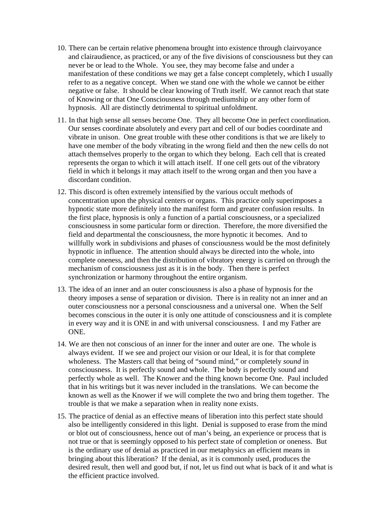- 10. There can be certain relative phenomena brought into existence through clairvoyance and clairaudience, as practiced, or any of the five divisions of consciousness but they can never be or lead to the Whole. You see, they may become false and under a manifestation of these conditions we may get a false concept completely, which I usually refer to as a negative concept. When we stand one with the whole we cannot be either negative or false. It should be clear knowing of Truth itself. We cannot reach that state of Knowing or that One Consciousness through mediumship or any other form of hypnosis. All are distinctly detrimental to spiritual unfoldment.
- 11. In that high sense all senses become One. They all become One in perfect coordination. Our senses coordinate absolutely and every part and cell of our bodies coordinate and vibrate in unison. One great trouble with these other conditions is that we are likely to have one member of the body vibrating in the wrong field and then the new cells do not attach themselves properly to the organ to which they belong. Each cell that is created represents the organ to which it will attach itself. If one cell gets out of the vibratory field in which it belongs it may attach itself to the wrong organ and then you have a discordant condition.
- 12. This discord is often extremely intensified by the various occult methods of concentration upon the physical centers or organs. This practice only superimposes a hypnotic state more definitely into the manifest form and greater confusion results. In the first place, hypnosis is only a function of a partial consciousness, or a specialized consciousness in some particular form or direction. Therefore, the more diversified the field and departmental the consciousness, the more hypnotic it becomes. And to willfully work in subdivisions and phases of consciousness would be the most definitely hypnotic in influence. The attention should always be directed into the whole, into complete oneness, and then the distribution of vibratory energy is carried on through the mechanism of consciousness just as it is in the body. Then there is perfect synchronization or harmony throughout the entire organism.
- 13. The idea of an inner and an outer consciousness is also a phase of hypnosis for the theory imposes a sense of separation or division. There is in reality not an inner and an outer consciousness nor a personal consciousness and a universal one. When the Self becomes conscious in the outer it is only one attitude of consciousness and it is complete in every way and it is ONE in and with universal consciousness. I and my Father are ONE.
- 14. We are then not conscious of an inner for the inner and outer are one. The whole is always evident. If we see and project our vision or our Ideal, it is for that complete wholeness. The Masters call that being of "sound mind," or completely *sound* in consciousness. It is perfectly sound and whole. The body is perfectly sound and perfectly whole as well. The Knower and the thing known become One. Paul included that in his writings but it was never included in the translations. We can become the known as well as the Knower if we will complete the two and bring them together. The trouble is that we make a separation when in reality none exists.
- 15. The practice of denial as an effective means of liberation into this perfect state should also be intelligently considered in this light. Denial is supposed to erase from the mind or blot out of consciousness, hence out of man's being, an experience or process that is not true or that is seemingly opposed to his perfect state of completion or oneness. But is the ordinary use of denial as practiced in our metaphysics an efficient means in bringing about this liberation? If the denial, as it is commonly used, produces the desired result, then well and good but, if not, let us find out what is back of it and what is the efficient practice involved.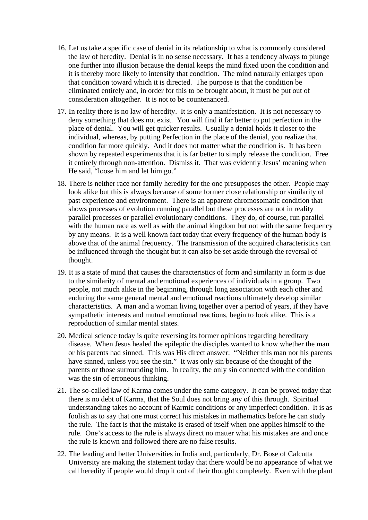- 16. Let us take a specific case of denial in its relationship to what is commonly considered the law of heredity. Denial is in no sense necessary. It has a tendency always to plunge one further into illusion because the denial keeps the mind fixed upon the condition and it is thereby more likely to intensify that condition. The mind naturally enlarges upon that condition toward which it is directed. The purpose is that the condition be eliminated entirely and, in order for this to be brought about, it must be put out of consideration altogether. It is not to be countenanced.
- 17. In reality there is no law of heredity. It is only a manifestation. It is not necessary to deny something that does not exist. You will find it far better to put perfection in the place of denial. You will get quicker results. Usually a denial holds it closer to the individual, whereas, by putting Perfection in the place of the denial, you realize that condition far more quickly. And it does not matter what the condition is. It has been shown by repeated experiments that it is far better to simply release the condition. Free it entirely through non-attention. Dismiss it. That was evidently Jesus' meaning when He said, "loose him and let him go."
- 18. There is neither race nor family heredity for the one presupposes the other. People may look alike but this is always because of some former close relationship or similarity of past experience and environment. There is an apparent chromosomatic condition that shows processes of evolution running parallel but these processes are not in reality parallel processes or parallel evolutionary conditions. They do, of course, run parallel with the human race as well as with the animal kingdom but not with the same frequency by any means. It is a well known fact today that every frequency of the human body is above that of the animal frequency. The transmission of the acquired characteristics can be influenced through the thought but it can also be set aside through the reversal of thought.
- 19. It is a state of mind that causes the characteristics of form and similarity in form is due to the similarity of mental and emotional experiences of individuals in a group. Two people, not much alike in the beginning, through long association with each other and enduring the same general mental and emotional reactions ultimately develop similar characteristics. A man and a woman living together over a period of years, if they have sympathetic interests and mutual emotional reactions, begin to look alike. This is a reproduction of similar mental states.
- 20. Medical science today is quite reversing its former opinions regarding hereditary disease. When Jesus healed the epileptic the disciples wanted to know whether the man or his parents had sinned. This was His direct answer: "Neither this man nor his parents have sinned, unless you see the sin." It was only sin because of the thought of the parents or those surrounding him. In reality, the only sin connected with the condition was the sin of erroneous thinking.
- 21. The so-called law of Karma comes under the same category. It can be proved today that there is no debt of Karma, that the Soul does not bring any of this through. Spiritual understanding takes no account of Karmic conditions or any imperfect condition. It is as foolish as to say that one must correct his mistakes in mathematics before he can study the rule. The fact is that the mistake is erased of itself when one applies himself to the rule. One's access to the rule is always direct no matter what his mistakes are and once the rule is known and followed there are no false results.
- 22. The leading and better Universities in India and, particularly, Dr. Bose of Calcutta University are making the statement today that there would be no appearance of what we call heredity if people would drop it out of their thought completely. Even with the plant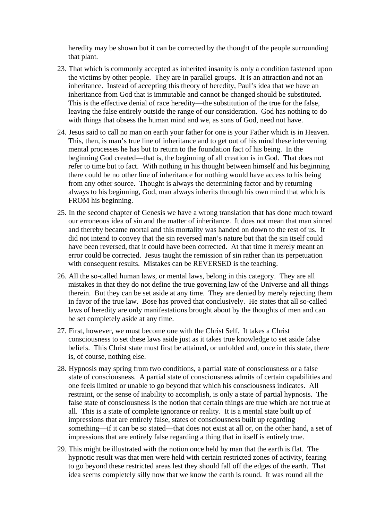heredity may be shown but it can be corrected by the thought of the people surrounding that plant.

- 23. That which is commonly accepted as inherited insanity is only a condition fastened upon the victims by other people. They are in parallel groups. It is an attraction and not an inheritance. Instead of accepting this theory of heredity, Paul's idea that we have an inheritance from God that is immutable and cannot be changed should be substituted. This is the effective denial of race heredity—the substitution of the true for the false, leaving the false entirely outside the range of our consideration. God has nothing to do with things that obsess the human mind and we, as sons of God, need not have.
- 24. Jesus said to call no man on earth your father for one is your Father which is in Heaven. This, then, is man's true line of inheritance and to get out of his mind these intervening mental processes he has but to return to the foundation fact of his being. In the beginning God created—that is, the beginning of all creation is in God. That does not refer to time but to fact. With nothing in his thought between himself and his beginning there could be no other line of inheritance for nothing would have access to his being from any other source. Thought is always the determining factor and by returning always to his beginning, God, man always inherits through his own mind that which is FROM his beginning.
- 25. In the second chapter of Genesis we have a wrong translation that has done much toward our erroneous idea of sin and the matter of inheritance. It does not mean that man sinned and thereby became mortal and this mortality was handed on down to the rest of us. It did not intend to convey that the sin reversed man's nature but that the sin itself could have been reversed, that it could have been corrected. At that time it merely meant an error could be corrected. Jesus taught the remission of sin rather than its perpetuation with consequent results. Mistakes can be REVERSED is the teaching.
- 26. All the so-called human laws, or mental laws, belong in this category. They are all mistakes in that they do not define the true governing law of the Universe and all things therein. But they can be set aside at any time. They are denied by merely rejecting them in favor of the true law. Bose has proved that conclusively. He states that all so-called laws of heredity are only manifestations brought about by the thoughts of men and can be set completely aside at any time.
- 27. First, however, we must become one with the Christ Self. It takes a Christ consciousness to set these laws aside just as it takes true knowledge to set aside false beliefs. This Christ state must first be attained, or unfolded and, once in this state, there is, of course, nothing else.
- 28. Hypnosis may spring from two conditions, a partial state of consciousness or a false state of consciousness. A partial state of consciousness admits of certain capabilities and one feels limited or unable to go beyond that which his consciousness indicates. All restraint, or the sense of inability to accomplish, is only a state of partial hypnosis. The false state of consciousness is the notion that certain things are true which are not true at all. This is a state of complete ignorance or reality. It is a mental state built up of impressions that are entirely false, states of consciousness built up regarding something—if it can be so stated—that does not exist at all or, on the other hand, a set of impressions that are entirely false regarding a thing that in itself is entirely true.
- 29. This might be illustrated with the notion once held by man that the earth is flat. The hypnotic result was that men were held with certain restricted zones of activity, fearing to go beyond these restricted areas lest they should fall off the edges of the earth. That idea seems completely silly now that we know the earth is round. It was round all the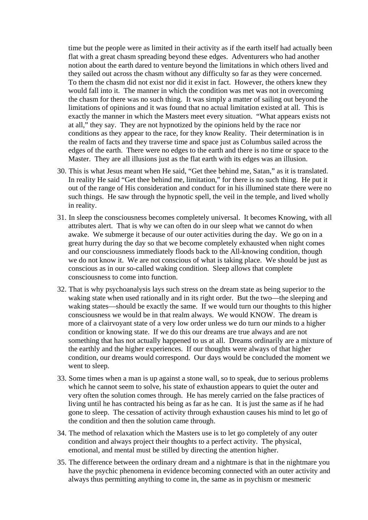time but the people were as limited in their activity as if the earth itself had actually been flat with a great chasm spreading beyond these edges. Adventurers who had another notion about the earth dared to venture beyond the limitations in which others lived and they sailed out across the chasm without any difficulty so far as they were concerned. To them the chasm did not exist nor did it exist in fact. However, the others knew they would fall into it. The manner in which the condition was met was not in overcoming the chasm for there was no such thing. It was simply a matter of sailing out beyond the limitations of opinions and it was found that no actual limitation existed at all. This is exactly the manner in which the Masters meet every situation. "What appears exists not at all," they say. They are not hypnotized by the opinions held by the race nor conditions as they appear to the race, for they know Reality. Their determination is in the realm of facts and they traverse time and space just as Columbus sailed across the edges of the earth. There were no edges to the earth and there is no time or space to the Master. They are all illusions just as the flat earth with its edges was an illusion.

- 30. This is what Jesus meant when He said, "Get thee behind me, Satan," as it is translated. In reality He said "Get thee behind me, limitation," for there is no such thing. He put it out of the range of His consideration and conduct for in his illumined state there were no such things. He saw through the hypnotic spell, the veil in the temple, and lived wholly in reality.
- 31. In sleep the consciousness becomes completely universal. It becomes Knowing, with all attributes alert. That is why we can often do in our sleep what we cannot do when awake. We submerge it because of our outer activities during the day. We go on in a great hurry during the day so that we become completely exhausted when night comes and our consciousness immediately floods back to the All-knowing condition, though we do not know it. We are not conscious of what is taking place. We should be just as conscious as in our so-called waking condition. Sleep allows that complete consciousness to come into function.
- 32. That is why psychoanalysis lays such stress on the dream state as being superior to the waking state when used rationally and in its right order. But the two—the sleeping and waking states—should be exactly the same. If we would turn our thoughts to this higher consciousness we would be in that realm always. We would KNOW. The dream is more of a clairvoyant state of a very low order unless we do turn our minds to a higher condition or knowing state. If we do this our dreams are true always and are not something that has not actually happened to us at all. Dreams ordinarily are a mixture of the earthly and the higher experiences. If our thoughts were always of that higher condition, our dreams would correspond. Our days would be concluded the moment we went to sleep.
- 33. Some times when a man is up against a stone wall, so to speak, due to serious problems which he cannot seem to solve, his state of exhaustion appears to quiet the outer and very often the solution comes through. He has merely carried on the false practices of living until he has contracted his being as far as he can. It is just the same as if he had gone to sleep. The cessation of activity through exhaustion causes his mind to let go of the condition and then the solution came through.
- 34. The method of relaxation which the Masters use is to let go completely of any outer condition and always project their thoughts to a perfect activity. The physical, emotional, and mental must be stilled by directing the attention higher.
- 35. The difference between the ordinary dream and a nightmare is that in the nightmare you have the psychic phenomena in evidence becoming connected with an outer activity and always thus permitting anything to come in, the same as in psychism or mesmeric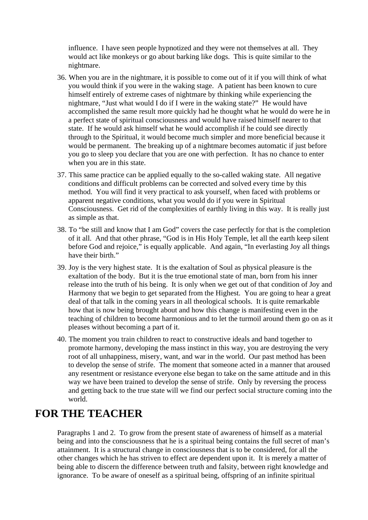influence. I have seen people hypnotized and they were not themselves at all. They would act like monkeys or go about barking like dogs. This is quite similar to the nightmare.

- 36. When you are in the nightmare, it is possible to come out of it if you will think of what you would think if you were in the waking stage. A patient has been known to cure himself entirely of extreme cases of nightmare by thinking while experiencing the nightmare, "Just what would I do if I were in the waking state?" He would have accomplished the same result more quickly had he thought what he would do were he in a perfect state of spiritual consciousness and would have raised himself nearer to that state. If he would ask himself what he would accomplish if he could see directly through to the Spiritual, it would become much simpler and more beneficial because it would be permanent. The breaking up of a nightmare becomes automatic if just before you go to sleep you declare that you are one with perfection. It has no chance to enter when you are in this state.
- 37. This same practice can be applied equally to the so-called waking state. All negative conditions and difficult problems can be corrected and solved every time by this method. You will find it very practical to ask yourself, when faced with problems or apparent negative conditions, what you would do if you were in Spiritual Consciousness. Get rid of the complexities of earthly living in this way. It is really just as simple as that.
- 38. To "be still and know that I am God" covers the case perfectly for that is the completion of it all. And that other phrase, "God is in His Holy Temple, let all the earth keep silent before God and rejoice," is equally applicable. And again, "In everlasting Joy all things have their birth."
- 39. Joy is the very highest state. It is the exaltation of Soul as physical pleasure is the exaltation of the body. But it is the true emotional state of man, born from his inner release into the truth of his being. It is only when we get out of that condition of Joy and Harmony that we begin to get separated from the Highest. You are going to hear a great deal of that talk in the coming years in all theological schools. It is quite remarkable how that is now being brought about and how this change is manifesting even in the teaching of children to become harmonious and to let the turmoil around them go on as it pleases without becoming a part of it.
- 40. The moment you train children to react to constructive ideals and band together to promote harmony, developing the mass instinct in this way, you are destroying the very root of all unhappiness, misery, want, and war in the world. Our past method has been to develop the sense of strife. The moment that someone acted in a manner that aroused any resentment or resistance everyone else began to take on the same attitude and in this way we have been trained to develop the sense of strife. Only by reversing the process and getting back to the true state will we find our perfect social structure coming into the world.

### **FOR THE TEACHER**

Paragraphs 1 and 2. To grow from the present state of awareness of himself as a material being and into the consciousness that he is a spiritual being contains the full secret of man's attainment. It is a structural change in consciousness that is to be considered, for all the other changes which he has striven to effect are dependent upon it. It is merely a matter of being able to discern the difference between truth and falsity, between right knowledge and ignorance. To be aware of oneself as a spiritual being, offspring of an infinite spiritual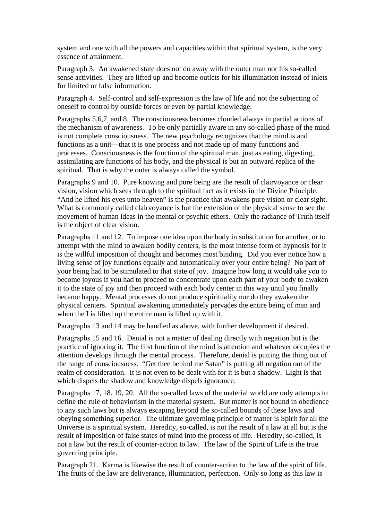system and one with all the powers and capacities within that spiritual system, is the very essence of attainment.

Paragraph 3. An awakened state does not do away with the outer man nor his so-called sense activities. They are lifted up and become outlets for his illumination instead of inlets for limited or false information.

Paragraph 4. Self-control and self-expression is the law of life and not the subjecting of oneself to control by outside forces or even by partial knowledge.

Paragraphs 5,6,7, and 8. The consciousness becomes clouded always in partial actions of the mechanism of awareness. To be only partially aware in any so-called phase of the mind is not complete consciousness. The new psychology recognizes that the mind is and functions as a unit—that it is one process and not made up of many functions and processes. Consciousness is the function of the spiritual man, just as eating, digesting, assimilating are functions of his body, and the physical is but an outward replica of the spiritual. That is why the outer is always called the symbol.

Paragraphs 9 and 10. Pure knowing and pure being are the result of clairvoyance or clear vision, vision which sees through to the spiritual fact as it exists in the Divine Principle. "And he lifted his eyes unto heaven" is the practice that awakens pure vision or clear sight. What is commonly called clairvoyance is but the extension of the physical sense to see the movement of human ideas in the mental or psychic ethers. Only the radiance of Truth itself is the object of clear vision.

Paragraphs 11 and 12. To impose one idea upon the body in substitution for another, or to attempt with the mind to awaken bodily centers, is the most intense form of hypnosis for it is the willful imposition of thought and becomes most binding. Did you ever notice how a living sense of joy functions equally and automatically over your entire being? No part of your being had to be stimulated to that state of joy. Imagine how long it would take you to become joyous if you had to proceed to concentrate upon each part of your body to awaken it to the state of joy and then proceed with each body center in this way until you finally became happy. Mental processes do not produce spirituality nor do they awaken the physical centers. Spiritual awakening immediately pervades the entire being of man and when the I is lifted up the entire man is lifted up with it.

Paragraphs 13 and 14 may be handled as above, with further development if desired.

Paragraphs 15 and 16. Denial is not a matter of dealing directly with negation but is the practice of ignoring it. The first function of the mind is attention and whatever occupies the attention develops through the mental process. Therefore, denial is putting the thing out of the range of consciousness. "Get thee behind me Satan" is putting all negation out of the realm of consideration. It is not even to be dealt with for it is but a shadow. Light is that which dispels the shadow and knowledge dispels ignorance.

Paragraphs 17, 18. 19, 20. All the so-called laws of the material world are only attempts to define the rule of behaviorism in the material system. But matter is not bound in obedience to any such laws but is always escaping beyond the so-called bounds of these laws and obeying something superior. The ultimate governing principle of matter is Spirit for all the Universe is a spiritual system. Heredity, so-called, is not the result of a law at all but is the result of imposition of false states of mind into the process of life. Heredity, so-called, is not a law but the result of counter-action to law. The law of the Spirit of Life is the true governing principle.

Paragraph 21. Karma is likewise the result of counter-action to the law of the spirit of life. The fruits of the law are deliverance, illumination, perfection. Only so long as this law is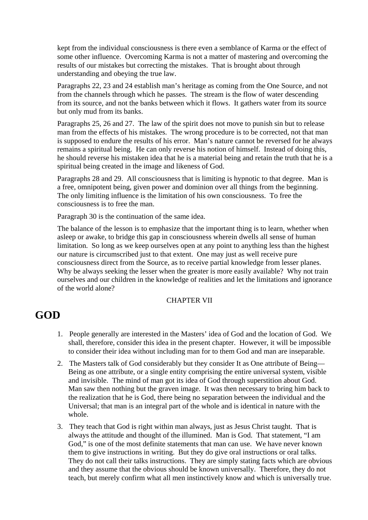kept from the individual consciousness is there even a semblance of Karma or the effect of some other influence. Overcoming Karma is not a matter of mastering and overcoming the results of our mistakes but correcting the mistakes. That is brought about through understanding and obeying the true law.

Paragraphs 22, 23 and 24 establish man's heritage as coming from the One Source, and not from the channels through which he passes. The stream is the flow of water descending from its source, and not the banks between which it flows. It gathers water from its source but only mud from its banks.

Paragraphs 25, 26 and 27. The law of the spirit does not move to punish sin but to release man from the effects of his mistakes. The wrong procedure is to be corrected, not that man is supposed to endure the results of his error. Man's nature cannot be reversed for he always remains a spiritual being. He can only reverse his notion of himself. Instead of doing this, he should reverse his mistaken idea that he is a material being and retain the truth that he is a spiritual being created in the image and likeness of God.

Paragraphs 28 and 29. All consciousness that is limiting is hypnotic to that degree. Man is a free, omnipotent being, given power and dominion over all things from the beginning. The only limiting influence is the limitation of his own consciousness. To free the consciousness is to free the man.

Paragraph 30 is the continuation of the same idea.

The balance of the lesson is to emphasize that the important thing is to learn, whether when asleep or awake, to bridge this gap in consciousness wherein dwells all sense of human limitation. So long as we keep ourselves open at any point to anything less than the highest our nature is circumscribed just to that extent. One may just as well receive pure consciousness direct from the Source, as to receive partial knowledge from lesser planes. Why be always seeking the lesser when the greater is more easily available? Why not train ourselves and our children in the knowledge of realities and let the limitations and ignorance of the world alone?

#### CHAPTER VII

### **GOD**

- 1. People generally are interested in the Masters' idea of God and the location of God. We shall, therefore, consider this idea in the present chapter. However, it will be impossible to consider their idea without including man for to them God and man are inseparable.
- 2. The Masters talk of God considerably but they consider It as One attribute of Being— Being as one attribute, or a single entity comprising the entire universal system, visible and invisible. The mind of man got its idea of God through superstition about God. Man saw then nothing but the graven image. It was then necessary to bring him back to the realization that he is God, there being no separation between the individual and the Universal; that man is an integral part of the whole and is identical in nature with the whole.
- 3. They teach that God is right within man always, just as Jesus Christ taught. That is always the attitude and thought of the illumined. Man is God. That statement, "I am God," is one of the most definite statements that man can use. We have never known them to give instructions in writing. But they do give oral instructions or oral talks. They do not call their talks instructions. They are simply stating facts which are obvious and they assume that the obvious should be known universally. Therefore, they do not teach, but merely confirm what all men instinctively know and which is universally true.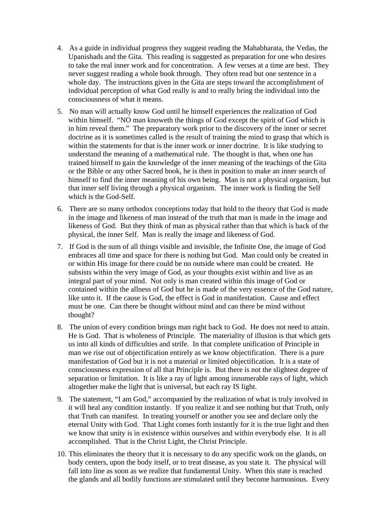- 4. As a guide in individual progress they suggest reading the Mahabharata, the Vedas, the Upanishads and the Gita. This reading is suggested as preparation for one who desires to take the real inner work and for concentration. A few verses at a time are best. They never suggest reading a whole book through. They often read but one sentence in a whole day. The instructions given in the Gita are steps toward the accomplishment of individual perception of what God really is and to really bring the individual into the consciousness of what it means.
- 5. No man will actually know God until he himself experiences the realization of God within himself. "NO man knoweth the things of God except the spirit of God which is in him reveal them." The preparatory work prior to the discovery of the inner or secret doctrine as it is sometimes called is the result of training the mind to grasp that which is within the statements for that is the inner work or inner doctrine. It is like studying to understand the meaning of a mathematical rule. The thought is that, when one has trained himself to gain the knowledge of the inner meaning of the teachings of the Gita or the Bible or any other Sacred book, he is then in position to make an inner search of himself to find the inner meaning of his own being. Man is not a physical organism, but that inner self living through a physical organism. The inner work is finding the Self which is the God-Self.
- 6. There are so many orthodox conceptions today that hold to the theory that God is made in the image and likeness of man instead of the truth that man is made in the image and likeness of God. But they think of man as physical rather than that which is back of the physical, the inner Self. Man is really the image and likeness of God.
- 7. If God is the sum of all things visible and invisible, the Infinite One, the image of God embraces all time and space for there is nothing but God. Man could only be created in or within His image for there could be no outside where man could be created. He subsists within the very image of God, as your thoughts exist within and live as an integral part of your mind. Not only is man created within this image of God or contained within the allness of God but he is made of the very essence of the God nature, like unto it. If the cause is God, the effect is God in manifestation. Cause and effect must be one. Can there be thought without mind and can there be mind without thought?
- 8. The union of every condition brings man right back to God. He does not need to attain. He is God. That is wholeness of Principle. The materiality of illusion is that which gets us into all kinds of difficulties and strife. In that complete unification of Principle in man we rise out of objectification entirely as we know objectification. There is a pure manifestation of God but it is not a material or limited objectification. It is a state of consciousness expression of all that Principle is. But there is not the slightest degree of separation or limitation. It is like a ray of light among innumerable rays of light, which altogether make the light that is universal, but each ray IS light.
- 9. The statement, "I am God," accompanied by the realization of what is truly involved in it will heal any condition instantly. If you realize it and see nothing but that Truth, only that Truth can manifest. In treating yourself or another you see and declare only the eternal Unity with God. That Light comes forth instantly for it is the true light and then we know that unity is in existence within ourselves and within everybody else. It is all accomplished. That is the Christ Light, the Christ Principle.
- 10. This eliminates the theory that it is necessary to do any specific work on the glands, on body centers, upon the body itself, or to treat disease, as you state it. The physical will fall into line as soon as we realize that fundamental Unity. When this state is reached the glands and all bodily functions are stimulated until they become harmonious. Every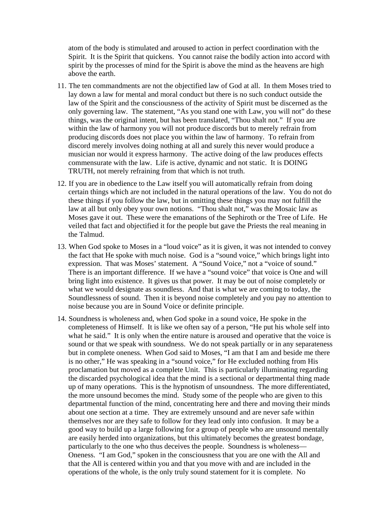atom of the body is stimulated and aroused to action in perfect coordination with the Spirit. It is the Spirit that quickens. You cannot raise the bodily action into accord with spirit by the processes of mind for the Spirit is above the mind as the heavens are high above the earth.

- 11. The ten commandments are not the objectified law of God at all. In them Moses tried to lay down a law for mental and moral conduct but there is no such conduct outside the law of the Spirit and the consciousness of the activity of Spirit must be discerned as the only governing law. The statement, "As you stand one with Law, you will not" do these things, was the original intent, but has been translated, "Thou shalt not." If you are within the law of harmony you will not produce discords but to merely refrain from producing discords does not place you within the law of harmony. To refrain from discord merely involves doing nothing at all and surely this never would produce a musician nor would it express harmony. The active doing of the law produces effects commensurate with the law. Life is active, dynamic and not static. It is DOING TRUTH, not merely refraining from that which is not truth.
- 12. If you are in obedience to the Law itself you will automatically refrain from doing certain things which are not included in the natural operations of the law. You do not do these things if you follow the law, but in omitting these things you may not fulfill the law at all but only obey your own notions. "Thou shalt not," was the Mosaic law as Moses gave it out. These were the emanations of the Sephiroth or the Tree of Life. He veiled that fact and objectified it for the people but gave the Priests the real meaning in the Talmud.
- 13. When God spoke to Moses in a "loud voice" as it is given, it was not intended to convey the fact that He spoke with much noise. God is a "sound voice," which brings light into expression. That was Moses' statement. A "Sound Voice," not a "voice of sound." There is an important difference. If we have a "sound voice" that voice is One and will bring light into existence. It gives us that power. It may be out of noise completely or what we would designate as soundless. And that is what we are coming to today, the Soundlessness of sound. Then it is beyond noise completely and you pay no attention to noise because you are in Sound Voice or definite principle.
- 14. Soundness is wholeness and, when God spoke in a sound voice, He spoke in the completeness of Himself. It is like we often say of a person, "He put his whole self into what he said." It is only when the entire nature is aroused and operative that the voice is sound or that we speak with soundness. We do not speak partially or in any separateness but in complete oneness. When God said to Moses, "I am that I am and beside me there is no other," He was speaking in a "sound voice," for He excluded nothing from His proclamation but moved as a complete Unit. This is particularly illuminating regarding the discarded psychological idea that the mind is a sectional or departmental thing made up of many operations. This is the hypnotism of unsoundness. The more differentiated, the more unsound becomes the mind. Study some of the people who are given to this departmental function of the mind, concentrating here and there and moving their minds about one section at a time. They are extremely unsound and are never safe within themselves nor are they safe to follow for they lead only into confusion. It may be a good way to build up a large following for a group of people who are unsound mentally are easily herded into organizations, but this ultimately becomes the greatest bondage, particularly to the one who thus deceives the people. Soundness is wholeness— Oneness. "I am God," spoken in the consciousness that you are one with the All and that the All is centered within you and that you move with and are included in the operations of the whole, is the only truly sound statement for it is complete. No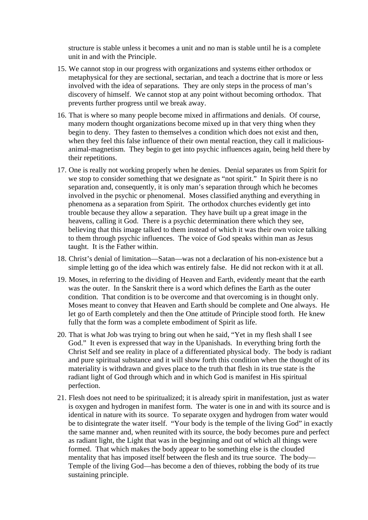structure is stable unless it becomes a unit and no man is stable until he is a complete unit in and with the Principle.

- 15. We cannot stop in our progress with organizations and systems either orthodox or metaphysical for they are sectional, sectarian, and teach a doctrine that is more or less involved with the idea of separations. They are only steps in the process of man's discovery of himself. We cannot stop at any point without becoming orthodox. That prevents further progress until we break away.
- 16. That is where so many people become mixed in affirmations and denials. Of course, many modern thought organizations become mixed up in that very thing when they begin to deny. They fasten to themselves a condition which does not exist and then, when they feel this false influence of their own mental reaction, they call it maliciousanimal-magnetism. They begin to get into psychic influences again, being held there by their repetitions.
- 17. One is really not working properly when he denies. Denial separates us from Spirit for we stop to consider something that we designate as "not spirit." In Spirit there is no separation and, consequently, it is only man's separation through which he becomes involved in the psychic or phenomenal. Moses classified anything and everything in phenomena as a separation from Spirit. The orthodox churches evidently get into trouble because they allow a separation. They have built up a great image in the heavens, calling it God. There is a psychic determination there which they see, believing that this image talked to them instead of which it was their own voice talking to them through psychic influences. The voice of God speaks within man as Jesus taught. It is the Father within.
- 18. Christ's denial of limitation—Satan—was not a declaration of his non-existence but a simple letting go of the idea which was entirely false. He did not reckon with it at all.
- 19. Moses, in referring to the dividing of Heaven and Earth, evidently meant that the earth was the outer. In the Sanskrit there is a word which defines the Earth as the outer condition. That condition is to be overcome and that overcoming is in thought only. Moses meant to convey that Heaven and Earth should be complete and One always. He let go of Earth completely and then the One attitude of Principle stood forth. He knew fully that the form was a complete embodiment of Spirit as life.
- 20. That is what Job was trying to bring out when he said, "Yet in my flesh shall I see God." It even is expressed that way in the Upanishads. In everything bring forth the Christ Self and see reality in place of a differentiated physical body. The body is radiant and pure spiritual substance and it will show forth this condition when the thought of its materiality is withdrawn and gives place to the truth that flesh in its true state is the radiant light of God through which and in which God is manifest in His spiritual perfection.
- 21. Flesh does not need to be spiritualized; it is already spirit in manifestation, just as water is oxygen and hydrogen in manifest form. The water is one in and with its source and is identical in nature with its source. To separate oxygen and hydrogen from water would be to disintegrate the water itself. "Your body is the temple of the living God" in exactly the same manner and, when reunited with its source, the body becomes pure and perfect as radiant light, the Light that was in the beginning and out of which all things were formed. That which makes the body appear to be something else is the clouded mentality that has imposed itself between the flesh and its true source. The body— Temple of the living God—has become a den of thieves, robbing the body of its true sustaining principle.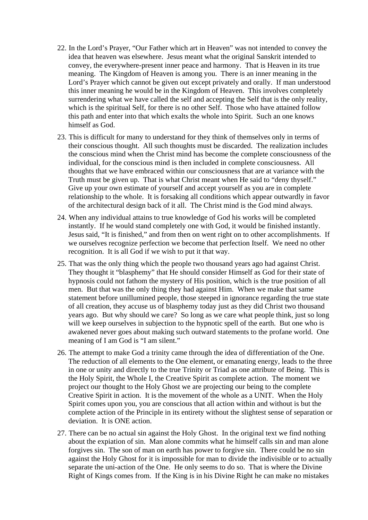- 22. In the Lord's Prayer, "Our Father which art in Heaven" was not intended to convey the idea that heaven was elsewhere. Jesus meant what the original Sanskrit intended to convey, the everywhere-present inner peace and harmony. That is Heaven in its true meaning. The Kingdom of Heaven is among you. There is an inner meaning in the Lord's Prayer which cannot be given out except privately and orally. If man understood this inner meaning he would be in the Kingdom of Heaven. This involves completely surrendering what we have called the self and accepting the Self that is the only reality, which is the spiritual Self, for there is no other Self. Those who have attained follow this path and enter into that which exalts the whole into Spirit. Such an one knows himself as God.
- 23. This is difficult for many to understand for they think of themselves only in terms of their conscious thought. All such thoughts must be discarded. The realization includes the conscious mind when the Christ mind has become the complete consciousness of the individual, for the conscious mind is then included in complete consciousness. All thoughts that we have embraced within our consciousness that are at variance with the Truth must be given up. That is what Christ meant when He said to "deny thyself." Give up your own estimate of yourself and accept yourself as you are in complete relationship to the whole. It is forsaking all conditions which appear outwardly in favor of the architectural design back of it all. The Christ mind is the God mind always.
- 24. When any individual attains to true knowledge of God his works will be completed instantly. If he would stand completely one with God, it would be finished instantly. Jesus said, "It is finished," and from then on went right on to other accomplishments. If we ourselves recognize perfection we become that perfection Itself. We need no other recognition. It is all God if we wish to put it that way.
- 25. That was the only thing which the people two thousand years ago had against Christ. They thought it "blasphemy" that He should consider Himself as God for their state of hypnosis could not fathom the mystery of His position, which is the true position of all men. But that was the only thing they had against Him. When we make that same statement before unillumined people, those steeped in ignorance regarding the true state of all creation, they accuse us of blasphemy today just as they did Christ two thousand years ago. But why should we care? So long as we care what people think, just so long will we keep ourselves in subjection to the hypnotic spell of the earth. But one who is awakened never goes about making such outward statements to the profane world. One meaning of I am God is "I am silent."
- 26. The attempt to make God a trinity came through the idea of differentiation of the One. The reduction of all elements to the One element, or emanating energy, leads to the three in one or unity and directly to the true Trinity or Triad as one attribute of Being. This is the Holy Spirit, the Whole I, the Creative Spirit as complete action. The moment we project our thought to the Holy Ghost we are projecting our being to the complete Creative Spirit in action. It is the movement of the whole as a UNIT. When the Holy Spirit comes upon you, you are conscious that all action within and without is but the complete action of the Principle in its entirety without the slightest sense of separation or deviation. It is ONE action.
- 27. There can be no actual sin against the Holy Ghost. In the original text we find nothing about the expiation of sin. Man alone commits what he himself calls sin and man alone forgives sin. The son of man on earth has power to forgive sin. There could be no sin against the Holy Ghost for it is impossible for man to divide the indivisible or to actually separate the uni-action of the One. He only seems to do so. That is where the Divine Right of Kings comes from. If the King is in his Divine Right he can make no mistakes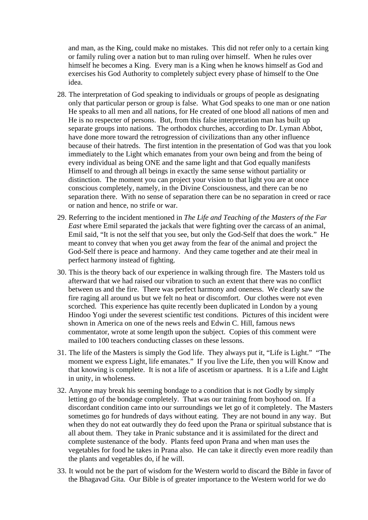and man, as the King, could make no mistakes. This did not refer only to a certain king or family ruling over a nation but to man ruling over himself. When he rules over himself he becomes a King. Every man is a King when he knows himself as God and exercises his God Authority to completely subject every phase of himself to the One idea.

- 28. The interpretation of God speaking to individuals or groups of people as designating only that particular person or group is false. What God speaks to one man or one nation He speaks to all men and all nations, for He created of one blood all nations of men and He is no respecter of persons. But, from this false interpretation man has built up separate groups into nations. The orthodox churches, according to Dr. Lyman Abbot, have done more toward the retrogression of civilizations than any other influence because of their hatreds. The first intention in the presentation of God was that you look immediately to the Light which emanates from your own being and from the being of every individual as being ONE and the same light and that God equally manifests Himself to and through all beings in exactly the same sense without partiality or distinction. The moment you can project your vision to that light you are at once conscious completely, namely, in the Divine Consciousness, and there can be no separation there. With no sense of separation there can be no separation in creed or race or nation and hence, no strife or war.
- 29. Referring to the incident mentioned in *The Life and Teaching of the Masters of the Far East* where Emil separated the jackals that were fighting over the carcass of an animal, Emil said, "It is not the self that you see, but only the God-Self that does the work." He meant to convey that when you get away from the fear of the animal and project the God-Self there is peace and harmony. And they came together and ate their meal in perfect harmony instead of fighting.
- 30. This is the theory back of our experience in walking through fire. The Masters told us afterward that we had raised our vibration to such an extent that there was no conflict between us and the fire. There was perfect harmony and oneness. We clearly saw the fire raging all around us but we felt no heat or discomfort. Our clothes were not even scorched. This experience has quite recently been duplicated in London by a young Hindoo Yogi under the severest scientific test conditions. Pictures of this incident were shown in America on one of the news reels and Edwin C. Hill, famous news commentator, wrote at some length upon the subject. Copies of this comment were mailed to 100 teachers conducting classes on these lessons.
- 31. The life of the Masters is simply the God life. They always put it, "Life is Light." "The moment we express Light, life emanates." If you live the Life, then you will Know and that knowing is complete. It is not a life of ascetism or apartness. It is a Life and Light in unity, in wholeness.
- 32. Anyone may break his seeming bondage to a condition that is not Godly by simply letting go of the bondage completely. That was our training from boyhood on. If a discordant condition came into our surroundings we let go of it completely. The Masters sometimes go for hundreds of days without eating. They are not bound in any way. But when they do not eat outwardly they do feed upon the Prana or spiritual substance that is all about them. They take in Pranic substance and it is assimilated for the direct and complete sustenance of the body. Plants feed upon Prana and when man uses the vegetables for food he takes in Prana also. He can take it directly even more readily than the plants and vegetables do, if he will.
- 33. It would not be the part of wisdom for the Western world to discard the Bible in favor of the Bhagavad Gita. Our Bible is of greater importance to the Western world for we do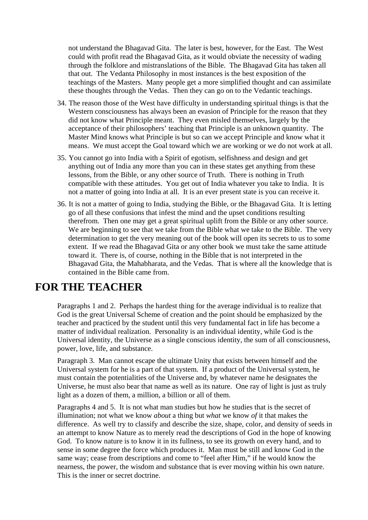not understand the Bhagavad Gita. The later is best, however, for the East. The West could with profit read the Bhagavad Gita, as it would obviate the necessity of wading through the folklore and mistranslations of the Bible. The Bhagavad Gita has taken all that out. The Vedanta Philosophy in most instances is the best exposition of the teachings of the Masters. Many people get a more simplified thought and can assimilate these thoughts through the Vedas. Then they can go on to the Vedantic teachings.

- 34. The reason those of the West have difficulty in understanding spiritual things is that the Western consciousness has always been an evasion of Principle for the reason that they did not know what Principle meant. They even misled themselves, largely by the acceptance of their philosophers' teaching that Principle is an unknown quantity. The Master Mind knows what Principle is but so can we accept Principle and know what it means. We must accept the Goal toward which we are working or we do not work at all.
- 35. You cannot go into India with a Spirit of egotism, selfishness and design and get anything out of India any more than you can in these states get anything from these lessons, from the Bible, or any other source of Truth. There is nothing in Truth compatible with these attitudes. You get out of India whatever you take to India. It is not a matter of going into India at all. It is an ever present state is you can receive it.
- 36. It is not a matter of going to India, studying the Bible, or the Bhagavad Gita. It is letting go of all these confusions that infest the mind and the upset conditions resulting therefrom. Then one may get a great spiritual uplift from the Bible or any other source. We are beginning to see that we take from the Bible what we take to the Bible. The very determination to get the very meaning out of the book will open its secrets to us to some extent. If we read the Bhagavad Gita or any other book we must take the same attitude toward it. There is, of course, nothing in the Bible that is not interpreted in the Bhagavad Gita, the Mahabharata, and the Vedas. That is where all the knowledge that is contained in the Bible came from.

### **FOR THE TEACHER**

Paragraphs 1 and 2. Perhaps the hardest thing for the average individual is to realize that God is the great Universal Scheme of creation and the point should be emphasized by the teacher and practiced by the student until this very fundamental fact in life has become a matter of individual realization. Personality is an individual identity, while God is the Universal identity, the Universe as a single conscious identity, the sum of all consciousness, power, love, life, and substance.

Paragraph 3. Man cannot escape the ultimate Unity that exists between himself and the Universal system for he is a part of that system. If a product of the Universal system, he must contain the potentialities of the Universe and, by whatever name he designates the Universe, he must also bear that name as well as its nature. One ray of light is just as truly light as a dozen of them, a million, a billion or all of them.

Paragraphs 4 and 5. It is not what man studies but how he studies that is the secret of illumination; not what we know *about* a thing but *what* we know *of* it that makes the difference. As well try to classify and describe the size, shape, color, and density of seeds in an attempt to know Nature as to merely read the descriptions of God in the hope of knowing God. To know nature is to know it in its fullness, to see its growth on every hand, and to sense in some degree the force which produces it. Man must be still and know God in the same way; cease from descriptions and come to "feel after Him," if he would know the nearness, the power, the wisdom and substance that is ever moving within his own nature. This is the inner or secret doctrine.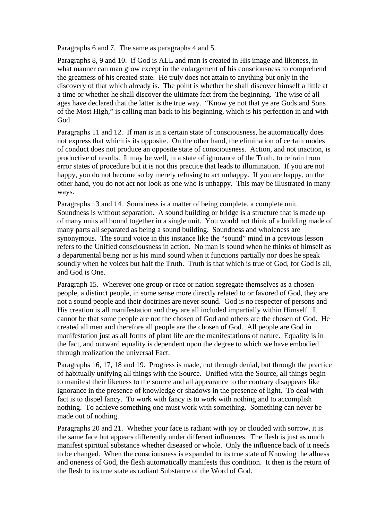Paragraphs 6 and 7. The same as paragraphs 4 and 5.

Paragraphs 8, 9 and 10. If God is ALL and man is created in His image and likeness, in what manner can man grow except in the enlargement of his consciousness to comprehend the greatness of his created state. He truly does not attain to anything but only in the discovery of that which already is. The point is whether he shall discover himself a little at a time or whether he shall discover the ultimate fact from the beginning. The wise of all ages have declared that the latter is the true way. "Know ye not that ye are Gods and Sons of the Most High," is calling man back to his beginning, which is his perfection in and with God.

Paragraphs 11 and 12. If man is in a certain state of consciousness, he automatically does not express that which is its opposite. On the other hand, the elimination of certain modes of conduct does not produce an opposite state of consciousness. Action, and not inaction, is productive of results. It may be well, in a state of ignorance of the Truth, to refrain from error states of procedure but it is not this practice that leads to illumination. If you are not happy, you do not become so by merely refusing to act unhappy. If you are happy, on the other hand, you do not act nor look as one who is unhappy. This may be illustrated in many ways.

Paragraphs 13 and 14. Soundness is a matter of being complete, a complete unit. Soundness is without separation. A sound building or bridge is a structure that is made up of many units all bound together in a single unit. You would not think of a building made of many parts all separated as being a sound building. Soundness and wholeness are synonymous. The sound voice in this instance like the "sound" mind in a previous lesson refers to the Unified consciousness in action. No man is sound when he thinks of himself as a departmental being nor is his mind sound when it functions partially nor does he speak soundly when he voices but half the Truth. Truth is that which is true of God, for God is all, and God is One.

Paragraph 15. Wherever one group or race or nation segregate themselves as a chosen people, a distinct people, in some sense more directly related to or favored of God, they are not a sound people and their doctrines are never sound. God is no respecter of persons and His creation is all manifestation and they are all included impartially within Himself. It cannot be that some people are not the chosen of God and others are the chosen of God. He created all men and therefore all people are the chosen of God. All people are God in manifestation just as all forms of plant life are the manifestations of nature. Equality is in the fact, and outward equality is dependent upon the degree to which we have embodied through realization the universal Fact.

Paragraphs 16, 17, 18 and 19. Progress is made, not through denial, but through the practice of habitually unifying all things with the Source. Unified with the Source, all things begin to manifest their likeness to the source and all appearance to the contrary disappears like ignorance in the presence of knowledge or shadows in the presence of light. To deal with fact is to dispel fancy. To work with fancy is to work with nothing and to accomplish nothing. To achieve something one must work with something. Something can never be made out of nothing.

Paragraphs 20 and 21. Whether your face is radiant with joy or clouded with sorrow, it is the same face but appears differently under different influences. The flesh is just as much manifest spiritual substance whether diseased or whole. Only the influence back of it needs to be changed. When the consciousness is expanded to its true state of Knowing the allness and oneness of God, the flesh automatically manifests this condition. It then is the return of the flesh to its true state as radiant Substance of the Word of God.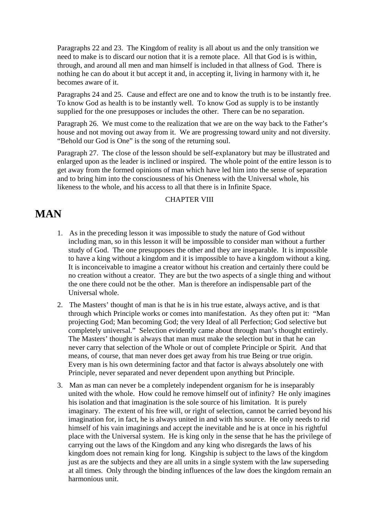Paragraphs 22 and 23. The Kingdom of reality is all about us and the only transition we need to make is to discard our notion that it is a remote place. All that God is is within, through, and around all men and man himself is included in that allness of God. There is nothing he can do about it but accept it and, in accepting it, living in harmony with it, he becomes aware of it.

Paragraphs 24 and 25. Cause and effect are one and to know the truth is to be instantly free. To know God as health is to be instantly well. To know God as supply is to be instantly supplied for the one presupposes or includes the other. There can be no separation.

Paragraph 26. We must come to the realization that we are on the way back to the Father's house and not moving out away from it. We are progressing toward unity and not diversity. "Behold our God is One" is the song of the returning soul.

Paragraph 27. The close of the lesson should be self-explanatory but may be illustrated and enlarged upon as the leader is inclined or inspired. The whole point of the entire lesson is to get away from the formed opinions of man which have led him into the sense of separation and to bring him into the consciousness of his Oneness with the Universal whole, his likeness to the whole, and his access to all that there is in Infinite Space.

#### CHAPTER VIII

## **MAN**

- 1. As in the preceding lesson it was impossible to study the nature of God without including man, so in this lesson it will be impossible to consider man without a further study of God. The one presupposes the other and they are inseparable. It is impossible to have a king without a kingdom and it is impossible to have a kingdom without a king. It is inconceivable to imagine a creator without his creation and certainly there could be no creation without a creator. They are but the two aspects of a single thing and without the one there could not be the other. Man is therefore an indispensable part of the Universal whole.
- 2. The Masters' thought of man is that he is in his true estate, always active, and is that through which Principle works or comes into manifestation. As they often put it: "Man projecting God; Man becoming God; the very Ideal of all Perfection; God selective but completely universal." Selection evidently came about through man's thought entirely. The Masters' thought is always that man must make the selection but in that he can never carry that selection of the Whole or out of complete Principle or Spirit. And that means, of course, that man never does get away from his true Being or true origin. Every man is his own determining factor and that factor is always absolutely one with Principle, never separated and never dependent upon anything but Principle.
- 3. Man as man can never be a completely independent organism for he is inseparably united with the whole. How could he remove himself out of infinity? He only imagines his isolation and that imagination is the sole source of his limitation. It is purely imaginary. The extent of his free will, or right of selection, cannot be carried beyond his imagination for, in fact, he is always united in and with his source. He only needs to rid himself of his vain imaginings and accept the inevitable and he is at once in his rightful place with the Universal system. He is king only in the sense that he has the privilege of carrying out the laws of the Kingdom and any king who disregards the laws of his kingdom does not remain king for long. Kingship is subject to the laws of the kingdom just as are the subjects and they are all units in a single system with the law superseding at all times. Only through the binding influences of the law does the kingdom remain an harmonious unit.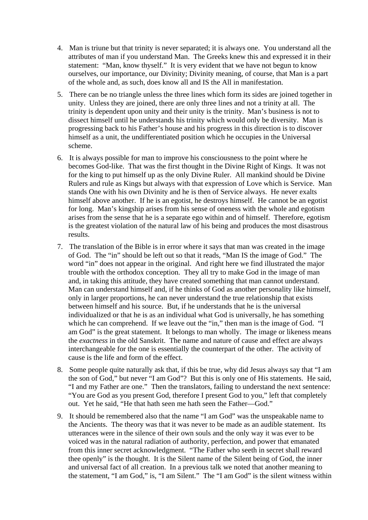- 4. Man is triune but that trinity is never separated; it is always one. You understand all the attributes of man if you understand Man. The Greeks knew this and expressed it in their statement: "Man, know thyself." It is very evident that we have not begun to know ourselves, our importance, our Divinity; Divinity meaning, of course, that Man is a part of the whole and, as such, does know all and IS the All in manifestation.
- 5. There can be no triangle unless the three lines which form its sides are joined together in unity. Unless they are joined, there are only three lines and not a trinity at all. The trinity is dependent upon unity and their unity is the trinity. Man's business is not to dissect himself until he understands his trinity which would only be diversity. Man is progressing back to his Father's house and his progress in this direction is to discover himself as a unit, the undifferentiated position which he occupies in the Universal scheme.
- 6. It is always possible for man to improve his consciousness to the point where he becomes God-like. That was the first thought in the Divine Right of Kings. It was not for the king to put himself up as the only Divine Ruler. All mankind should be Divine Rulers and rule as Kings but always with that expression of Love which is Service. Man stands One with his own Divinity and he is then of Service always. He never exalts himself above another. If he is an egotist, he destroys himself. He cannot be an egotist for long. Man's kingship arises from his sense of oneness with the whole and egotism arises from the sense that he is a separate ego within and of himself. Therefore, egotism is the greatest violation of the natural law of his being and produces the most disastrous results.
- 7. The translation of the Bible is in error where it says that man was created in the image of God. The "in" should be left out so that it reads, "Man IS the image of God." The word "in" does not appear in the original. And right here we find illustrated the major trouble with the orthodox conception. They all try to make God in the image of man and, in taking this attitude, they have created something that man cannot understand. Man can understand himself and, if he thinks of God as another personality like himself, only in larger proportions, he can never understand the true relationship that exists between himself and his source. But, if he understands that he is the universal individualized or that he is as an individual what God is universally, he has something which he can comprehend. If we leave out the "in," then man is the image of God. "I am God" is the great statement. It belongs to man wholly. The image or likeness means the *exactness* in the old Sanskrit. The name and nature of cause and effect are always interchangeable for the one is essentially the counterpart of the other. The activity of cause is the life and form of the effect.
- 8. Some people quite naturally ask that, if this be true, why did Jesus always say that "I am the son of God," but never "I am God"? But this is only one of His statements. He said, "I and my Father are one." Then the translators, failing to understand the next sentence: "You are God as you present God, therefore I present God to you," left that completely out. Yet he said, "He that hath seen me hath seen the Father—God."
- 9. It should be remembered also that the name "I am God" was the unspeakable name to the Ancients. The theory was that it was never to be made as an audible statement. Its utterances were in the silence of their own souls and the only way it was ever to be voiced was in the natural radiation of authority, perfection, and power that emanated from this inner secret acknowledgment. "The Father who seeth in secret shall reward thee openly" is the thought. It is the Silent name of the Silent being of God, the inner and universal fact of all creation. In a previous talk we noted that another meaning to the statement, "I am God," is, "I am Silent." The "I am God" is the silent witness within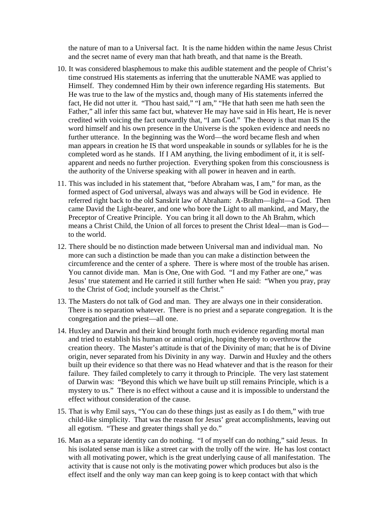the nature of man to a Universal fact. It is the name hidden within the name Jesus Christ and the secret name of every man that hath breath, and that name is the Breath.

- 10. It was considered blasphemous to make this audible statement and the people of Christ's time construed His statements as inferring that the unutterable NAME was applied to Himself. They condemned Him by their own inference regarding His statements. But He was true to the law of the mystics and, though many of His statements inferred the fact, He did not utter it. "Thou hast said," "I am," "He that hath seen me hath seen the Father," all infer this same fact but, whatever He may have said in His heart, He is never credited with voicing the fact outwardly that, "I am God." The theory is that man IS the word himself and his own presence in the Universe is the spoken evidence and needs no further utterance. In the beginning was the Word—the word became flesh and when man appears in creation he IS that word unspeakable in sounds or syllables for he is the completed word as he stands. If I AM anything, the living embodiment of it, it is selfapparent and needs no further projection. Everything spoken from this consciousness is the authority of the Universe speaking with all power in heaven and in earth.
- 11. This was included in his statement that, "before Abraham was, I am," for man, as the formed aspect of God universal, always was and always will be God in evidence. He referred right back to the old Sanskrit law of Abraham: A-Brahm—light—a God. Then came David the Light-bearer, and one who bore the Light to all mankind, and Mary, the Preceptor of Creative Principle. You can bring it all down to the Ah Brahm, which means a Christ Child, the Union of all forces to present the Christ Ideal—man is God to the world.
- 12. There should be no distinction made between Universal man and individual man. No more can such a distinction be made than you can make a distinction between the circumference and the center of a sphere. There is where most of the trouble has arisen. You cannot divide man. Man is One, One with God. "I and my Father are one," was Jesus' true statement and He carried it still further when He said: "When you pray, pray to the Christ of God; include yourself as the Christ."
- 13. The Masters do not talk of God and man. They are always one in their consideration. There is no separation whatever. There is no priest and a separate congregation. It is the congregation and the priest—all one.
- 14. Huxley and Darwin and their kind brought forth much evidence regarding mortal man and tried to establish his human or animal origin, hoping thereby to overthrow the creation theory. The Master's attitude is that of the Divinity of man; that he is of Divine origin, never separated from his Divinity in any way. Darwin and Huxley and the others built up their evidence so that there was no Head whatever and that is the reason for their failure. They failed completely to carry it through to Principle. The very last statement of Darwin was: "Beyond this which we have built up still remains Principle, which is a mystery to us." There is no effect without a cause and it is impossible to understand the effect without consideration of the cause.
- 15. That is why Emil says, "You can do these things just as easily as I do them," with true child-like simplicity. That was the reason for Jesus' great accomplishments, leaving out all egotism. "These and greater things shall ye do."
- 16. Man as a separate identity can do nothing. "I of myself can do nothing," said Jesus. In his isolated sense man is like a street car with the trolly off the wire. He has lost contact with all motivating power, which is the great underlying cause of all manifestation. The activity that is cause not only is the motivating power which produces but also is the effect itself and the only way man can keep going is to keep contact with that which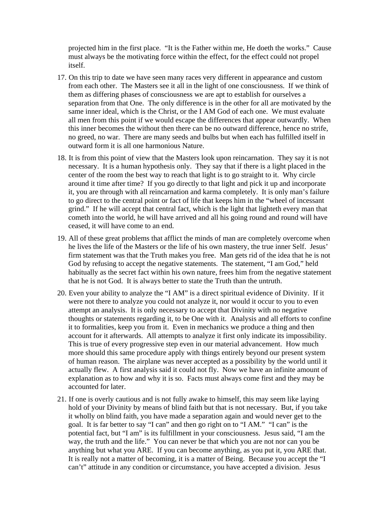projected him in the first place. "It is the Father within me, He doeth the works." Cause must always be the motivating force within the effect, for the effect could not propel itself.

- 17. On this trip to date we have seen many races very different in appearance and custom from each other. The Masters see it all in the light of one consciousness. If we think of them as differing phases of consciousness we are apt to establish for ourselves a separation from that One. The only difference is in the other for all are motivated by the same inner ideal, which is the Christ, or the I AM God of each one. We must evaluate all men from this point if we would escape the differences that appear outwardly. When this inner becomes the without then there can be no outward difference, hence no strife, no greed, no war. There are many seeds and bulbs but when each has fulfilled itself in outward form it is all one harmonious Nature.
- 18. It is from this point of view that the Masters look upon reincarnation. They say it is not necessary. It is a human hypothesis only. They say that if there is a light placed in the center of the room the best way to reach that light is to go straight to it. Why circle around it time after time? If you go directly to that light and pick it up and incorporate it, you are through with all reincarnation and karma completely. It is only man's failure to go direct to the central point or fact of life that keeps him in the "wheel of incessant grind." If he will accept that central fact, which is the light that lighteth every man that cometh into the world, he will have arrived and all his going round and round will have ceased, it will have come to an end.
- 19. All of these great problems that afflict the minds of man are completely overcome when he lives the life of the Masters or the life of his own mastery, the true inner Self. Jesus' firm statement was that the Truth makes you free. Man gets rid of the idea that he is not God by refusing to accept the negative statements. The statement, "I am God," held habitually as the secret fact within his own nature, frees him from the negative statement that he is not God. It is always better to state the Truth than the untruth.
- 20. Even your ability to analyze the "I AM" is a direct spiritual evidence of Divinity. If it were not there to analyze you could not analyze it, nor would it occur to you to even attempt an analysis. It is only necessary to accept that Divinity with no negative thoughts or statements regarding it, to be One with it. Analysis and all efforts to confine it to formalities, keep you from it. Even in mechanics we produce a thing and then account for it afterwards. All attempts to analyze it first only indicate its impossibility. This is true of every progressive step even in our material advancement. How much more should this same procedure apply with things entirely beyond our present system of human reason. The airplane was never accepted as a possibility by the world until it actually flew. A first analysis said it could not fly. Now we have an infinite amount of explanation as to how and why it is so. Facts must always come first and they may be accounted for later.
- 21. If one is overly cautious and is not fully awake to himself, this may seem like laying hold of your Divinity by means of blind faith but that is not necessary. But, if you take it wholly on blind faith, you have made a separation again and would never get to the goal. It is far better to say "I can" and then go right on to "I AM." "I can" is the potential fact, but "I am" is its fulfillment in your consciousness. Jesus said, "I am the way, the truth and the life." You can never be that which you are not nor can you be anything but what you ARE. If you can become anything, as you put it, you ARE that. It is really not a matter of becoming, it is a matter of Being. Because you accept the "I can't" attitude in any condition or circumstance, you have accepted a division. Jesus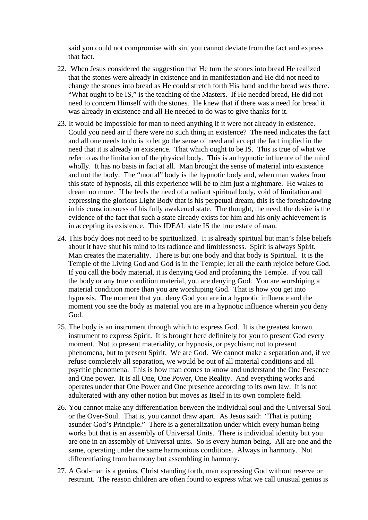said you could not compromise with sin, you cannot deviate from the fact and express that fact.

- 22. When Jesus considered the suggestion that He turn the stones into bread He realized that the stones were already in existence and in manifestation and He did not need to change the stones into bread as He could stretch forth His hand and the bread was there. "What ought to be IS," is the teaching of the Masters. If He needed bread, He did not need to concern Himself with the stones. He knew that if there was a need for bread it was already in existence and all He needed to do was to give thanks for it.
- 23. It would be impossible for man to need anything if it were not already in existence. Could you need air if there were no such thing in existence? The need indicates the fact and all one needs to do is to let go the sense of need and accept the fact implied in the need that it is already in existence. That which ought to be IS. This is true of what we refer to as the limitation of the physical body. This is an hypnotic influence of the mind wholly. It has no basis in fact at all. Man brought the sense of material into existence and not the body. The "mortal" body is the hypnotic body and, when man wakes from this state of hypnosis, all this experience will be to him just a nightmare. He wakes to dream no more. If he feels the need of a radiant spiritual body, void of limitation and expressing the glorious Light Body that is his perpetual dream, this is the foreshadowing in his consciousness of his fully awakened state. The thought, the need, the desire is the evidence of the fact that such a state already exists for him and his only achievement is in accepting its existence. This IDEAL state IS the true estate of man.
- 24. This body does not need to be spiritualized. It is already spiritual but man's false beliefs about it have shut his mind to its radiance and limitlessness. Spirit is always Spirit. Man creates the materiality. There is but one body and that body is Spiritual. It is the Temple of the Living God and God is in the Temple; let all the earth rejoice before God. If you call the body material, it is denying God and profaning the Temple. If you call the body or any true condition material, you are denying God. You are worshiping a material condition more than you are worshiping God. That is how you get into hypnosis. The moment that you deny God you are in a hypnotic influence and the moment you see the body as material you are in a hypnotic influence wherein you deny God.
- 25. The body is an instrument through which to express God. It is the greatest known instrument to express Spirit. It is brought here definitely for you to present God every moment. Not to present materiality, or hypnosis, or psychism; not to present phenomena, but to present Spirit. We are God. We cannot make a separation and, if we refuse completely all separation, we would be out of all material conditions and all psychic phenomena. This is how man comes to know and understand the One Presence and One power. It is all One, One Power, One Reality. And everything works and operates under that One Power and One presence according to its own law. It is not adulterated with any other notion but moves as Itself in its own complete field.
- 26. You cannot make any differentiation between the individual soul and the Universal Soul or the Over-Soul. That is, you cannot draw apart. As Jesus said: "That is putting asunder God's Principle." There is a generalization under which every human being works but that is an assembly of Universal Units. There is individual identity but you are one in an assembly of Universal units. So is every human being. All are one and the same, operating under the same harmonious conditions. Always in harmony. Not differentiating from harmony but assembling in harmony.
- 27. A God-man is a genius, Christ standing forth, man expressing God without reserve or restraint. The reason children are often found to express what we call unusual genius is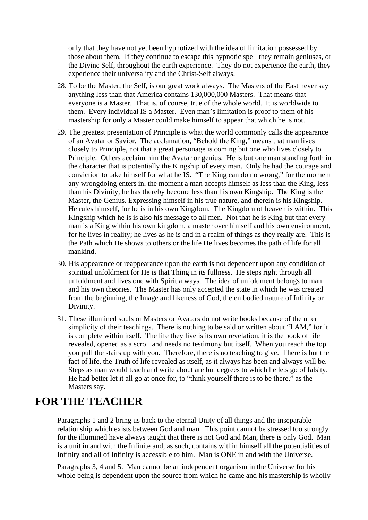only that they have not yet been hypnotized with the idea of limitation possessed by those about them. If they continue to escape this hypnotic spell they remain geniuses, or the Divine Self, throughout the earth experience. They do not experience the earth, they experience their universality and the Christ-Self always.

- 28. To be the Master, the Self, is our great work always. The Masters of the East never say anything less than that America contains 130,000,000 Masters. That means that everyone is a Master. That is, of course, true of the whole world. It is worldwide to them. Every individual IS a Master. Even man's limitation is proof to them of his mastership for only a Master could make himself to appear that which he is not.
- 29. The greatest presentation of Principle is what the world commonly calls the appearance of an Avatar or Savior. The acclamation, "Behold the King," means that man lives closely to Principle, not that a great personage is coming but one who lives closely to Principle. Others acclaim him the Avatar or genius. He is but one man standing forth in the character that is potentially the Kingship of every man. Only he had the courage and conviction to take himself for what he IS. "The King can do no wrong," for the moment any wrongdoing enters in, the moment a man accepts himself as less than the King, less than his Divinity, he has thereby become less than his own Kingship. The King is the Master, the Genius. Expressing himself in his true nature, and therein is his Kingship. He rules himself, for he is in his own Kingdom. The Kingdom of heaven is within. This Kingship which he is is also his message to all men. Not that he is King but that every man is a King within his own kingdom, a master over himself and his own environment, for he lives in reality; he lives as he is and in a realm of things as they really are. This is the Path which He shows to others or the life He lives becomes the path of life for all mankind.
- 30. His appearance or reappearance upon the earth is not dependent upon any condition of spiritual unfoldment for He is that Thing in its fullness. He steps right through all unfoldment and lives one with Spirit always. The idea of unfoldment belongs to man and his own theories. The Master has only accepted the state in which he was created from the beginning, the Image and likeness of God, the embodied nature of Infinity or Divinity.
- 31. These illumined souls or Masters or Avatars do not write books because of the utter simplicity of their teachings. There is nothing to be said or written about "I AM," for it is complete within itself. The life they live is its own revelation, it is the book of life revealed, opened as a scroll and needs no testimony but itself. When you reach the top you pull the stairs up with you. Therefore, there is no teaching to give. There is but the fact of life, the Truth of life revealed as itself, as it always has been and always will be. Steps as man would teach and write about are but degrees to which he lets go of falsity. He had better let it all go at once for, to "think yourself there is to be there," as the Masters say.

### **FOR THE TEACHER**

Paragraphs 1 and 2 bring us back to the eternal Unity of all things and the inseparable relationship which exists between God and man. This point cannot be stressed too strongly for the illumined have always taught that there is not God and Man, there is only God. Man is a unit in and with the Infinite and, as such, contains within himself all the potentialities of Infinity and all of Infinity is accessible to him. Man is ONE in and with the Universe.

Paragraphs 3, 4 and 5. Man cannot be an independent organism in the Universe for his whole being is dependent upon the source from which he came and his mastership is wholly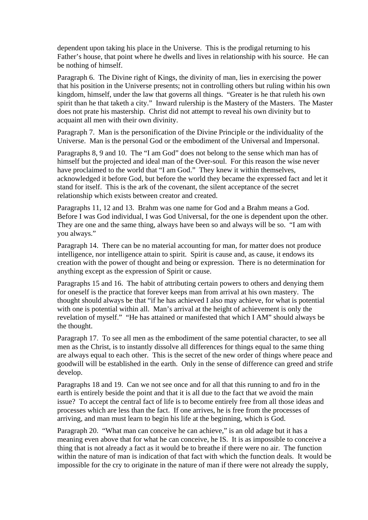dependent upon taking his place in the Universe. This is the prodigal returning to his Father's house, that point where he dwells and lives in relationship with his source. He can be nothing of himself.

Paragraph 6. The Divine right of Kings, the divinity of man, lies in exercising the power that his position in the Universe presents; not in controlling others but ruling within his own kingdom, himself, under the law that governs all things. "Greater is he that ruleth his own spirit than he that taketh a city." Inward rulership is the Mastery of the Masters. The Master does not prate his mastership. Christ did not attempt to reveal his own divinity but to acquaint all men with their own divinity.

Paragraph 7. Man is the personification of the Divine Principle or the individuality of the Universe. Man is the personal God or the embodiment of the Universal and Impersonal.

Paragraphs 8, 9 and 10. The "I am God" does not belong to the sense which man has of himself but the projected and ideal man of the Over-soul. For this reason the wise never have proclaimed to the world that "I am God." They knew it within themselves, acknowledged it before God, but before the world they became the expressed fact and let it stand for itself. This is the ark of the covenant, the silent acceptance of the secret relationship which exists between creator and created.

Paragraphs 11, 12 and 13. Brahm was one name for God and a Brahm means a God. Before I was God individual, I was God Universal, for the one is dependent upon the other. They are one and the same thing, always have been so and always will be so. "I am with you always."

Paragraph 14. There can be no material accounting for man, for matter does not produce intelligence, nor intelligence attain to spirit. Spirit is cause and, as cause, it endows its creation with the power of thought and being or expression. There is no determination for anything except as the expression of Spirit or cause.

Paragraphs 15 and 16. The habit of attributing certain powers to others and denying them for oneself is the practice that forever keeps man from arrival at his own mastery. The thought should always be that "if he has achieved I also may achieve, for what is potential with one is potential within all. Man's arrival at the height of achievement is only the revelation of myself." "He has attained or manifested that which I AM" should always be the thought.

Paragraph 17. To see all men as the embodiment of the same potential character, to see all men as the Christ, is to instantly dissolve all differences for things equal to the same thing are always equal to each other. This is the secret of the new order of things where peace and goodwill will be established in the earth. Only in the sense of difference can greed and strife develop.

Paragraphs 18 and 19. Can we not see once and for all that this running to and fro in the earth is entirely beside the point and that it is all due to the fact that we avoid the main issue? To accept the central fact of life is to become entirely free from all those ideas and processes which are less than the fact. If one arrives, he is free from the processes of arriving, and man must learn to begin his life at the beginning, which is God.

Paragraph 20. "What man can conceive he can achieve," is an old adage but it has a meaning even above that for what he can conceive, he IS. It is as impossible to conceive a thing that is not already a fact as it would be to breathe if there were no air. The function within the nature of man is indication of that fact with which the function deals. It would be impossible for the cry to originate in the nature of man if there were not already the supply,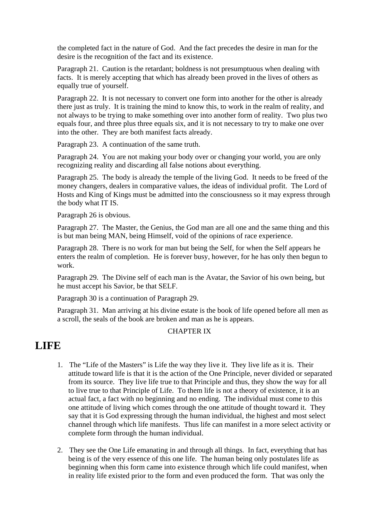the completed fact in the nature of God. And the fact precedes the desire in man for the desire is the recognition of the fact and its existence.

Paragraph 21. Caution is the retardant; boldness is not presumptuous when dealing with facts. It is merely accepting that which has already been proved in the lives of others as equally true of yourself.

Paragraph 22. It is not necessary to convert one form into another for the other is already there just as truly. It is training the mind to know this, to work in the realm of reality, and not always to be trying to make something over into another form of reality. Two plus two equals four, and three plus three equals six, and it is not necessary to try to make one over into the other. They are both manifest facts already.

Paragraph 23. A continuation of the same truth.

Paragraph 24. You are not making your body over or changing your world, you are only recognizing reality and discarding all false notions about everything.

Paragraph 25. The body is already the temple of the living God. It needs to be freed of the money changers, dealers in comparative values, the ideas of individual profit. The Lord of Hosts and King of Kings must be admitted into the consciousness so it may express through the body what IT IS.

Paragraph 26 is obvious.

Paragraph 27. The Master, the Genius, the God man are all one and the same thing and this is but man being MAN, being Himself, void of the opinions of race experience.

Paragraph 28. There is no work for man but being the Self, for when the Self appears he enters the realm of completion. He is forever busy, however, for he has only then begun to work.

Paragraph 29. The Divine self of each man is the Avatar, the Savior of his own being, but he must accept his Savior, be that SELF.

Paragraph 30 is a continuation of Paragraph 29.

Paragraph 31. Man arriving at his divine estate is the book of life opened before all men as a scroll, the seals of the book are broken and man as he is appears.

#### CHAPTER IX

### **LIFE**

- 1. The "Life of the Masters" is Life the way they live it. They live life as it is. Their attitude toward life is that it is the action of the One Principle, never divided or separated from its source. They live life true to that Principle and thus, they show the way for all to live true to that Principle of Life. To them life is not a theory of existence, it is an actual fact, a fact with no beginning and no ending. The individual must come to this one attitude of living which comes through the one attitude of thought toward it. They say that it is God expressing through the human individual, the highest and most select channel through which life manifests. Thus life can manifest in a more select activity or complete form through the human individual.
- 2. They see the One Life emanating in and through all things. In fact, everything that has being is of the very essence of this one life. The human being only postulates life as beginning when this form came into existence through which life could manifest, when in reality life existed prior to the form and even produced the form. That was only the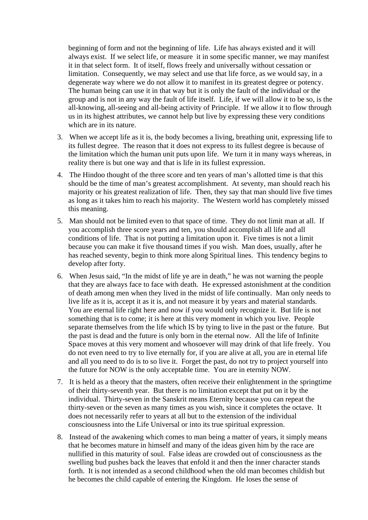beginning of form and not the beginning of life. Life has always existed and it will always exist. If we select life, or measure it in some specific manner, we may manifest it in that select form. It of itself, flows freely and universally without cessation or limitation. Consequently, we may select and use that life force, as we would say, in a degenerate way where we do not allow it to manifest in its greatest degree or potency. The human being can use it in that way but it is only the fault of the individual or the group and is not in any way the fault of life itself. Life, if we will allow it to be so, is the all-knowing, all-seeing and all-being activity of Principle. If we allow it to flow through us in its highest attributes, we cannot help but live by expressing these very conditions which are in its nature.

- 3. When we accept life as it is, the body becomes a living, breathing unit, expressing life to its fullest degree. The reason that it does not express to its fullest degree is because of the limitation which the human unit puts upon life. We turn it in many ways whereas, in reality there is but one way and that is life in its fullest expression.
- 4. The Hindoo thought of the three score and ten years of man's allotted time is that this should be the time of man's greatest accomplishment. At seventy, man should reach his majority or his greatest realization of life. Then, they say that man should live five times as long as it takes him to reach his majority. The Western world has completely missed this meaning.
- 5. Man should not be limited even to that space of time. They do not limit man at all. If you accomplish three score years and ten, you should accomplish all life and all conditions of life. That is not putting a limitation upon it. Five times is not a limit because you can make it five thousand times if you wish. Man does, usually, after he has reached seventy, begin to think more along Spiritual lines. This tendency begins to develop after forty.
- 6. When Jesus said, "In the midst of life ye are in death," he was not warning the people that they are always face to face with death. He expressed astonishment at the condition of death among men when they lived in the midst of life continually. Man only needs to live life as it is, accept it as it is, and not measure it by years and material standards. You are eternal life right here and now if you would only recognize it. But life is not something that is to come; it is here at this very moment in which you live. People separate themselves from the life which IS by tying to live in the past or the future. But the past is dead and the future is only born in the eternal now. All the life of Infinite Space moves at this very moment and whosoever will may drink of that life freely. You do not even need to try to live eternally for, if you are alive at all, you are in eternal life and all you need to do is to so live it. Forget the past, do not try to project yourself into the future for NOW is the only acceptable time. You are in eternity NOW.
- 7. It is held as a theory that the masters, often receive their enlightenment in the springtime of their thirty-seventh year. But there is no limitation except that put on it by the individual. Thirty-seven in the Sanskrit means Eternity because you can repeat the thirty-seven or the seven as many times as you wish, since it completes the octave. It does not necessarily refer to years at all but to the extension of the individual consciousness into the Life Universal or into its true spiritual expression.
- 8. Instead of the awakening which comes to man being a matter of years, it simply means that he becomes mature in himself and many of the ideas given him by the race are nullified in this maturity of soul. False ideas are crowded out of consciousness as the swelling bud pushes back the leaves that enfold it and then the inner character stands forth. It is not intended as a second childhood when the old man becomes childish but he becomes the child capable of entering the Kingdom. He loses the sense of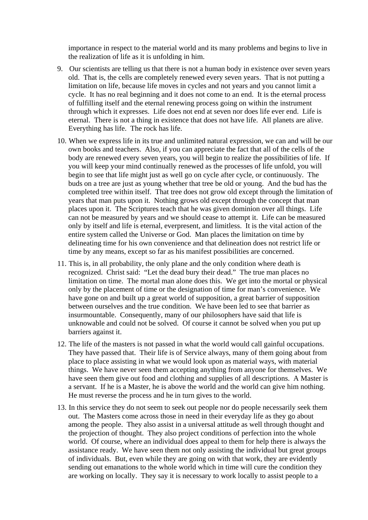importance in respect to the material world and its many problems and begins to live in the realization of life as it is unfolding in him.

- 9. Our scientists are telling us that there is not a human body in existence over seven years old. That is, the cells are completely renewed every seven years. That is not putting a limitation on life, because life moves in cycles and not years and you cannot limit a cycle. It has no real beginning and it does not come to an end. It is the eternal process of fulfilling itself and the eternal renewing process going on within the instrument through which it expresses. Life does not end at seven nor does life ever end. Life is eternal. There is not a thing in existence that does not have life. All planets are alive. Everything has life. The rock has life.
- 10. When we express life in its true and unlimited natural expression, we can and will be our own books and teachers. Also, if you can appreciate the fact that all of the cells of the body are renewed every seven years, you will begin to realize the possibilities of life. If you will keep your mind continually renewed as the processes of life unfold, you will begin to see that life might just as well go on cycle after cycle, or continuously. The buds on a tree are just as young whether that tree be old or young. And the bud has the completed tree within itself. That tree does not grow old except through the limitation of years that man puts upon it. Nothing grows old except through the concept that man places upon it. The Scriptures teach that he was given dominion over all things. Life can not be measured by years and we should cease to attempt it. Life can be measured only by itself and life is eternal, everpresent, and limitless. It is the vital action of the entire system called the Universe or God. Man places the limitation on time by delineating time for his own convenience and that delineation does not restrict life or time by any means, except so far as his manifest possibilities are concerned.
- 11. This is, in all probability, the only plane and the only condition where death is recognized. Christ said: "Let the dead bury their dead." The true man places no limitation on time. The mortal man alone does this. We get into the mortal or physical only by the placement of time or the designation of time for man's convenience. We have gone on and built up a great world of supposition, a great barrier of supposition between ourselves and the true condition. We have been led to see that barrier as insurmountable. Consequently, many of our philosophers have said that life is unknowable and could not be solved. Of course it cannot be solved when you put up barriers against it.
- 12. The life of the masters is not passed in what the world would call gainful occupations. They have passed that. Their life is of Service always, many of them going about from place to place assisting in what we would look upon as material ways, with material things. We have never seen them accepting anything from anyone for themselves. We have seen them give out food and clothing and supplies of all descriptions. A Master is a servant. If he is a Master, he is above the world and the world can give him nothing. He must reverse the process and he in turn gives to the world.
- 13. In this service they do not seem to seek out people nor do people necessarily seek them out. The Masters come across those in need in their everyday life as they go about among the people. They also assist in a universal attitude as well through thought and the projection of thought. They also project conditions of perfection into the whole world. Of course, where an individual does appeal to them for help there is always the assistance ready. We have seen them not only assisting the individual but great groups of individuals. But, even while they are going on with that work, they are evidently sending out emanations to the whole world which in time will cure the condition they are working on locally. They say it is necessary to work locally to assist people to a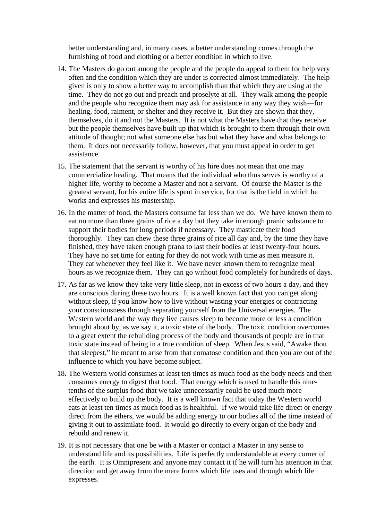better understanding and, in many cases, a better understanding comes through the furnishing of food and clothing or a better condition in which to live.

- 14. The Masters do go out among the people and the people do appeal to them for help very often and the condition which they are under is corrected almost immediately. The help given is only to show a better way to accomplish than that which they are using at the time. They do not go out and preach and proselyte at all. They walk among the people and the people who recognize them may ask for assistance in any way they wish—for healing, food, raiment, or shelter and they receive it. But they are shown that they, themselves, do it and not the Masters. It is not what the Masters have that they receive but the people themselves have built up that which is brought to them through their own attitude of thought; not what someone else has but what they have and what belongs to them. It does not necessarily follow, however, that you must appeal in order to get assistance.
- 15. The statement that the servant is worthy of his hire does not mean that one may commercialize healing. That means that the individual who thus serves is worthy of a higher life, worthy to become a Master and not a servant. Of course the Master is the greatest servant, for his entire life is spent in service, for that is the field in which he works and expresses his mastership.
- 16. In the matter of food, the Masters consume far less than we do. We have known them to eat no more than three grains of rice a day but they take in enough pranic substance to support their bodies for long periods if necessary. They masticate their food thoroughly. They can chew these three grains of rice all day and, by the time they have finished, they have taken enough prana to last their bodies at least twenty-four hours. They have no set time for eating for they do not work with time as men measure it. They eat whenever they feel like it. We have never known them to recognize meal hours as we recognize them. They can go without food completely for hundreds of days.
- 17. As far as we know they take very little sleep, not in excess of two hours a day, and they are conscious during these two hours. It is a well known fact that you can get along without sleep, if you know how to live without wasting your energies or contracting your consciousness through separating yourself from the Universal energies. The Western world and the way they live causes sleep to become more or less a condition brought about by, as we say it, a toxic state of the body. The toxic condition overcomes to a great extent the rebuilding process of the body and thousands of people are in that toxic state instead of being in a true condition of sleep. When Jesus said, "Awake thou that sleepest," he meant to arise from that comatose condition and then you are out of the influence to which you have become subject.
- 18. The Western world consumes at least ten times as much food as the body needs and then consumes energy to digest that food. That energy which is used to handle this ninetenths of the surplus food that we take unnecessarily could be used much more effectively to build up the body. It is a well known fact that today the Western world eats at least ten times as much food as is healthful. If we would take life direct or energy direct from the ethers, we would be adding energy to our bodies all of the time instead of giving it out to assimilate food. It would go directly to every organ of the body and rebuild and renew it.
- 19. It is not necessary that one be with a Master or contact a Master in any sense to understand life and its possibilities. Life is perfectly understandable at every corner of the earth. It is Omnipresent and anyone may contact it if he will turn his attention in that direction and get away from the mere forms which life uses and through which life expresses.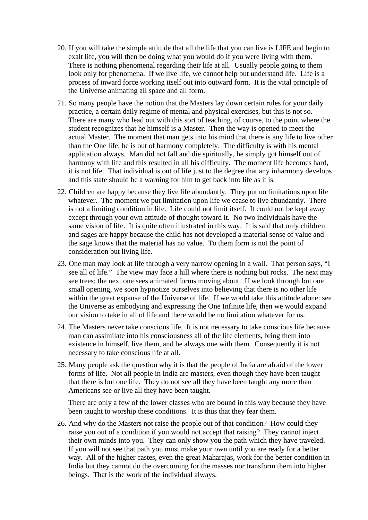- 20. If you will take the simple attitude that all the life that you can live is LIFE and begin to exalt life, you will then be doing what you would do if you were living with them. There is nothing phenomenal regarding their life at all. Usually people going to them look only for phenomena. If we live life, we cannot help but understand life. Life is a process of inward force working itself out into outward form. It is the vital principle of the Universe animating all space and all form.
- 21. So many people have the notion that the Masters lay down certain rules for your daily practice, a certain daily regime of mental and physical exercises, but this is not so. There are many who lead out with this sort of teaching, of course, to the point where the student recognizes that he himself is a Master. Then the way is opened to meet the actual Master. The moment that man gets into his mind that there is any life to live other than the One life, he is out of harmony completely. The difficulty is with his mental application always. Man did not fall and die spiritually, he simply got himself out of harmony with life and this resulted in all his difficulty. The moment life becomes hard, it is not life. That individual is out of life just to the degree that any inharmony develops and this state should be a warning for him to get back into life as it is.
- 22. Children are happy because they live life abundantly. They put no limitations upon life whatever. The moment we put limitation upon life we cease to live abundantly. There is not a limiting condition in life. Life could not limit itself. It could not be kept away except through your own attitude of thought toward it. No two individuals have the same vision of life. It is quite often illustrated in this way: It is said that only children and sages are happy because the child has not developed a material sense of value and the sage knows that the material has no value. To them form is not the point of consideration but living life.
- 23. One man may look at life through a very narrow opening in a wall. That person says, "I see all of life." The view may face a hill where there is nothing but rocks. The next may see trees; the next one sees animated forms moving about. If we look through but one small opening, we soon hypnotize ourselves into believing that there is no other life within the great expanse of the Universe of life. If we would take this attitude alone: see the Universe as embodying and expressing the One Infinite life, then we would expand our vision to take in all of life and there would be no limitation whatever for us.
- 24. The Masters never take conscious life. It is not necessary to take conscious life because man can assimilate into his consciousness all of the life elements, bring them into existence in himself, live them, and be always one with them. Consequently it is not necessary to take conscious life at all.
- 25. Many people ask the question why it is that the people of India are afraid of the lower forms of life. Not all people in India are masters, even though they have been taught that there is but one life. They do not see all they have been taught any more than Americans see or live all they have been taught.

There are only a few of the lower classes who are bound in this way because they have been taught to worship these conditions. It is thus that they fear them.

26. And why do the Masters not raise the people out of that condition? How could they raise you out of a condition if you would not accept that raising? They cannot inject their own minds into you. They can only show you the path which they have traveled. If you will not see that path you must make your own until you are ready for a better way. All of the higher castes, even the great Maharajas, work for the better condition in India but they cannot do the overcoming for the masses nor transform them into higher beings. That is the work of the individual always.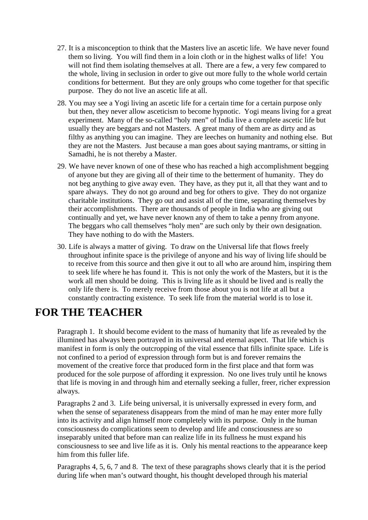- 27. It is a misconception to think that the Masters live an ascetic life. We have never found them so living. You will find them in a loin cloth or in the highest walks of life! You will not find them isolating themselves at all. There are a few, a very few compared to the whole, living in seclusion in order to give out more fully to the whole world certain conditions for betterment. But they are only groups who come together for that specific purpose. They do not live an ascetic life at all.
- 28. You may see a Yogi living an ascetic life for a certain time for a certain purpose only but then, they never allow asceticism to become hypnotic. Yogi means living for a great experiment. Many of the so-called "holy men" of India live a complete ascetic life but usually they are beggars and not Masters. A great many of them are as dirty and as filthy as anything you can imagine. They are leeches on humanity and nothing else. But they are not the Masters. Just because a man goes about saying mantrams, or sitting in Samadhi, he is not thereby a Master.
- 29. We have never known of one of these who has reached a high accomplishment begging of anyone but they are giving all of their time to the betterment of humanity. They do not beg anything to give away even. They have, as they put it, all that they want and to spare always. They do not go around and beg for others to give. They do not organize charitable institutions. They go out and assist all of the time, separating themselves by their accomplishments. There are thousands of people in India who are giving out continually and yet, we have never known any of them to take a penny from anyone. The beggars who call themselves "holy men" are such only by their own designation. They have nothing to do with the Masters.
- 30. Life is always a matter of giving. To draw on the Universal life that flows freely throughout infinite space is the privilege of anyone and his way of living life should be to receive from this source and then give it out to all who are around him, inspiring them to seek life where he has found it. This is not only the work of the Masters, but it is the work all men should be doing. This is living life as it should be lived and is really the only life there is. To merely receive from those about you is not life at all but a constantly contracting existence. To seek life from the material world is to lose it.

# **FOR THE TEACHER**

Paragraph 1. It should become evident to the mass of humanity that life as revealed by the illumined has always been portrayed in its universal and eternal aspect. That life which is manifest in form is only the outcropping of the vital essence that fills infinite space. Life is not confined to a period of expression through form but is and forever remains the movement of the creative force that produced form in the first place and that form was produced for the sole purpose of affording it expression. No one lives truly until he knows that life is moving in and through him and eternally seeking a fuller, freer, richer expression always.

Paragraphs 2 and 3. Life being universal, it is universally expressed in every form, and when the sense of separateness disappears from the mind of man he may enter more fully into its activity and align himself more completely with its purpose. Only in the human consciousness do complications seem to develop and life and consciousness are so inseparably united that before man can realize life in its fullness he must expand his consciousness to see and live life as it is. Only his mental reactions to the appearance keep him from this fuller life.

Paragraphs 4, 5, 6, 7 and 8. The text of these paragraphs shows clearly that it is the period during life when man's outward thought, his thought developed through his material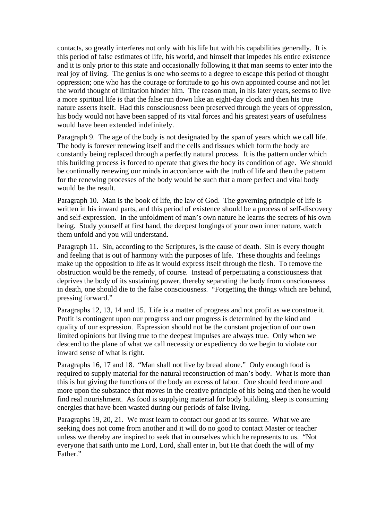contacts, so greatly interferes not only with his life but with his capabilities generally. It is this period of false estimates of life, his world, and himself that impedes his entire existence and it is only prior to this state and occasionally following it that man seems to enter into the real joy of living. The genius is one who seems to a degree to escape this period of thought oppression; one who has the courage or fortitude to go his own appointed course and not let the world thought of limitation hinder him. The reason man, in his later years, seems to live a more spiritual life is that the false run down like an eight-day clock and then his true nature asserts itself. Had this consciousness been preserved through the years of oppression, his body would not have been sapped of its vital forces and his greatest years of usefulness would have been extended indefinitely.

Paragraph 9. The age of the body is not designated by the span of years which we call life. The body is forever renewing itself and the cells and tissues which form the body are constantly being replaced through a perfectly natural process. It is the pattern under which this building process is forced to operate that gives the body its condition of age. We should be continually renewing our minds in accordance with the truth of life and then the pattern for the renewing processes of the body would be such that a more perfect and vital body would be the result.

Paragraph 10. Man is the book of life, the law of God. The governing principle of life is written in his inward parts, and this period of existence should be a process of self-discovery and self-expression. In the unfoldment of man's own nature he learns the secrets of his own being. Study yourself at first hand, the deepest longings of your own inner nature, watch them unfold and you will understand.

Paragraph 11. Sin, according to the Scriptures, is the cause of death. Sin is every thought and feeling that is out of harmony with the purposes of life. These thoughts and feelings make up the opposition to life as it would express itself through the flesh. To remove the obstruction would be the remedy, of course. Instead of perpetuating a consciousness that deprives the body of its sustaining power, thereby separating the body from consciousness in death, one should die to the false consciousness. "Forgetting the things which are behind, pressing forward."

Paragraphs 12, 13, 14 and 15. Life is a matter of progress and not profit as we construe it. Profit is contingent upon our progress and our progress is determined by the kind and quality of our expression. Expression should not be the constant projection of our own limited opinions but living true to the deepest impulses are always true. Only when we descend to the plane of what we call necessity or expediency do we begin to violate our inward sense of what is right.

Paragraphs 16, 17 and 18. "Man shall not live by bread alone." Only enough food is required to supply material for the natural reconstruction of man's body. What is more than this is but giving the functions of the body an excess of labor. One should feed more and more upon the substance that moves in the creative principle of his being and then he would find real nourishment. As food is supplying material for body building, sleep is consuming energies that have been wasted during our periods of false living.

Paragraphs 19, 20, 21. We must learn to contact our good at its source. What we are seeking does not come from another and it will do no good to contact Master or teacher unless we thereby are inspired to seek that in ourselves which he represents to us. "Not everyone that saith unto me Lord, Lord, shall enter in, but He that doeth the will of my Father."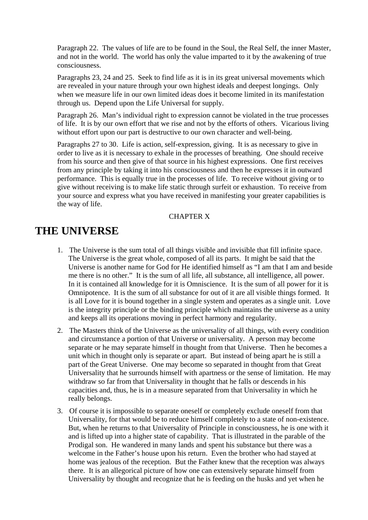Paragraph 22. The values of life are to be found in the Soul, the Real Self, the inner Master, and not in the world. The world has only the value imparted to it by the awakening of true consciousness.

Paragraphs 23, 24 and 25. Seek to find life as it is in its great universal movements which are revealed in your nature through your own highest ideals and deepest longings. Only when we measure life in our own limited ideas does it become limited in its manifestation through us. Depend upon the Life Universal for supply.

Paragraph 26. Man's individual right to expression cannot be violated in the true processes of life. It is by our own effort that we rise and not by the efforts of others. Vicarious living without effort upon our part is destructive to our own character and well-being.

Paragraphs 27 to 30. Life is action, self-expression, giving. It is as necessary to give in order to live as it is necessary to exhale in the processes of breathing. One should receive from his source and then give of that source in his highest expressions. One first receives from any principle by taking it into his consciousness and then he expresses it in outward performance. This is equally true in the processes of life. To receive without giving or to give without receiving is to make life static through surfeit or exhaustion. To receive from your source and express what you have received in manifesting your greater capabilities is the way of life.

#### CHAPTER X

# **THE UNIVERSE**

- 1. The Universe is the sum total of all things visible and invisible that fill infinite space. The Universe is the great whole, composed of all its parts. It might be said that the Universe is another name for God for He identified himself as "I am that I am and beside me there is no other." It is the sum of all life, all substance, all intelligence, all power. In it is contained all knowledge for it is Omniscience. It is the sum of all power for it is Omnipotence. It is the sum of all substance for out of it are all visible things formed. It is all Love for it is bound together in a single system and operates as a single unit. Love is the integrity principle or the binding principle which maintains the universe as a unity and keeps all its operations moving in perfect harmony and regularity.
- 2. The Masters think of the Universe as the universality of all things, with every condition and circumstance a portion of that Universe or universality. A person may become separate or he may separate himself in thought from that Universe. Then he becomes a unit which in thought only is separate or apart. But instead of being apart he is still a part of the Great Universe. One may become so separated in thought from that Great Universality that he surrounds himself with apartness or the sense of limitation. He may withdraw so far from that Universality in thought that he falls or descends in his capacities and, thus, he is in a measure separated from that Universality in which he really belongs.
- 3. Of course it is impossible to separate oneself or completely exclude oneself from that Universality, for that would be to reduce himself completely to a state of non-existence. But, when he returns to that Universality of Principle in consciousness, he is one with it and is lifted up into a higher state of capability. That is illustrated in the parable of the Prodigal son. He wandered in many lands and spent his substance but there was a welcome in the Father's house upon his return. Even the brother who had stayed at home was jealous of the reception. But the Father knew that the reception was always there. It is an allegorical picture of how one can extensively separate himself from Universality by thought and recognize that he is feeding on the husks and yet when he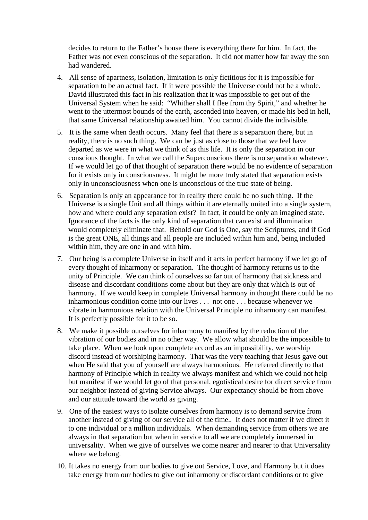decides to return to the Father's house there is everything there for him. In fact, the Father was not even conscious of the separation. It did not matter how far away the son had wandered.

- 4. All sense of apartness, isolation, limitation is only fictitious for it is impossible for separation to be an actual fact. If it were possible the Universe could not be a whole. David illustrated this fact in his realization that it was impossible to get out of the Universal System when he said: "Whither shall I flee from thy Spirit," and whether he went to the uttermost bounds of the earth, ascended into heaven, or made his bed in hell, that same Universal relationship awaited him. You cannot divide the indivisible.
- 5. It is the same when death occurs. Many feel that there is a separation there, but in reality, there is no such thing. We can be just as close to those that we feel have departed as we were in what we think of as this life. It is only the separation in our conscious thought. In what we call the Superconscious there is no separation whatever. If we would let go of that thought of separation there would be no evidence of separation for it exists only in consciousness. It might be more truly stated that separation exists only in unconsciousness when one is unconscious of the true state of being.
- 6. Separation is only an appearance for in reality there could be no such thing. If the Universe is a single Unit and all things within it are eternally united into a single system, how and where could any separation exist? In fact, it could be only an imagined state. Ignorance of the facts is the only kind of separation that can exist and illumination would completely eliminate that. Behold our God is One, say the Scriptures, and if God is the great ONE, all things and all people are included within him and, being included within him, they are one in and with him.
- 7. Our being is a complete Universe in itself and it acts in perfect harmony if we let go of every thought of inharmony or separation. The thought of harmony returns us to the unity of Principle. We can think of ourselves so far out of harmony that sickness and disease and discordant conditions come about but they are only that which is out of harmony. If we would keep in complete Universal harmony in thought there could be no inharmonious condition come into our lives . . . not one . . . because whenever we vibrate in harmonious relation with the Universal Principle no inharmony can manifest. It is perfectly possible for it to be so.
- 8. We make it possible ourselves for inharmony to manifest by the reduction of the vibration of our bodies and in no other way. We allow what should be the impossible to take place. When we look upon complete accord as an impossibility, we worship discord instead of worshiping harmony. That was the very teaching that Jesus gave out when He said that you of yourself are always harmonious. He referred directly to that harmony of Principle which in reality we always manifest and which we could not help but manifest if we would let go of that personal, egotistical desire for direct service from our neighbor instead of giving Service always. Our expectancy should be from above and our attitude toward the world as giving.
- 9. One of the easiest ways to isolate ourselves from harmony is to demand service from another instead of giving of our service all of the time.. It does not matter if we direct it to one individual or a million individuals. When demanding service from others we are always in that separation but when in service to all we are completely immersed in universality. When we give of ourselves we come nearer and nearer to that Universality where we belong.
- 10. It takes no energy from our bodies to give out Service, Love, and Harmony but it does take energy from our bodies to give out inharmony or discordant conditions or to give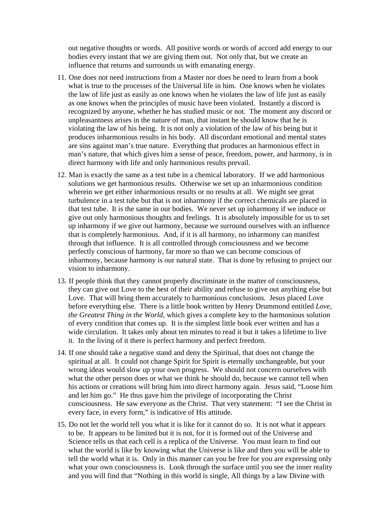out negative thoughts or words. All positive words or words of accord add energy to our bodies every instant that we are giving them out. Not only that, but we create an influence that returns and surrounds us with emanating energy.

- 11. One does not need instructions from a Master nor does he need to learn from a book what is true to the processes of the Universal life in him. One knows when he violates the law of life just as easily as one knows when he violates the law of life just as easily as one knows when the principles of music have been violated. Instantly a discord is recognized by anyone, whether he has studied music or not. The moment any discord or unpleasantness arises in the nature of man, that instant he should know that he is violating the law of his being. It is not only a violation of the law of his being but it produces inharmonious results in his body. All discordant emotional and mental states are sins against man's true nature. Everything that produces an harmonious effect in man's nature, that which gives him a sense of peace, freedom, power, and harmony, is in direct harmony with life and only harmonious results prevail.
- 12. Man is exactly the same as a test tube in a chemical laboratory. If we add harmonious solutions we get harmonious results. Otherwise we set up an inharmonious condition wherein we get either inharmonious results or no results at all. We might see great turbulence in a test tube but that is not inharmony if the correct chemicals are placed in that test tube. It is the same in our bodies. We never set up inharmony if we induce or give out only harmonious thoughts and feelings. It is absolutely impossible for us to set up inharmony if we give out harmony, because we surround ourselves with an influence that is completely harmonious. And, if it is all harmony, no inharmony can manifest through that influence. It is all controlled through consciousness and we become perfectly conscious of harmony, far more so than we can become conscious of inharmony, because harmony is our natural state. That is done by refusing to project our vision to inharmony.
- 13. If people think that they cannot properly discriminate in the matter of consciousness, they can give out Love to the best of their ability and refuse to give out anything else but Love. That will bring them accurately to harmonious conclusions. Jesus placed Love before everything else. There is a little book written by Henry Drummond entitled *Love, the Greatest Thing in the World*, which gives a complete key to the harmonious solution of every condition that comes up. It is the simplest little book ever written and has a wide circulation. It takes only about ten minutes to read it but it takes a lifetime to live it. In the living of it there is perfect harmony and perfect freedom.
- 14. If one should take a negative stand and deny the Spiritual, that does not change the spiritual at all. It could not change Spirit for Spirit is eternally unchangeable, but your wrong ideas would slow up your own progress. We should not concern ourselves with what the other person does or what we think he should do, because we cannot tell when his actions or creations will bring him into direct harmony again. Jesus said, "Loose him and let him go." He thus gave him the privilege of incorporating the Christ consciousness. He saw everyone as the Christ. That very statement: "I see the Christ in every face, in every form," is indicative of His attitude.
- 15. Do not let the world tell you what it is like for it cannot do so. It is not what it appears to be. It appears to be limited but it is not, for it is formed out of the Universe and Science tells us that each cell is a replica of the Universe. You must learn to find out what the world is like by knowing what the Universe is like and then you will be able to tell the world what it is. Only in this manner can you be free for you are expressing only what your own consciousness is. Look through the surface until you see the inner reality and you will find that "Nothing in this world is single, All things by a law Divine with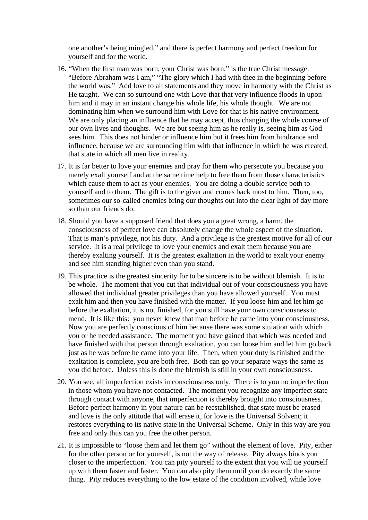one another's being mingled," and there is perfect harmony and perfect freedom for yourself and for the world.

- 16. "When the first man was born, your Christ was born," is the true Christ message. "Before Abraham was I am," "The glory which I had with thee in the beginning before the world was." Add love to all statements and they move in harmony with the Christ as He taught. We can so surround one with Love that that very influence floods in upon him and it may in an instant change his whole life, his whole thought. We are not dominating him when we surround him with Love for that is his native environment. We are only placing an influence that he may accept, thus changing the whole course of our own lives and thoughts. We are but seeing him as he really is, seeing him as God sees him. This does not hinder or influence him but it frees him from hindrance and influence, because we are surrounding him with that influence in which he was created, that state in which all men live in reality.
- 17. It is far better to love your enemies and pray for them who persecute you because you merely exalt yourself and at the same time help to free them from those characteristics which cause them to act as your enemies. You are doing a double service both to yourself and to them. The gift is to the giver and comes back most to him. Then, too, sometimes our so-called enemies bring our thoughts out into the clear light of day more so than our friends do.
- 18. Should you have a supposed friend that does you a great wrong, a harm, the consciousness of perfect love can absolutely change the whole aspect of the situation. That is man's privilege, not his duty. And a privilege is the greatest motive for all of our service. It is a real privilege to love your enemies and exalt them because you are thereby exalting yourself. It is the greatest exaltation in the world to exalt your enemy and see him standing higher even than you stand.
- 19. This practice is the greatest sincerity for to be sincere is to be without blemish. It is to be whole. The moment that you cut that individual out of your consciousness you have allowed that individual greater privileges than you have allowed yourself. You must exalt him and then you have finished with the matter. If you loose him and let him go before the exaltation, it is not finished, for you still have your own consciousness to mend. It is like this: you never knew that man before he came into your consciousness. Now you are perfectly conscious of him because there was some situation with which you or he needed assistance. The moment you have gained that which was needed and have finished with that person through exaltation, you can loose him and let him go back just as he was before he came into your life. Then, when your duty is finished and the exaltation is complete, you are both free. Both can go your separate ways the same as you did before. Unless this is done the blemish is still in your own consciousness.
- 20. You see, all imperfection exists in consciousness only. There is to you no imperfection in those whom you have not contacted. The moment you recognize any imperfect state through contact with anyone, that imperfection is thereby brought into consciousness. Before perfect harmony in your nature can be reestablished, that state must be erased and love is the only attitude that will erase it, for love is the Universal Solvent; it restores everything to its native state in the Universal Scheme. Only in this way are you free and only thus can you free the other person.
- 21. It is impossible to "loose them and let them go" without the element of love. Pity, either for the other person or for yourself, is not the way of release. Pity always binds you closer to the imperfection. You can pity yourself to the extent that you will tie yourself up with them faster and faster. You can also pity them until you do exactly the same thing. Pity reduces everything to the low estate of the condition involved, while love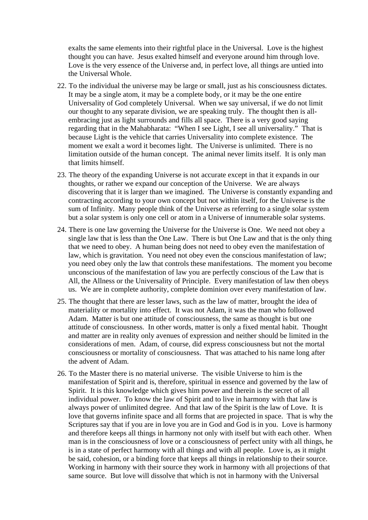exalts the same elements into their rightful place in the Universal. Love is the highest thought you can have. Jesus exalted himself and everyone around him through love. Love is the very essence of the Universe and, in perfect love, all things are untied into the Universal Whole.

- 22. To the individual the universe may be large or small, just as his consciousness dictates. It may be a single atom, it may be a complete body, or it may be the one entire Universality of God completely Universal. When we say universal, if we do not limit our thought to any separate division, we are speaking truly. The thought then is allembracing just as light surrounds and fills all space. There is a very good saying regarding that in the Mahabharata: "When I see Light, I see all universality." That is because Light is the vehicle that carries Universality into complete existence. The moment we exalt a word it becomes light. The Universe is unlimited. There is no limitation outside of the human concept. The animal never limits itself. It is only man that limits himself.
- 23. The theory of the expanding Universe is not accurate except in that it expands in our thoughts, or rather we expand our conception of the Universe. We are always discovering that it is larger than we imagined. The Universe is constantly expanding and contracting according to your own concept but not within itself, for the Universe is the sum of Infinity. Many people think of the Universe as referring to a single solar system but a solar system is only one cell or atom in a Universe of innumerable solar systems.
- 24. There is one law governing the Universe for the Universe is One. We need not obey a single law that is less than the One Law. There is but One Law and that is the only thing that we need to obey. A human being does not need to obey even the manifestation of law, which is gravitation. You need not obey even the conscious manifestation of law; you need obey only the law that controls these manifestations. The moment you become unconscious of the manifestation of law you are perfectly conscious of the Law that is All, the Allness or the Universality of Principle. Every manifestation of law then obeys us. We are in complete authority, complete dominion over every manifestation of law.
- 25. The thought that there are lesser laws, such as the law of matter, brought the idea of materiality or mortality into effect. It was not Adam, it was the man who followed Adam. Matter is but one attitude of consciousness, the same as thought is but one attitude of consciousness. In other words, matter is only a fixed mental habit. Thought and matter are in reality only avenues of expression and neither should be limited in the considerations of men. Adam, of course, did express consciousness but not the mortal consciousness or mortality of consciousness. That was attached to his name long after the advent of Adam.
- 26. To the Master there is no material universe. The visible Universe to him is the manifestation of Spirit and is, therefore, spiritual in essence and governed by the law of Spirit. It is this knowledge which gives him power and therein is the secret of all individual power. To know the law of Spirit and to live in harmony with that law is always power of unlimited degree. And that law of the Spirit is the law of Love. It is love that governs infinite space and all forms that are projected in space. That is why the Scriptures say that if you are in love you are in God and God is in you. Love is harmony and therefore keeps all things in harmony not only with itself but with each other. When man is in the consciousness of love or a consciousness of perfect unity with all things, he is in a state of perfect harmony with all things and with all people. Love is, as it might be said, cohesion, or a binding force that keeps all things in relationship to their source. Working in harmony with their source they work in harmony with all projections of that same source. But love will dissolve that which is not in harmony with the Universal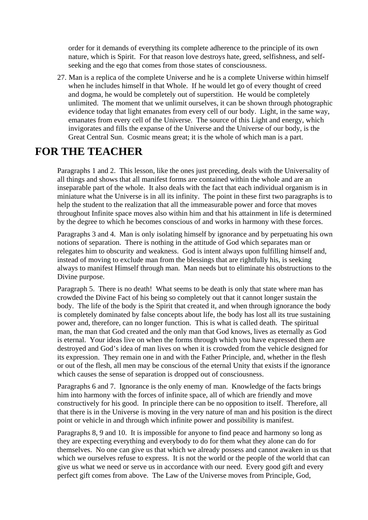order for it demands of everything its complete adherence to the principle of its own nature, which is Spirit. For that reason love destroys hate, greed, selfishness, and selfseeking and the ego that comes from those states of consciousness.

27. Man is a replica of the complete Universe and he is a complete Universe within himself when he includes himself in that Whole. If he would let go of every thought of creed and dogma, he would be completely out of superstition. He would be completely unlimited. The moment that we unlimit ourselves, it can be shown through photographic evidence today that light emanates from every cell of our body. Light, in the same way, emanates from every cell of the Universe. The source of this Light and energy, which invigorates and fills the expanse of the Universe and the Universe of our body, is the Great Central Sun. Cosmic means great; it is the whole of which man is a part.

### **FOR THE TEACHER**

Paragraphs 1 and 2. This lesson, like the ones just preceding, deals with the Universality of all things and shows that all manifest forms are contained within the whole and are an inseparable part of the whole. It also deals with the fact that each individual organism is in miniature what the Universe is in all its infinity. The point in these first two paragraphs is to help the student to the realization that all the immeasurable power and force that moves throughout Infinite space moves also within him and that his attainment in life is determined by the degree to which he becomes conscious of and works in harmony with these forces.

Paragraphs 3 and 4. Man is only isolating himself by ignorance and by perpetuating his own notions of separation. There is nothing in the attitude of God which separates man or relegates him to obscurity and weakness. God is intent always upon fulfilling himself and, instead of moving to exclude man from the blessings that are rightfully his, is seeking always to manifest Himself through man. Man needs but to eliminate his obstructions to the Divine purpose.

Paragraph 5. There is no death! What seems to be death is only that state where man has crowded the Divine Fact of his being so completely out that it cannot longer sustain the body. The life of the body is the Spirit that created it, and when through ignorance the body is completely dominated by false concepts about life, the body has lost all its true sustaining power and, therefore, can no longer function. This is what is called death. The spiritual man, the man that God created and the only man that God knows, lives as eternally as God is eternal. Your ideas live on when the forms through which you have expressed them are destroyed and God's idea of man lives on when it is crowded from the vehicle designed for its expression. They remain one in and with the Father Principle, and, whether in the flesh or out of the flesh, all men may be conscious of the eternal Unity that exists if the ignorance which causes the sense of separation is dropped out of consciousness.

Paragraphs 6 and 7. Ignorance is the only enemy of man. Knowledge of the facts brings him into harmony with the forces of infinite space, all of which are friendly and move constructively for his good. In principle there can be no opposition to itself. Therefore, all that there is in the Universe is moving in the very nature of man and his position is the direct point or vehicle in and through which infinite power and possibility is manifest.

Paragraphs 8, 9 and 10. It is impossible for anyone to find peace and harmony so long as they are expecting everything and everybody to do for them what they alone can do for themselves. No one can give us that which we already possess and cannot awaken in us that which we ourselves refuse to express. It is not the world or the people of the world that can give us what we need or serve us in accordance with our need. Every good gift and every perfect gift comes from above. The Law of the Universe moves from Principle, God,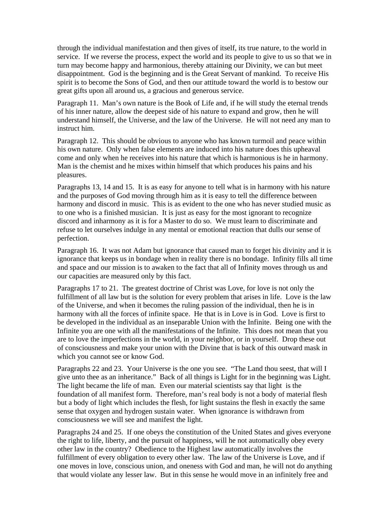through the individual manifestation and then gives of itself, its true nature, to the world in service. If we reverse the process, expect the world and its people to give to us so that we in turn may become happy and harmonious, thereby attaining our Divinity, we can but meet disappointment. God is the beginning and is the Great Servant of mankind. To receive His spirit is to become the Sons of God, and then our attitude toward the world is to bestow our great gifts upon all around us, a gracious and generous service.

Paragraph 11. Man's own nature is the Book of Life and, if he will study the eternal trends of his inner nature, allow the deepest side of his nature to expand and grow, then he will understand himself, the Universe, and the law of the Universe. He will not need any man to instruct him.

Paragraph 12. This should be obvious to anyone who has known turmoil and peace within his own nature. Only when false elements are induced into his nature does this upheaval come and only when he receives into his nature that which is harmonious is he in harmony. Man is the chemist and he mixes within himself that which produces his pains and his pleasures.

Paragraphs 13, 14 and 15. It is as easy for anyone to tell what is in harmony with his nature and the purposes of God moving through him as it is easy to tell the difference between harmony and discord in music. This is as evident to the one who has never studied music as to one who is a finished musician. It is just as easy for the most ignorant to recognize discord and inharmony as it is for a Master to do so. We must learn to discriminate and refuse to let ourselves indulge in any mental or emotional reaction that dulls our sense of perfection.

Paragraph 16. It was not Adam but ignorance that caused man to forget his divinity and it is ignorance that keeps us in bondage when in reality there is no bondage. Infinity fills all time and space and our mission is to awaken to the fact that all of Infinity moves through us and our capacities are measured only by this fact.

Paragraphs 17 to 21. The greatest doctrine of Christ was Love, for love is not only the fulfillment of all law but is the solution for every problem that arises in life. Love is the law of the Universe, and when it becomes the ruling passion of the individual, then he is in harmony with all the forces of infinite space. He that is in Love is in God. Love is first to be developed in the individual as an inseparable Union with the Infinite. Being one with the Infinite you are one with all the manifestations of the Infinite. This does not mean that you are to love the imperfections in the world, in your neighbor, or in yourself. Drop these out of consciousness and make your union with the Divine that is back of this outward mask in which you cannot see or know God.

Paragraphs 22 and 23. Your Universe is the one you see. "The Land thou seest, that will I give unto thee as an inheritance." Back of all things is Light for in the beginning was Light. The light became the life of man. Even our material scientists say that light is the foundation of all manifest form. Therefore, man's real body is not a body of material flesh but a body of light which includes the flesh, for light sustains the flesh in exactly the same sense that oxygen and hydrogen sustain water. When ignorance is withdrawn from consciousness we will see and manifest the light.

Paragraphs 24 and 25. If one obeys the constitution of the United States and gives everyone the right to life, liberty, and the pursuit of happiness, will he not automatically obey every other law in the country? Obedience to the Highest law automatically involves the fulfillment of every obligation to every other law. The law of the Universe is Love, and if one moves in love, conscious union, and oneness with God and man, he will not do anything that would violate any lesser law. But in this sense he would move in an infinitely free and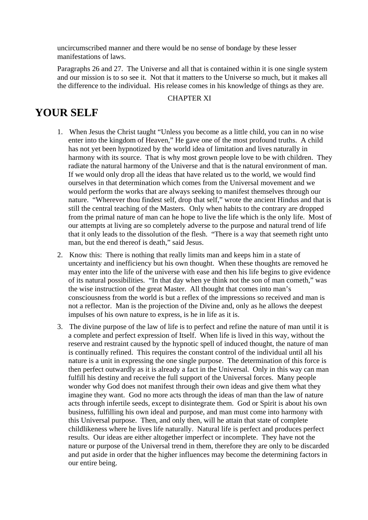uncircumscribed manner and there would be no sense of bondage by these lesser manifestations of laws.

Paragraphs 26 and 27. The Universe and all that is contained within it is one single system and our mission is to so see it. Not that it matters to the Universe so much, but it makes all the difference to the individual. His release comes in his knowledge of things as they are.

#### CHAPTER XI

## **YOUR SELF**

- 1. When Jesus the Christ taught "Unless you become as a little child, you can in no wise enter into the kingdom of Heaven," He gave one of the most profound truths. A child has not yet been hypnotized by the world idea of limitation and lives naturally in harmony with its source. That is why most grown people love to be with children. They radiate the natural harmony of the Universe and that is the natural environment of man. If we would only drop all the ideas that have related us to the world, we would find ourselves in that determination which comes from the Universal movement and we would perform the works that are always seeking to manifest themselves through our nature. "Wherever thou findest self, drop that self," wrote the ancient Hindus and that is still the central teaching of the Masters. Only when habits to the contrary are dropped from the primal nature of man can he hope to live the life which is the only life. Most of our attempts at living are so completely adverse to the purpose and natural trend of life that it only leads to the dissolution of the flesh. "There is a way that seemeth right unto man, but the end thereof is death," said Jesus.
- 2. Know this: There is nothing that really limits man and keeps him in a state of uncertainty and inefficiency but his own thought. When these thoughts are removed he may enter into the life of the universe with ease and then his life begins to give evidence of its natural possibilities. "In that day when ye think not the son of man cometh," was the wise instruction of the great Master. All thought that comes into man's consciousness from the world is but a reflex of the impressions so received and man is not a reflector. Man is the projection of the Divine and, only as he allows the deepest impulses of his own nature to express, is he in life as it is.
- 3. The divine purpose of the law of life is to perfect and refine the nature of man until it is a complete and perfect expression of Itself. When life is lived in this way, without the reserve and restraint caused by the hypnotic spell of induced thought, the nature of man is continually refined. This requires the constant control of the individual until all his nature is a unit in expressing the one single purpose. The determination of this force is then perfect outwardly as it is already a fact in the Universal. Only in this way can man fulfill his destiny and receive the full support of the Universal forces. Many people wonder why God does not manifest through their own ideas and give them what they imagine they want. God no more acts through the ideas of man than the law of nature acts through infertile seeds, except to disintegrate them. God or Spirit is about his own business, fulfilling his own ideal and purpose, and man must come into harmony with this Universal purpose. Then, and only then, will he attain that state of complete childlikeness where he lives life naturally. Natural life is perfect and produces perfect results. Our ideas are either altogether imperfect or incomplete. They have not the nature or purpose of the Universal trend in them, therefore they are only to be discarded and put aside in order that the higher influences may become the determining factors in our entire being.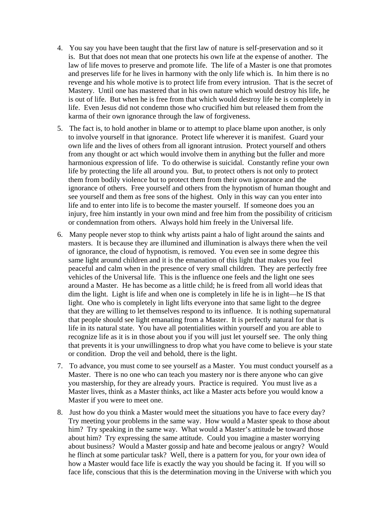- 4. You say you have been taught that the first law of nature is self-preservation and so it is. But that does not mean that one protects his own life at the expense of another. The law of life moves to preserve and promote life. The life of a Master is one that promotes and preserves life for he lives in harmony with the only life which is. In him there is no revenge and his whole motive is to protect life from every intrusion. That is the secret of Mastery. Until one has mastered that in his own nature which would destroy his life, he is out of life. But when he is free from that which would destroy life he is completely in life. Even Jesus did not condemn those who crucified him but released them from the karma of their own ignorance through the law of forgiveness.
- 5. The fact is, to hold another in blame or to attempt to place blame upon another, is only to involve yourself in that ignorance. Protect life wherever it is manifest. Guard your own life and the lives of others from all ignorant intrusion. Protect yourself and others from any thought or act which would involve them in anything but the fuller and more harmonious expression of life. To do otherwise is suicidal. Constantly refine your own life by protecting the life all around you. But, to protect others is not only to protect them from bodily violence but to protect them from their own ignorance and the ignorance of others. Free yourself and others from the hypnotism of human thought and see yourself and them as free sons of the highest. Only in this way can you enter into life and to enter into life is to become the master yourself. If someone does you an injury, free him instantly in your own mind and free him from the possibility of criticism or condemnation from others. Always hold him freely in the Universal life.
- 6. Many people never stop to think why artists paint a halo of light around the saints and masters. It is because they are illumined and illumination is always there when the veil of ignorance, the cloud of hypnotism, is removed. You even see in some degree this same light around children and it is the emanation of this light that makes you feel peaceful and calm when in the presence of very small children. They are perfectly free vehicles of the Universal life. This is the influence one feels and the light one sees around a Master. He has become as a little child; he is freed from all world ideas that dim the light. Light is life and when one is completely in life he is in light—he IS that light. One who is completely in light lifts everyone into that same light to the degree that they are willing to let themselves respond to its influence. It is nothing supernatural that people should see light emanating from a Master. It is perfectly natural for that is life in its natural state. You have all potentialities within yourself and you are able to recognize life as it is in those about you if you will just let yourself see. The only thing that prevents it is your unwillingness to drop what you have come to believe is your state or condition. Drop the veil and behold, there is the light.
- 7. To advance, you must come to see yourself as a Master. You must conduct yourself as a Master. There is no one who can teach you mastery nor is there anyone who can give you mastership, for they are already yours. Practice is required. You must live as a Master lives, think as a Master thinks, act like a Master acts before you would know a Master if you were to meet one.
- 8. Just how do you think a Master would meet the situations you have to face every day? Try meeting your problems in the same way. How would a Master speak to those about him? Try speaking in the same way. What would a Master's attitude be toward those about him? Try expressing the same attitude. Could you imagine a master worrying about business? Would a Master gossip and hate and become jealous or angry? Would he flinch at some particular task? Well, there is a pattern for you, for your own idea of how a Master would face life is exactly the way you should be facing it. If you will so face life, conscious that this is the determination moving in the Universe with which you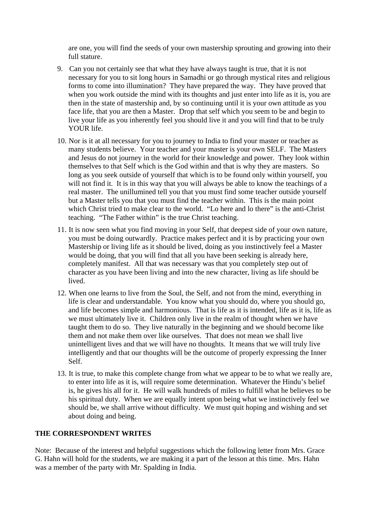are one, you will find the seeds of your own mastership sprouting and growing into their full stature.

- 9. Can you not certainly see that what they have always taught is true, that it is not necessary for you to sit long hours in Samadhi or go through mystical rites and religious forms to come into illumination? They have prepared the way. They have proved that when you work outside the mind with its thoughts and just enter into life as it is, you are then in the state of mastership and, by so continuing until it is your own attitude as you face life, that you are then a Master. Drop that self which you seem to be and begin to live your life as you inherently feel you should live it and you will find that to be truly YOUR life.
- 10. Nor is it at all necessary for you to journey to India to find your master or teacher as many students believe. Your teacher and your master is your own SELF. The Masters and Jesus do not journey in the world for their knowledge and power. They look within themselves to that Self which is the God within and that is why they are masters. So long as you seek outside of yourself that which is to be found only within yourself, you will not find it. It is in this way that you will always be able to know the teachings of a real master. The unillumined tell you that you must find some teacher outside yourself but a Master tells you that you must find the teacher within. This is the main point which Christ tried to make clear to the world. "Lo here and lo there" is the anti-Christ teaching. "The Father within" is the true Christ teaching.
- 11. It is now seen what you find moving in your Self, that deepest side of your own nature, you must be doing outwardly. Practice makes perfect and it is by practicing your own Mastership or living life as it should be lived, doing as you instinctively feel a Master would be doing, that you will find that all you have been seeking is already here, completely manifest. All that was necessary was that you completely step out of character as you have been living and into the new character, living as life should be lived.
- 12. When one learns to live from the Soul, the Self, and not from the mind, everything in life is clear and understandable. You know what you should do, where you should go, and life becomes simple and harmonious. That is life as it is intended, life as it is, life as we must ultimately live it. Children only live in the realm of thought when we have taught them to do so. They live naturally in the beginning and we should become like them and not make them over like ourselves. That does not mean we shall live unintelligent lives and that we will have no thoughts. It means that we will truly live intelligently and that our thoughts will be the outcome of properly expressing the Inner Self.
- 13. It is true, to make this complete change from what we appear to be to what we really are, to enter into life as it is, will require some determination. Whatever the Hindu's belief is, he gives his all for it. He will walk hundreds of miles to fulfill what he believes to be his spiritual duty. When we are equally intent upon being what we instinctively feel we should be, we shall arrive without difficulty. We must quit hoping and wishing and set about doing and being.

#### **THE CORRESPONDENT WRITES**

Note: Because of the interest and helpful suggestions which the following letter from Mrs. Grace G. Hahn will hold for the students, we are making it a part of the lesson at this time. Mrs. Hahn was a member of the party with Mr. Spalding in India.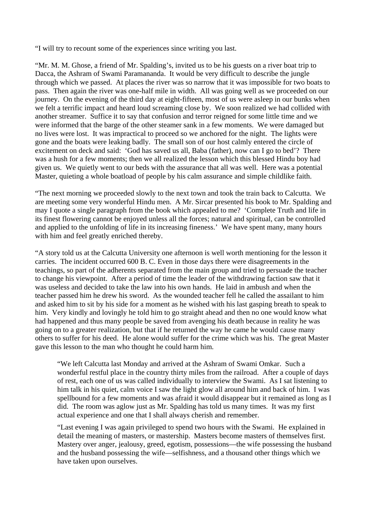"I will try to recount some of the experiences since writing you last.

"Mr. M. M. Ghose, a friend of Mr. Spalding's, invited us to be his guests on a river boat trip to Dacca, the Ashram of Swami Paramananda. It would be very difficult to describe the jungle through which we passed. At places the river was so narrow that it was impossible for two boats to pass. Then again the river was one-half mile in width. All was going well as we proceeded on our journey. On the evening of the third day at eight-fifteen, most of us were asleep in our bunks when we felt a terrific impact and heard loud screaming close by. We soon realized we had collided with another streamer. Suffice it to say that confusion and terror reigned for some little time and we were informed that the barge of the other steamer sank in a few moments. We were damaged but no lives were lost. It was impractical to proceed so we anchored for the night. The lights were gone and the boats were leaking badly. The small son of our host calmly entered the circle of excitement on deck and said: 'God has saved us all, Baba (father), now can I go to bed'? There was a hush for a few moments; then we all realized the lesson which this blessed Hindu boy had given us. We quietly went to our beds with the assurance that all was well. Here was a potential Master, quieting a whole boatload of people by his calm assurance and simple childlike faith.

"The next morning we proceeded slowly to the next town and took the train back to Calcutta. We are meeting some very wonderful Hindu men. A Mr. Sircar presented his book to Mr. Spalding and may I quote a single paragraph from the book which appealed to me? 'Complete Truth and life in its finest flowering cannot be enjoyed unless all the forces; natural and spiritual, can be controlled and applied to the unfolding of life in its increasing fineness.' We have spent many, many hours with him and feel greatly enriched thereby.

"A story told us at the Calcutta University one afternoon is well worth mentioning for the lesson it carries. The incident occurred 600 B. C. Even in those days there were disagreements in the teachings, so part of the adherents separated from the main group and tried to persuade the teacher to change his viewpoint. After a period of time the leader of the withdrawing faction saw that it was useless and decided to take the law into his own hands. He laid in ambush and when the teacher passed him he drew his sword. As the wounded teacher fell he called the assailant to him and asked him to sit by his side for a moment as he wished with his last gasping breath to speak to him. Very kindly and lovingly he told him to go straight ahead and then no one would know what had happened and thus many people be saved from avenging his death because in reality he was going on to a greater realization, but that if he returned the way he came he would cause many others to suffer for his deed. He alone would suffer for the crime which was his. The great Master gave this lesson to the man who thought he could harm him.

"We left Calcutta last Monday and arrived at the Ashram of Swami Omkar. Such a wonderful restful place in the country thirty miles from the railroad. After a couple of days of rest, each one of us was called individually to interview the Swami. As I sat listening to him talk in his quiet, calm voice I saw the light glow all around him and back of him. I was spellbound for a few moments and was afraid it would disappear but it remained as long as I did. The room was aglow just as Mr. Spalding has told us many times. It was my first actual experience and one that I shall always cherish and remember.

"Last evening I was again privileged to spend two hours with the Swami. He explained in detail the meaning of masters, or mastership. Masters become masters of themselves first. Mastery over anger, jealousy, greed, egotism, possessions—the wife possessing the husband and the husband possessing the wife—selfishness, and a thousand other things which we have taken upon ourselves.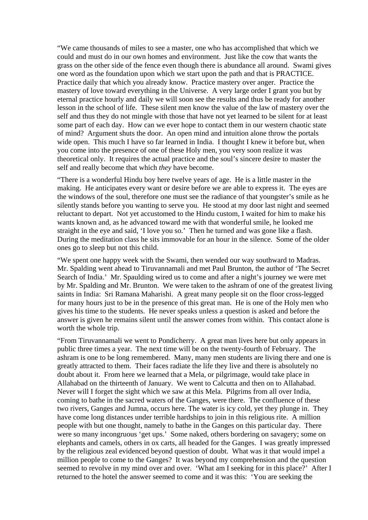"We came thousands of miles to see a master, one who has accomplished that which we could and must do in our own homes and environment. Just like the cow that wants the grass on the other side of the fence even though there is abundance all around. Swami gives one word as the foundation upon which we start upon the path and that is PRACTICE. Practice daily that which you already know. Practice mastery over anger. Practice the mastery of love toward everything in the Universe. A very large order I grant you but by eternal practice hourly and daily we will soon see the results and thus be ready for another lesson in the school of life. These silent men know the value of the law of mastery over the self and thus they do not mingle with those that have not yet learned to be silent for at least some part of each day. How can we ever hope to contact them in our western chaotic state of mind? Argument shuts the door. An open mind and intuition alone throw the portals wide open. This much I have so far learned in India. I thought I knew it before but, when you come into the presence of one of these Holy men, you very soon realize it was theoretical only. It requires the actual practice and the soul's sincere desire to master the self and really become that which *they* have become.

"There is a wonderful Hindu boy here twelve years of age. He is a little master in the making. He anticipates every want or desire before we are able to express it. The eyes are the windows of the soul, therefore one must see the radiance of that youngster's smile as he silently stands before you wanting to serve you. He stood at my door last night and seemed reluctant to depart. Not yet accustomed to the Hindu custom, I waited for him to make his wants known and, as he advanced toward me with that wonderful smile, he looked me straight in the eye and said, 'I love you so.' Then he turned and was gone like a flash. During the meditation class he sits immovable for an hour in the silence. Some of the older ones go to sleep but not this child.

"We spent one happy week with the Swami, then wended our way southward to Madras. Mr. Spalding went ahead to Tiruvannamali and met Paul Brunton, the author of 'The Secret Search of India.' Mr. Spaulding wired us to come and after a night's journey we were met by Mr. Spalding and Mr. Brunton. We were taken to the ashram of one of the greatest living saints in India: Sri Ramana Maharishi. A great many people sit on the floor cross-legged for many hours just to be in the presence of this great man. He is one of the Holy men who gives his time to the students. He never speaks unless a question is asked and before the answer is given he remains silent until the answer comes from within. This contact alone is worth the whole trip.

"From Tiruvannamali we went to Pondicherry. A great man lives here but only appears in public three times a year. The next time will be on the twenty-fourth of February. The ashram is one to be long remembered. Many, many men students are living there and one is greatly attracted to them. Their faces radiate the life they live and there is absolutely no doubt about it. From here we learned that a Mela, or pilgrimage, would take place in Allahabad on the thirteenth of January. We went to Calcutta and then on to Allahabad. Never will I forget the sight which we saw at this Mela. Pilgrims from all over India, coming to bathe in the sacred waters of the Ganges, were there. The confluence of these two rivers, Ganges and Jumna, occurs here. The water is icy cold, yet they plunge in. They have come long distances under terrible hardships to join in this religious rite. A million people with but one thought, namely to bathe in the Ganges on this particular day. There were so many incongruous 'get ups.' Some naked, others bordering on savagery; some on elephants and camels, others in ox carts, all headed for the Ganges. I was greatly impressed by the religious zeal evidenced beyond question of doubt. What was it that would impel a million people to come to the Ganges? It was beyond my comprehension and the question seemed to revolve in my mind over and over. 'What am I seeking for in this place?' After I returned to the hotel the answer seemed to come and it was this: 'You are seeking the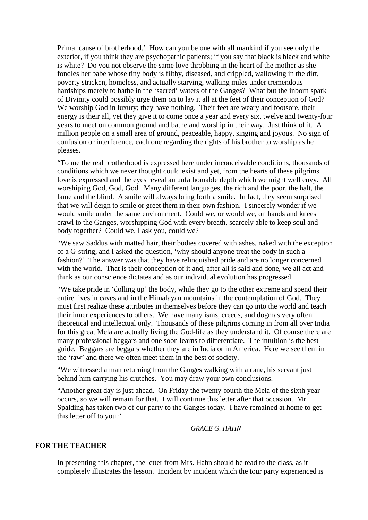Primal cause of brotherhood.' How can you be one with all mankind if you see only the exterior, if you think they are psychopathic patients; if you say that black is black and white is white? Do you not observe the same love throbbing in the heart of the mother as she fondles her babe whose tiny body is filthy, diseased, and crippled, wallowing in the dirt, poverty stricken, homeless, and actually starving, walking miles under tremendous hardships merely to bathe in the 'sacred' waters of the Ganges? What but the inborn spark of Divinity could possibly urge them on to lay it all at the feet of their conception of God? We worship God in luxury; they have nothing. Their feet are weary and footsore, their energy is their all, yet they give it to come once a year and every six, twelve and twenty-four years to meet on common ground and bathe and worship in their way. Just think of it. A million people on a small area of ground, peaceable, happy, singing and joyous. No sign of confusion or interference, each one regarding the rights of his brother to worship as he pleases.

"To me the real brotherhood is expressed here under inconceivable conditions, thousands of conditions which we never thought could exist and yet, from the hearts of these pilgrims love is expressed and the eyes reveal an unfathomable depth which we might well envy. All worshiping God, God, God. Many different languages, the rich and the poor, the halt, the lame and the blind. A smile will always bring forth a smile. In fact, they seem surprised that we will deign to smile or greet them in their own fashion. I sincerely wonder if we would smile under the same environment. Could we, or would we, on hands and knees crawl to the Ganges, worshipping God with every breath, scarcely able to keep soul and body together? Could we, I ask you, could we?

"We saw Saddus with matted hair, their bodies covered with ashes, naked with the exception of a G-string, and I asked the question, 'why should anyone treat the body in such a fashion?' The answer was that they have relinquished pride and are no longer concerned with the world. That is their conception of it and, after all is said and done, we all act and think as our conscience dictates and as our individual evolution has progressed.

"We take pride in 'dolling up' the body, while they go to the other extreme and spend their entire lives in caves and in the Himalayan mountains in the contemplation of God. They must first realize these attributes in themselves before they can go into the world and teach their inner experiences to others. We have many isms, creeds, and dogmas very often theoretical and intellectual only. Thousands of these pilgrims coming in from all over India for this great Mela are actually living the God-life as they understand it. Of course there are many professional beggars and one soon learns to differentiate. The intuition is the best guide. Beggars are beggars whether they are in India or in America. Here we see them in the 'raw' and there we often meet them in the best of society.

"We witnessed a man returning from the Ganges walking with a cane, his servant just behind him carrying his crutches. You may draw your own conclusions.

"Another great day is just ahead. On Friday the twenty-fourth the Mela of the sixth year occurs, so we will remain for that. I will continue this letter after that occasion. Mr. Spalding has taken two of our party to the Ganges today. I have remained at home to get this letter off to you."

*GRACE G. HAHN*

#### **FOR THE TEACHER**

In presenting this chapter, the letter from Mrs. Hahn should be read to the class, as it completely illustrates the lesson. Incident by incident which the tour party experienced is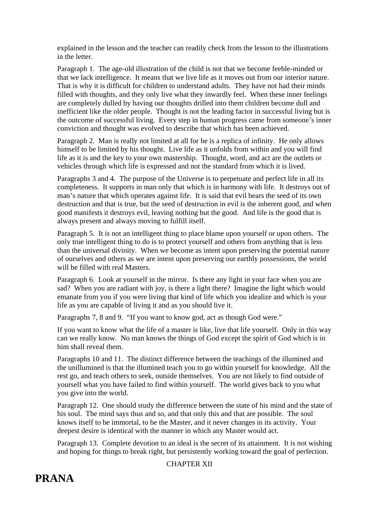explained in the lesson and the teacher can readily check from the lesson to the illustrations in the letter.

Paragraph 1. The age-old illustration of the child is not that we become feeble-minded or that we lack intelligence. It means that we live life as it moves out from our interior nature. That is why it is difficult for children to understand adults. They have not had their minds filled with thoughts, and they only live what they inwardly feel. When these inner feelings are completely dulled by having our thoughts drilled into them children become dull and inefficient like the older people. Thought is not the leading factor in successful living but is the outcome of successful living. Every step in human progress came from someone's inner conviction and thought was evolved to describe that which has been achieved.

Paragraph 2. Man is really not limited at all for he is a replica of infinity. He only allows himself to be limited by his thought. Live life as it unfolds from within and you will find life as it is and the key to your own mastership. Thought, word, and act are the outlets or vehicles through which life is expressed and not the standard from which it is lived.

Paragraphs 3 and 4. The purpose of the Universe is to perpetuate and perfect life in all its completeness. It supports in man only that which is in harmony with life. It destroys out of man's nature that which operates against life. It is said that evil bears the seed of its own destruction and that is true, but the seed of destruction in evil is the inherent good, and when good manifests it destroys evil, leaving nothing but the good. And life is the good that is always present and always moving to fulfill itself.

Paragraph 5. It is not an intelligent thing to place blame upon yourself or upon others. The only true intelligent thing to do is to protect yourself and others from anything that is less than the universal divinity. When we become as intent upon preserving the potential nature of ourselves and others as we are intent upon preserving our earthly possessions, the world will be filled with real Masters.

Paragraph 6. Look at yourself in the mirror. Is there any light in your face when you are sad? When you are radiant with joy, is there a light there? Imagine the light which would emanate from you if you were living that kind of life which you idealize and which is your life as you are capable of living it and as you should live it.

Paragraphs 7, 8 and 9. "If you want to know god, act as though God were."

If you want to know what the life of a master is like, live that life yourself. Only in this way can we really know. No man knows the things of God except the spirit of God which is in him shall reveal them.

Paragraphs 10 and 11. The distinct difference between the teachings of the illumined and the unillumined is that the illumined teach you to go within yourself for knowledge. All the rest go, and teach others to seek, outside themselves. You are not likely to find outside of yourself what you have failed to find within yourself. The world gives back to you what you give into the world.

Paragraph 12. One should study the difference between the state of his mind and the state of his soul. The mind says thus and so, and that only this and that are possible. The soul knows itself to be immortal, to be the Master, and it never changes in its activity. Your deepest desire is identical with the manner in which any Master would act.

Paragraph 13. Complete devotion to an ideal is the secret of its attainment. It is not wishing and hoping for things to break right, but persistently working toward the goal of perfection.

#### CHAPTER XII

### **PRANA**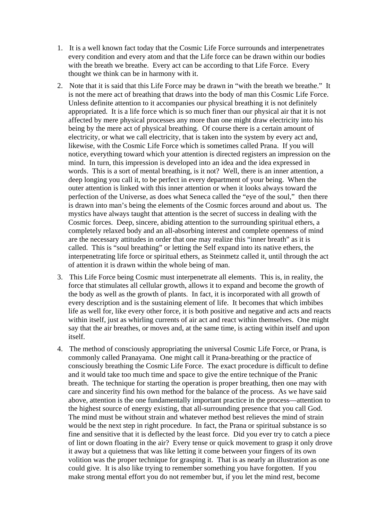- 1. It is a well known fact today that the Cosmic Life Force surrounds and interpenetrates every condition and every atom and that the Life force can be drawn within our bodies with the breath we breathe. Every act can be according to that Life Force. Every thought we think can be in harmony with it.
- 2. Note that it is said that this Life Force may be drawn in "with the breath we breathe." It is not the mere act of breathing that draws into the body of man this Cosmic Life Force. Unless definite attention to it accompanies our physical breathing it is not definitely appropriated. It is a life force which is so much finer than our physical air that it is not affected by mere physical processes any more than one might draw electricity into his being by the mere act of physical breathing. Of course there is a certain amount of electricity, or what we call electricity, that is taken into the system by every act and, likewise, with the Cosmic Life Force which is sometimes called Prana. If you will notice, everything toward which your attention is directed registers an impression on the mind. In turn, this impression is developed into an idea and the idea expressed in words. This is a sort of mental breathing, is it not? Well, there is an inner attention, a deep longing you call it, to be perfect in every department of your being. When the outer attention is linked with this inner attention or when it looks always toward the perfection of the Universe, as does what Seneca called the "eye of the soul," then there is drawn into man's being the elements of the Cosmic forces around and about us. The mystics have always taught that attention is the secret of success in dealing with the Cosmic forces. Deep, sincere, abiding attention to the surrounding spiritual ethers, a completely relaxed body and an all-absorbing interest and complete openness of mind are the necessary attitudes in order that one may realize this "inner breath" as it is called. This is "soul breathing" or letting the Self expand into its native ethers, the interpenetrating life force or spiritual ethers, as Steinmetz called it, until through the act of attention it is drawn within the whole being of man.
- 3. This Life Force being Cosmic must interpenetrate all elements. This is, in reality, the force that stimulates all cellular growth, allows it to expand and become the growth of the body as well as the growth of plants. In fact, it is incorporated with all growth of every description and is the sustaining element of life. It becomes that which imbibes life as well for, like every other force, it is both positive and negative and acts and reacts within itself, just as whirling currents of air act and react within themselves. One might say that the air breathes, or moves and, at the same time, is acting within itself and upon itself.
- 4. The method of consciously appropriating the universal Cosmic Life Force, or Prana, is commonly called Pranayama. One might call it Prana-breathing or the practice of consciously breathing the Cosmic Life Force. The exact procedure is difficult to define and it would take too much time and space to give the entire technique of the Pranic breath. The technique for starting the operation is proper breathing, then one may with care and sincerity find his own method for the balance of the process. As we have said above, attention is the one fundamentally important practice in the process—attention to the highest source of energy existing, that all-surrounding presence that you call God. The mind must be without strain and whatever method best relieves the mind of strain would be the next step in right procedure. In fact, the Prana or spiritual substance is so fine and sensitive that it is deflected by the least force. Did you ever try to catch a piece of lint or down floating in the air? Every tense or quick movement to grasp it only drove it away but a quietness that was like letting it come between your fingers of its own volition was the proper technique for grasping it. That is as nearly an illustration as one could give. It is also like trying to remember something you have forgotten. If you make strong mental effort you do not remember but, if you let the mind rest, become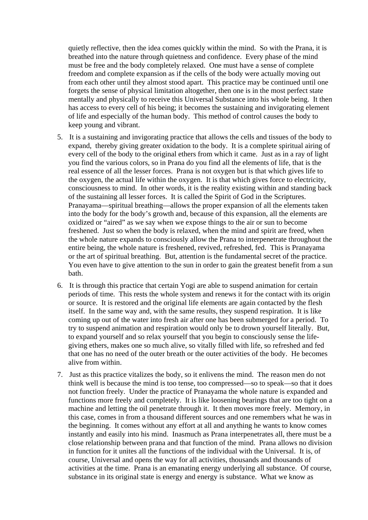quietly reflective, then the idea comes quickly within the mind. So with the Prana, it is breathed into the nature through quietness and confidence. Every phase of the mind must be free and the body completely relaxed. One must have a sense of complete freedom and complete expansion as if the cells of the body were actually moving out from each other until they almost stood apart. This practice may be continued until one forgets the sense of physical limitation altogether, then one is in the most perfect state mentally and physically to receive this Universal Substance into his whole being. It then has access to every cell of his being; it becomes the sustaining and invigorating element of life and especially of the human body. This method of control causes the body to keep young and vibrant.

- 5. It is a sustaining and invigorating practice that allows the cells and tissues of the body to expand, thereby giving greater oxidation to the body. It is a complete spiritual airing of every cell of the body to the original ethers from which it came. Just as in a ray of light you find the various colors, so in Prana do you find all the elements of life, that is the real essence of all the lesser forces. Prana is not oxygen but is that which gives life to the oxygen, the actual life within the oxygen. It is that which gives force to electricity, consciousness to mind. In other words, it is the reality existing within and standing back of the sustaining all lesser forces. It is called the Spirit of God in the Scriptures. Pranayama—spiritual breathing—allows the proper expansion of all the elements taken into the body for the body's growth and, because of this expansion, all the elements are oxidized or "aired" as we say when we expose things to the air or sun to become freshened. Just so when the body is relaxed, when the mind and spirit are freed, when the whole nature expands to consciously allow the Prana to interpenetrate throughout the entire being, the whole nature is freshened, revived, refreshed, fed. This is Pranayama or the art of spiritual breathing. But, attention is the fundamental secret of the practice. You even have to give attention to the sun in order to gain the greatest benefit from a sun bath.
- 6. It is through this practice that certain Yogi are able to suspend animation for certain periods of time. This rests the whole system and renews it for the contact with its origin or source. It is restored and the original life elements are again contacted by the flesh itself. In the same way and, with the same results, they suspend respiration. It is like coming up out of the water into fresh air after one has been submerged for a period. To try to suspend animation and respiration would only be to drown yourself literally. But, to expand yourself and so relax yourself that you begin to consciously sense the lifegiving ethers, makes one so much alive, so vitally filled with life, so refreshed and fed that one has no need of the outer breath or the outer activities of the body. He becomes alive from within.
- 7. Just as this practice vitalizes the body, so it enlivens the mind. The reason men do not think well is because the mind is too tense, too compressed—so to speak—so that it does not function freely. Under the practice of Pranayama the whole nature is expanded and functions more freely and completely. It is like loosening bearings that are too tight on a machine and letting the oil penetrate through it. It then moves more freely. Memory, in this case, comes in from a thousand different sources and one remembers what he was in the beginning. It comes without any effort at all and anything he wants to know comes instantly and easily into his mind. Inasmuch as Prana interpenetrates all, there must be a close relationship between prana and that function of the mind. Prana allows no division in function for it unites all the functions of the individual with the Universal. It is, of course, Universal and opens the way for all activities, thousands and thousands of activities at the time. Prana is an emanating energy underlying all substance. Of course, substance in its original state is energy and energy is substance. What we know as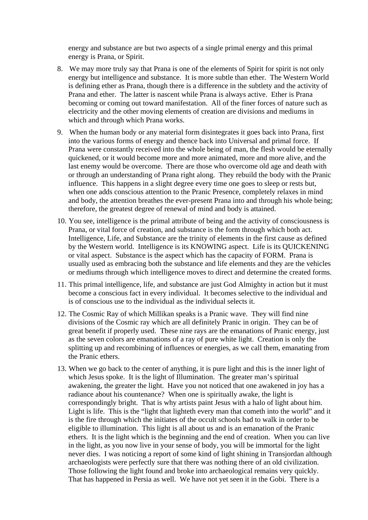energy and substance are but two aspects of a single primal energy and this primal energy is Prana, or Spirit.

- 8. We may more truly say that Prana is one of the elements of Spirit for spirit is not only energy but intelligence and substance. It is more subtle than ether. The Western World is defining ether as Prana, though there is a difference in the subtlety and the activity of Prana and ether. The latter is nascent while Prana is always active. Ether is Prana becoming or coming out toward manifestation. All of the finer forces of nature such as electricity and the other moving elements of creation are divisions and mediums in which and through which Prana works.
- 9. When the human body or any material form disintegrates it goes back into Prana, first into the various forms of energy and thence back into Universal and primal force. If Prana were constantly received into the whole being of man, the flesh would be eternally quickened, or it would become more and more animated, more and more alive, and the last enemy would be overcome. There are those who overcome old age and death with or through an understanding of Prana right along. They rebuild the body with the Pranic influence. This happens in a slight degree every time one goes to sleep or rests but, when one adds conscious attention to the Pranic Presence, completely relaxes in mind and body, the attention breathes the ever-present Prana into and through his whole being; therefore, the greatest degree of renewal of mind and body is attained.
- 10. You see, intelligence is the primal attribute of being and the activity of consciousness is Prana, or vital force of creation, and substance is the form through which both act. Intelligence, Life, and Substance are the trinity of elements in the first cause as defined by the Western world. Intelligence is its KNOWING aspect. Life is its QUICKENING or vital aspect. Substance is the aspect which has the capacity of FORM. Prana is usually used as embracing both the substance and life elements and they are the vehicles or mediums through which intelligence moves to direct and determine the created forms.
- 11. This primal intelligence, life, and substance are just God Almighty in action but it must become a conscious fact in every individual. It becomes selective to the individual and is of conscious use to the individual as the individual selects it.
- 12. The Cosmic Ray of which Millikan speaks is a Pranic wave. They will find nine divisions of the Cosmic ray which are all definitely Pranic in origin. They can be of great benefit if properly used. These nine rays are the emanations of Pranic energy, just as the seven colors are emanations of a ray of pure white light. Creation is only the splitting up and recombining of influences or energies, as we call them, emanating from the Pranic ethers.
- 13. When we go back to the center of anything, it is pure light and this is the inner light of which Jesus spoke. It is the light of Illumination. The greater man's spiritual awakening, the greater the light. Have you not noticed that one awakened in joy has a radiance about his countenance? When one is spiritually awake, the light is correspondingly bright. That is why artists paint Jesus with a halo of light about him. Light is life. This is the "light that lighteth every man that cometh into the world" and it is the fire through which the initiates of the occult schools had to walk in order to be eligible to illumination. This light is all about us and is an emanation of the Pranic ethers. It is the light which is the beginning and the end of creation. When you can live in the light, as you now live in your sense of body, you will be immortal for the light never dies. I was noticing a report of some kind of light shining in Transjordan although archaeologists were perfectly sure that there was nothing there of an old civilization. Those following the light found and broke into archaeological remains very quickly. That has happened in Persia as well. We have not yet seen it in the Gobi. There is a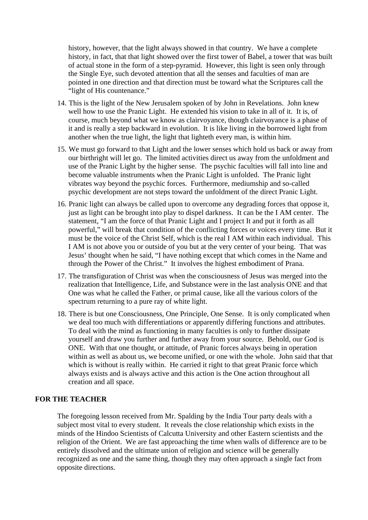history, however, that the light always showed in that country. We have a complete history, in fact, that that light showed over the first tower of Babel, a tower that was built of actual stone in the form of a step-pyramid. However, this light is seen only through the Single Eye, such devoted attention that all the senses and faculties of man are pointed in one direction and that direction must be toward what the Scriptures call the "light of His countenance."

- 14. This is the light of the New Jerusalem spoken of by John in Revelations. John knew well how to use the Pranic Light. He extended his vision to take in all of it. It is, of course, much beyond what we know as clairvoyance, though clairvoyance is a phase of it and is really a step backward in evolution. It is like living in the borrowed light from another when the true light, the light that lighteth every man, is within him.
- 15. We must go forward to that Light and the lower senses which hold us back or away from our birthright will let go. The limited activities direct us away from the unfoldment and use of the Pranic Light by the higher sense. The psychic faculties will fall into line and become valuable instruments when the Pranic Light is unfolded. The Pranic light vibrates way beyond the psychic forces. Furthermore, mediumship and so-called psychic development are not steps toward the unfoldment of the direct Pranic Light.
- 16. Pranic light can always be called upon to overcome any degrading forces that oppose it, just as light can be brought into play to dispel darkness. It can be the I AM center. The statement, "I am the force of that Pranic Light and I project It and put it forth as all powerful," will break that condition of the conflicting forces or voices every time. But it must be the voice of the Christ Self, which is the real I AM within each individual. This I AM is not above you or outside of you but at the very center of your being. That was Jesus' thought when he said, "I have nothing except that which comes in the Name and through the Power of the Christ." It involves the highest embodiment of Prana.
- 17. The transfiguration of Christ was when the consciousness of Jesus was merged into the realization that Intelligence, Life, and Substance were in the last analysis ONE and that One was what he called the Father, or primal cause, like all the various colors of the spectrum returning to a pure ray of white light.
- 18. There is but one Consciousness, One Principle, One Sense. It is only complicated when we deal too much with differentiations or apparently differing functions and attributes. To deal with the mind as functioning in many faculties is only to further dissipate yourself and draw you further and further away from your source. Behold, our God is ONE. With that one thought, or attitude, of Pranic forces always being in operation within as well as about us, we become unified, or one with the whole. John said that that which is without is really within. He carried it right to that great Pranic force which always exists and is always active and this action is the One action throughout all creation and all space.

#### **FOR THE TEACHER**

The foregoing lesson received from Mr. Spalding by the India Tour party deals with a subject most vital to every student. It reveals the close relationship which exists in the minds of the Hindoo Scientists of Calcutta University and other Eastern scientists and the religion of the Orient. We are fast approaching the time when walls of difference are to be entirely dissolved and the ultimate union of religion and science will be generally recognized as one and the same thing, though they may often approach a single fact from opposite directions.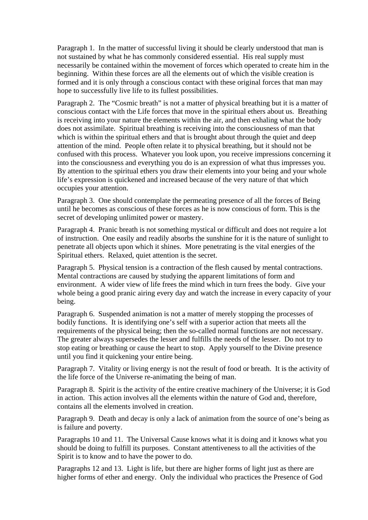Paragraph 1. In the matter of successful living it should be clearly understood that man is not sustained by what he has commonly considered essential. His real supply must necessarily be contained within the movement of forces which operated to create him in the beginning. Within these forces are all the elements out of which the visible creation is formed and it is only through a conscious contact with these original forces that man may hope to successfully live life to its fullest possibilities.

Paragraph 2. The "Cosmic breath" is not a matter of physical breathing but it is a matter of conscious contact with the Life forces that move in the spiritual ethers about us. Breathing is receiving into your nature the elements within the air, and then exhaling what the body does not assimilate. Spiritual breathing is receiving into the consciousness of man that which is within the spiritual ethers and that is brought about through the quiet and deep attention of the mind. People often relate it to physical breathing, but it should not be confused with this process. Whatever you look upon, you receive impressions concerning it into the consciousness and everything you do is an expression of what thus impresses you. By attention to the spiritual ethers you draw their elements into your being and your whole life's expression is quickened and increased because of the very nature of that which occupies your attention.

Paragraph 3. One should contemplate the permeating presence of all the forces of Being until he becomes as conscious of these forces as he is now conscious of form. This is the secret of developing unlimited power or mastery.

Paragraph 4. Pranic breath is not something mystical or difficult and does not require a lot of instruction. One easily and readily absorbs the sunshine for it is the nature of sunlight to penetrate all objects upon which it shines. More penetrating is the vital energies of the Spiritual ethers. Relaxed, quiet attention is the secret.

Paragraph 5. Physical tension is a contraction of the flesh caused by mental contractions. Mental contractions are caused by studying the apparent limitations of form and environment. A wider view of life frees the mind which in turn frees the body. Give your whole being a good pranic airing every day and watch the increase in every capacity of your being.

Paragraph 6. Suspended animation is not a matter of merely stopping the processes of bodily functions. It is identifying one's self with a superior action that meets all the requirements of the physical being; then the so-called normal functions are not necessary. The greater always supersedes the lesser and fulfills the needs of the lesser. Do not try to stop eating or breathing or cause the heart to stop. Apply yourself to the Divine presence until you find it quickening your entire being.

Paragraph 7. Vitality or living energy is not the result of food or breath. It is the activity of the life force of the Universe re-animating the being of man.

Paragraph 8. Spirit is the activity of the entire creative machinery of the Universe; it is God in action. This action involves all the elements within the nature of God and, therefore, contains all the elements involved in creation.

Paragraph 9. Death and decay is only a lack of animation from the source of one's being as is failure and poverty.

Paragraphs 10 and 11. The Universal Cause knows what it is doing and it knows what you should be doing to fulfill its purposes. Constant attentiveness to all the activities of the Spirit is to know and to have the power to do.

Paragraphs 12 and 13. Light is life, but there are higher forms of light just as there are higher forms of ether and energy. Only the individual who practices the Presence of God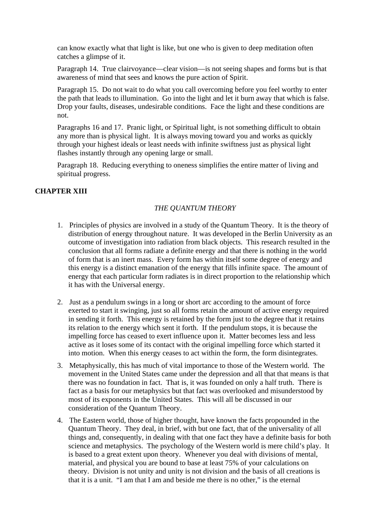can know exactly what that light is like, but one who is given to deep meditation often catches a glimpse of it.

Paragraph 14. True clairvoyance—clear vision—is not seeing shapes and forms but is that awareness of mind that sees and knows the pure action of Spirit.

Paragraph 15. Do not wait to do what you call overcoming before you feel worthy to enter the path that leads to illumination. Go into the light and let it burn away that which is false. Drop your faults, diseases, undesirable conditions. Face the light and these conditions are not.

Paragraphs 16 and 17. Pranic light, or Spiritual light, is not something difficult to obtain any more than is physical light. It is always moving toward you and works as quickly through your highest ideals or least needs with infinite swiftness just as physical light flashes instantly through any opening large or small.

Paragraph 18. Reducing everything to oneness simplifies the entire matter of living and spiritual progress.

## **CHAPTER XIII**

### *THE QUANTUM THEORY*

- 1. Principles of physics are involved in a study of the Quantum Theory. It is the theory of distribution of energy throughout nature. It was developed in the Berlin University as an outcome of investigation into radiation from black objects. This research resulted in the conclusion that all forms radiate a definite energy and that there is nothing in the world of form that is an inert mass. Every form has within itself some degree of energy and this energy is a distinct emanation of the energy that fills infinite space. The amount of energy that each particular form radiates is in direct proportion to the relationship which it has with the Universal energy.
- 2. Just as a pendulum swings in a long or short arc according to the amount of force exerted to start it swinging, just so all forms retain the amount of active energy required in sending it forth. This energy is retained by the form just to the degree that it retains its relation to the energy which sent it forth. If the pendulum stops, it is because the impelling force has ceased to exert influence upon it. Matter becomes less and less active as it loses some of its contact with the original impelling force which started it into motion. When this energy ceases to act within the form, the form disintegrates.
- 3. Metaphysically, this has much of vital importance to those of the Western world. The movement in the United States came under the depression and all that that means is that there was no foundation in fact. That is, it was founded on only a half truth. There is fact as a basis for our metaphysics but that fact was overlooked and misunderstood by most of its exponents in the United States. This will all be discussed in our consideration of the Quantum Theory.
- 4. The Eastern world, those of higher thought, have known the facts propounded in the Quantum Theory. They deal, in brief, with but one fact, that of the universality of all things and, consequently, in dealing with that one fact they have a definite basis for both science and metaphysics. The psychology of the Western world is mere child's play. It is based to a great extent upon theory. Whenever you deal with divisions of mental, material, and physical you are bound to base at least 75% of your calculations on theory. Division is not unity and unity is not division and the basis of all creations is that it is a unit. "I am that I am and beside me there is no other," is the eternal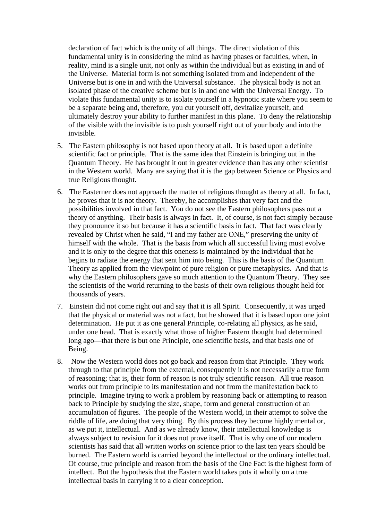declaration of fact which is the unity of all things. The direct violation of this fundamental unity is in considering the mind as having phases or faculties, when, in reality, mind is a single unit, not only as within the individual but as existing in and of the Universe. Material form is not something isolated from and independent of the Universe but is one in and with the Universal substance. The physical body is not an isolated phase of the creative scheme but is in and one with the Universal Energy. To violate this fundamental unity is to isolate yourself in a hypnotic state where you seem to be a separate being and, therefore, you cut yourself off, devitalize yourself, and ultimately destroy your ability to further manifest in this plane. To deny the relationship of the visible with the invisible is to push yourself right out of your body and into the invisible.

- 5. The Eastern philosophy is not based upon theory at all. It is based upon a definite scientific fact or principle. That is the same idea that Einstein is bringing out in the Quantum Theory. He has brought it out in greater evidence than has any other scientist in the Western world. Many are saying that it is the gap between Science or Physics and true Religious thought.
- 6. The Easterner does not approach the matter of religious thought as theory at all. In fact, he proves that it is not theory. Thereby, he accomplishes that very fact and the possibilities involved in that fact. You do not see the Eastern philosophers pass out a theory of anything. Their basis is always in fact. It, of course, is not fact simply because they pronounce it so but because it has a scientific basis in fact. That fact was clearly revealed by Christ when he said, "I and my father are ONE," preserving the unity of himself with the whole. That is the basis from which all successful living must evolve and it is only to the degree that this oneness is maintained by the individual that he begins to radiate the energy that sent him into being. This is the basis of the Quantum Theory as applied from the viewpoint of pure religion or pure metaphysics. And that is why the Eastern philosophers gave so much attention to the Quantum Theory. They see the scientists of the world returning to the basis of their own religious thought held for thousands of years.
- 7. Einstein did not come right out and say that it is all Spirit. Consequently, it was urged that the physical or material was not a fact, but he showed that it is based upon one joint determination. He put it as one general Principle, co-relating all physics, as he said, under one head. That is exactly what those of higher Eastern thought had determined long ago—that there is but one Principle, one scientific basis, and that basis one of Being.
- 8. Now the Western world does not go back and reason from that Principle. They work through to that principle from the external, consequently it is not necessarily a true form of reasoning; that is, their form of reason is not truly scientific reason. All true reason works out from principle to its manifestation and not from the manifestation back to principle. Imagine trying to work a problem by reasoning back or attempting to reason back to Principle by studying the size, shape, form and general construction of an accumulation of figures. The people of the Western world, in their attempt to solve the riddle of life, are doing that very thing. By this process they become highly mental or, as we put it, intellectual. And as we already know, their intellectual knowledge is always subject to revision for it does not prove itself. That is why one of our modern scientists has said that all written works on science prior to the last ten years should be burned. The Eastern world is carried beyond the intellectual or the ordinary intellectual. Of course, true principle and reason from the basis of the One Fact is the highest form of intellect. But the hypothesis that the Eastern world takes puts it wholly on a true intellectual basis in carrying it to a clear conception.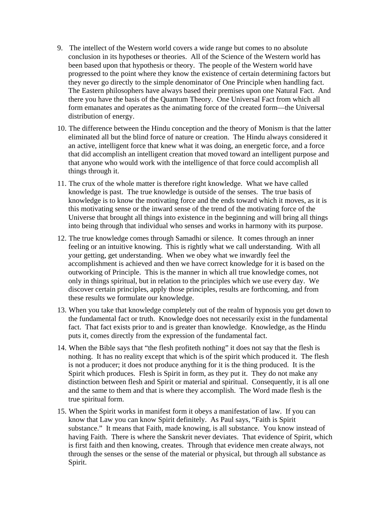- 9. The intellect of the Western world covers a wide range but comes to no absolute conclusion in its hypotheses or theories. All of the Science of the Western world has been based upon that hypothesis or theory. The people of the Western world have progressed to the point where they know the existence of certain determining factors but they never go directly to the simple denominator of One Principle when handling fact. The Eastern philosophers have always based their premises upon one Natural Fact. And there you have the basis of the Quantum Theory. One Universal Fact from which all form emanates and operates as the animating force of the created form—the Universal distribution of energy.
- 10. The difference between the Hindu conception and the theory of Monism is that the latter eliminated all but the blind force of nature or creation. The Hindu always considered it an active, intelligent force that knew what it was doing, an energetic force, and a force that did accomplish an intelligent creation that moved toward an intelligent purpose and that anyone who would work with the intelligence of that force could accomplish all things through it.
- 11. The crux of the whole matter is therefore right knowledge. What we have called knowledge is past. The true knowledge is outside of the senses. The true basis of knowledge is to know the motivating force and the ends toward which it moves, as it is this motivating sense or the inward sense of the trend of the motivating force of the Universe that brought all things into existence in the beginning and will bring all things into being through that individual who senses and works in harmony with its purpose.
- 12. The true knowledge comes through Samadhi or silence. It comes through an inner feeling or an intuitive knowing. This is rightly what we call understanding. With all your getting, get understanding. When we obey what we inwardly feel the accomplishment is achieved and then we have correct knowledge for it is based on the outworking of Principle. This is the manner in which all true knowledge comes, not only in things spiritual, but in relation to the principles which we use every day. We discover certain principles, apply those principles, results are forthcoming, and from these results we formulate our knowledge.
- 13. When you take that knowledge completely out of the realm of hypnosis you get down to the fundamental fact or truth. Knowledge does not necessarily exist in the fundamental fact. That fact exists prior to and is greater than knowledge. Knowledge, as the Hindu puts it, comes directly from the expression of the fundamental fact.
- 14. When the Bible says that "the flesh profiteth nothing" it does not say that the flesh is nothing. It has no reality except that which is of the spirit which produced it. The flesh is not a producer; it does not produce anything for it is the thing produced. It is the Spirit which produces. Flesh is Spirit in form, as they put it. They do not make any distinction between flesh and Spirit or material and spiritual. Consequently, it is all one and the same to them and that is where they accomplish. The Word made flesh is the true spiritual form.
- 15. When the Spirit works in manifest form it obeys a manifestation of law. If you can know that Law you can know Spirit definitely. As Paul says, "Faith is Spirit substance." It means that Faith, made knowing, is all substance. You know instead of having Faith. There is where the Sanskrit never deviates. That evidence of Spirit, which is first faith and then knowing, creates. Through that evidence men create always, not through the senses or the sense of the material or physical, but through all substance as Spirit.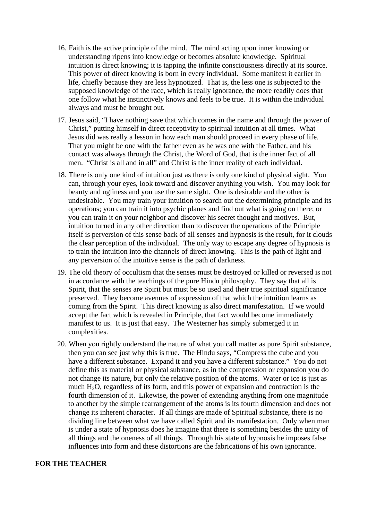- 16. Faith is the active principle of the mind. The mind acting upon inner knowing or understanding ripens into knowledge or becomes absolute knowledge. Spiritual intuition is direct knowing; it is tapping the infinite consciousness directly at its source. This power of direct knowing is born in every individual. Some manifest it earlier in life, chiefly because they are less hypnotized. That is, the less one is subjected to the supposed knowledge of the race, which is really ignorance, the more readily does that one follow what he instinctively knows and feels to be true. It is within the individual always and must be brought out.
- 17. Jesus said, "I have nothing save that which comes in the name and through the power of Christ," putting himself in direct receptivity to spiritual intuition at all times. What Jesus did was really a lesson in how each man should proceed in every phase of life. That you might be one with the father even as he was one with the Father, and his contact was always through the Christ, the Word of God, that is the inner fact of all men. "Christ is all and in all" and Christ is the inner reality of each individual.
- 18. There is only one kind of intuition just as there is only one kind of physical sight. You can, through your eyes, look toward and discover anything you wish. You may look for beauty and ugliness and you use the same sight. One is desirable and the other is undesirable. You may train your intuition to search out the determining principle and its operations; you can train it into psychic planes and find out what is going on there; or you can train it on your neighbor and discover his secret thought and motives. But, intuition turned in any other direction than to discover the operations of the Principle itself is perversion of this sense back of all senses and hypnosis is the result, for it clouds the clear perception of the individual. The only way to escape any degree of hypnosis is to train the intuition into the channels of direct knowing. This is the path of light and any perversion of the intuitive sense is the path of darkness.
- 19. The old theory of occultism that the senses must be destroyed or killed or reversed is not in accordance with the teachings of the pure Hindu philosophy. They say that all is Spirit, that the senses are Spirit but must be so used and their true spiritual significance preserved. They become avenues of expression of that which the intuition learns as coming from the Spirit. This direct knowing is also direct manifestation. If we would accept the fact which is revealed in Principle, that fact would become immediately manifest to us. It is just that easy. The Westerner has simply submerged it in complexities.
- 20. When you rightly understand the nature of what you call matter as pure Spirit substance, then you can see just why this is true. The Hindu says, "Compress the cube and you have a different substance. Expand it and you have a different substance." You do not define this as material or physical substance, as in the compression or expansion you do not change its nature, but only the relative position of the atoms. Water or ice is just as much H2O, regardless of its form, and this power of expansion and contraction is the fourth dimension of it. Likewise, the power of extending anything from one magnitude to another by the simple rearrangement of the atoms is its fourth dimension and does not change its inherent character. If all things are made of Spiritual substance, there is no dividing line between what we have called Spirit and its manifestation. Only when man is under a state of hypnosis does he imagine that there is something besides the unity of all things and the oneness of all things. Through his state of hypnosis he imposes false influences into form and these distortions are the fabrications of his own ignorance.

#### **FOR THE TEACHER**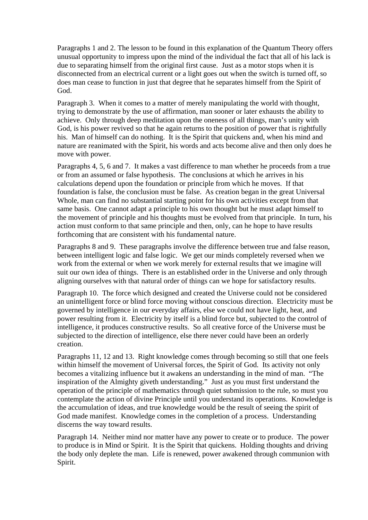Paragraphs 1 and 2. The lesson to be found in this explanation of the Quantum Theory offers unusual opportunity to impress upon the mind of the individual the fact that all of his lack is due to separating himself from the original first cause. Just as a motor stops when it is disconnected from an electrical current or a light goes out when the switch is turned off, so does man cease to function in just that degree that he separates himself from the Spirit of God.

Paragraph 3. When it comes to a matter of merely manipulating the world with thought, trying to demonstrate by the use of affirmation, man sooner or later exhausts the ability to achieve. Only through deep meditation upon the oneness of all things, man's unity with God, is his power revived so that he again returns to the position of power that is rightfully his. Man of himself can do nothing. It is the Spirit that quickens and, when his mind and nature are reanimated with the Spirit, his words and acts become alive and then only does he move with power.

Paragraphs 4, 5, 6 and 7. It makes a vast difference to man whether he proceeds from a true or from an assumed or false hypothesis. The conclusions at which he arrives in his calculations depend upon the foundation or principle from which he moves. If that foundation is false, the conclusion must be false. As creation began in the great Universal Whole, man can find no substantial starting point for his own activities except from that same basis. One cannot adapt a principle to his own thought but he must adapt himself to the movement of principle and his thoughts must be evolved from that principle. In turn, his action must conform to that same principle and then, only, can he hope to have results forthcoming that are consistent with his fundamental nature.

Paragraphs 8 and 9. These paragraphs involve the difference between true and false reason, between intelligent logic and false logic. We get our minds completely reversed when we work from the external or when we work merely for external results that we imagine will suit our own idea of things. There is an established order in the Universe and only through aligning ourselves with that natural order of things can we hope for satisfactory results.

Paragraph 10. The force which designed and created the Universe could not be considered an unintelligent force or blind force moving without conscious direction. Electricity must be governed by intelligence in our everyday affairs, else we could not have light, heat, and power resulting from it. Electricity by itself is a blind force but, subjected to the control of intelligence, it produces constructive results. So all creative force of the Universe must be subjected to the direction of intelligence, else there never could have been an orderly creation.

Paragraphs 11, 12 and 13. Right knowledge comes through becoming so still that one feels within himself the movement of Universal forces, the Spirit of God. Its activity not only becomes a vitalizing influence but it awakens an understanding in the mind of man. "The inspiration of the Almighty giveth understanding." Just as you must first understand the operation of the principle of mathematics through quiet submission to the rule, so must you contemplate the action of divine Principle until you understand its operations. Knowledge is the accumulation of ideas, and true knowledge would be the result of seeing the spirit of God made manifest. Knowledge comes in the completion of a process. Understanding discerns the way toward results.

Paragraph 14. Neither mind nor matter have any power to create or to produce. The power to produce is in Mind or Spirit. It is the Spirit that quickens. Holding thoughts and driving the body only deplete the man. Life is renewed, power awakened through communion with Spirit.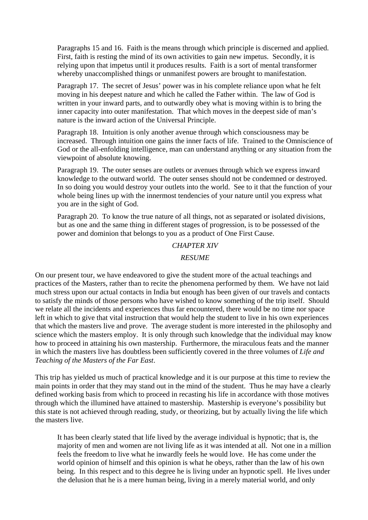Paragraphs 15 and 16. Faith is the means through which principle is discerned and applied. First, faith is resting the mind of its own activities to gain new impetus. Secondly, it is relying upon that impetus until it produces results. Faith is a sort of mental transformer whereby unaccomplished things or unmanifest powers are brought to manifestation.

Paragraph 17. The secret of Jesus' power was in his complete reliance upon what he felt moving in his deepest nature and which he called the Father within. The law of God is written in your inward parts, and to outwardly obey what is moving within is to bring the inner capacity into outer manifestation. That which moves in the deepest side of man's nature is the inward action of the Universal Principle.

Paragraph 18. Intuition is only another avenue through which consciousness may be increased. Through intuition one gains the inner facts of life. Trained to the Omniscience of God or the all-enfolding intelligence, man can understand anything or any situation from the viewpoint of absolute knowing.

Paragraph 19. The outer senses are outlets or avenues through which we express inward knowledge to the outward world. The outer senses should not be condemned or destroyed. In so doing you would destroy your outlets into the world. See to it that the function of your whole being lines up with the innermost tendencies of your nature until you express what you are in the sight of God.

Paragraph 20. To know the true nature of all things, not as separated or isolated divisions, but as one and the same thing in different stages of progression, is to be possessed of the power and dominion that belongs to you as a product of One First Cause.

# *CHAPTER XIV*

#### *RESUME*

On our present tour, we have endeavored to give the student more of the actual teachings and practices of the Masters, rather than to recite the phenomena performed by them. We have not laid much stress upon our actual contacts in India but enough has been given of our travels and contacts to satisfy the minds of those persons who have wished to know something of the trip itself. Should we relate all the incidents and experiences thus far encountered, there would be no time nor space left in which to give that vital instruction that would help the student to live in his own experiences that which the masters live and prove. The average student is more interested in the philosophy and science which the masters employ. It is only through such knowledge that the individual may know how to proceed in attaining his own mastership. Furthermore, the miraculous feats and the manner in which the masters live has doubtless been sufficiently covered in the three volumes of *Life and Teaching of the Masters of the Far East*.

This trip has yielded us much of practical knowledge and it is our purpose at this time to review the main points in order that they may stand out in the mind of the student. Thus he may have a clearly defined working basis from which to proceed in recasting his life in accordance with those motives through which the illumined have attained to mastership. Mastership is everyone's possibility but this state is not achieved through reading, study, or theorizing, but by actually living the life which the masters live.

It has been clearly stated that life lived by the average individual is hypnotic; that is, the majority of men and women are not living life as it was intended at all. Not one in a million feels the freedom to live what he inwardly feels he would love. He has come under the world opinion of himself and this opinion is what he obeys, rather than the law of his own being. In this respect and to this degree he is living under an hypnotic spell. He lives under the delusion that he is a mere human being, living in a merely material world, and only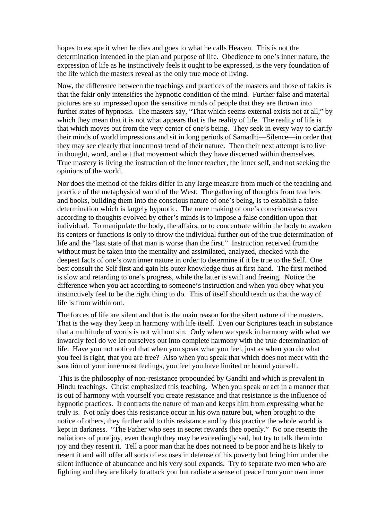hopes to escape it when he dies and goes to what he calls Heaven. This is not the determination intended in the plan and purpose of life. Obedience to one's inner nature, the expression of life as he instinctively feels it ought to be expressed, is the very foundation of the life which the masters reveal as the only true mode of living.

Now, the difference between the teachings and practices of the masters and those of fakirs is that the fakir only intensifies the hypnotic condition of the mind. Further false and material pictures are so impressed upon the sensitive minds of people that they are thrown into further states of hypnosis. The masters say, "That which seems external exists not at all," by which they mean that it is not what appears that is the reality of life. The reality of life is that which moves out from the very center of one's being. They seek in every way to clarify their minds of world impressions and sit in long periods of Samadhi—Silence—in order that they may see clearly that innermost trend of their nature. Then their next attempt is to live in thought, word, and act that movement which they have discerned within themselves. True mastery is living the instruction of the inner teacher, the inner self, and not seeking the opinions of the world.

Nor does the method of the fakirs differ in any large measure from much of the teaching and practice of the metaphysical world of the West. The gathering of thoughts from teachers and books, building them into the conscious nature of one's being, is to establish a false determination which is largely hypnotic. The mere making of one's consciousness over according to thoughts evolved by other's minds is to impose a false condition upon that individual. To manipulate the body, the affairs, or to concentrate within the body to awaken its centers or functions is only to throw the individual further out of the true determination of life and the "last state of that man is worse than the first." Instruction received from the without must be taken into the mentality and assimilated, analyzed, checked with the deepest facts of one's own inner nature in order to determine if it be true to the Self. One best consult the Self first and gain his outer knowledge thus at first hand. The first method is slow and retarding to one's progress, while the latter is swift and freeing. Notice the difference when you act according to someone's instruction and when you obey what you instinctively feel to be the right thing to do. This of itself should teach us that the way of life is from within out.

The forces of life are silent and that is the main reason for the silent nature of the masters. That is the way they keep in harmony with life itself. Even our Scriptures teach in substance that a multitude of words is not without sin. Only when we speak in harmony with what we inwardly feel do we let ourselves out into complete harmony with the true determination of life. Have you not noticed that when you speak what you feel, just as when you do what you feel is right, that you are free? Also when you speak that which does not meet with the sanction of your innermost feelings, you feel you have limited or bound yourself.

 This is the philosophy of non-resistance propounded by Gandhi and which is prevalent in Hindu teachings. Christ emphasized this teaching. When you speak or act in a manner that is out of harmony with yourself you create resistance and that resistance is the influence of hypnotic practices. It contracts the nature of man and keeps him from expressing what he truly is. Not only does this resistance occur in his own nature but, when brought to the notice of others, they further add to this resistance and by this practice the whole world is kept in darkness. "The Father who sees in secret rewards thee openly." No one resents the radiations of pure joy, even though they may be exceedingly sad, but try to talk them into joy and they resent it. Tell a poor man that he does not need to be poor and he is likely to resent it and will offer all sorts of excuses in defense of his poverty but bring him under the silent influence of abundance and his very soul expands. Try to separate two men who are fighting and they are likely to attack you but radiate a sense of peace from your own inner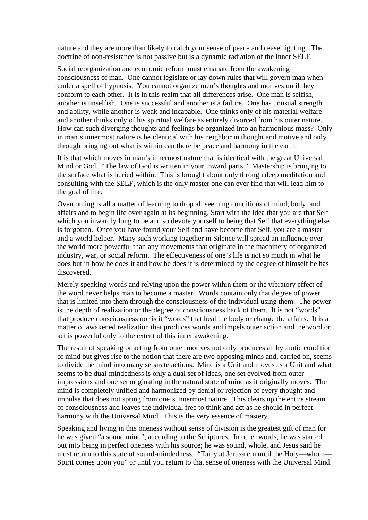nature and they are more than likely to catch your sense of peace and cease fighting. The doctrine of non-resistance is not passive but is a dynamic radiation of the inner SELF.

Social reorganization and economic reform must emanate from the awakening consciousness of man. One cannot legislate or lay down rules that will govern man when under a spell of hypnosis. You cannot organize men's thoughts and motives until they conform to each other. It is in this realm that all differences arise. One man is selfish, another is unselfish. One is successful and another is a failure. One has unusual strength and ability, while another is weak and incapable. One thinks only of his material welfare and another thinks only of his spiritual welfare as entirely divorced from his outer nature. How can such diverging thoughts and feelings be organized into an harmonious mass? Only in man's innermost nature is he identical with his neighbor in thought and motive and only through bringing out what is within can there be peace and harmony in the earth.

It is that which moves in man's innermost nature that is identical with the great Universal Mind or God. "The law of God is written in your inward parts." Mastership is bringing to the surface what is buried within. This is brought about only through deep meditation and consulting with the SELF, which is the only master one can ever find that will lead him to the goal of life.

Overcoming is all a matter of learning to drop all seeming conditions of mind, body, and affairs and to begin life over again at its beginning. Start with the idea that you are that Self which you inwardly long to be and so devote yourself to being that Self that everything else is forgotten. Once you have found your Self and have become that Self, you are a master and a world helper. Many such working together in Silence will spread an influence over the world more powerful than any movements that originate in the machinery of organized industry, war, or social reform. The effectiveness of one's life is not so much in what he does but in how he does it and how he does it is determined by the degree of himself he has discovered.

Merely speaking words and relying upon the power within them or the vibratory effect of the word never helps man to become a master. Words contain only that degree of power that is limited into them through the consciousness of the individual using them. The power is the depth of realization or the degree of consciousness back of them. It is not "words" that produce consciousness nor is it "words" that heal the body or change the affairs. It is a matter of awakened realization that produces words and impels outer action and the word or act is powerful only to the extent of this inner awakening.

The result of speaking or acting from outer motives not only produces an hypnotic condition of mind but gives rise to the notion that there are two opposing minds and, carried on, seems to divide the mind into many separate actions. Mind is a Unit and moves as a Unit and what seems to be dual-mindedness is only a dual set of ideas, one set evolved from outer impressions and one set originating in the natural state of mind as it originally moves. The mind is completely unified and harmonized by denial or rejection of every thought and impulse that does not spring from one's innermost nature. This clears up the entire stream of consciousness and leaves the individual free to think and act as he should in perfect harmony with the Universal Mind. This is the very essence of mastery.

Speaking and living in this oneness without sense of division is the greatest gift of man for he was given "a sound mind", according to the Scriptures. In other words, he was started out into being in perfect oneness with his source; he was sound, whole, and Jesus said he must return to this state of sound-mindedness. "Tarry at Jerusalem until the Holy—whole— Spirit comes upon you" or until you return to that sense of oneness with the Universal Mind.